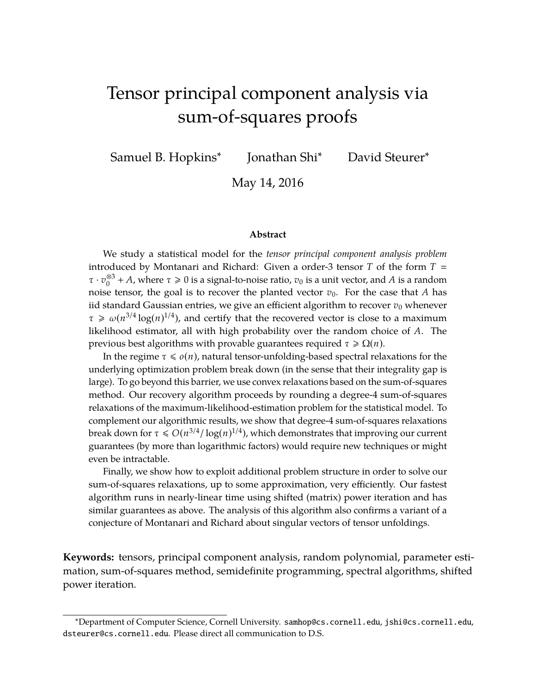# <span id="page-0-0"></span>Tensor principal component analysis via sum-of-squares proofs

Samuel B. Hopkins∗

Jonathan Shi∗ David Steurer∗

May 14, 2016

#### **Abstract**

We study a statistical model for the *tensor principal component analysis problem* introduced by Montanari and Richard: Given a order-3 tensor *T* of the form *T* τ · *v* ⊗3 <sup>⊗3</sup> + *A*, where  $τ ≥ 0$  is a signal-to-noise ratio,  $v_0$  is a unit vector, and *A* is a random noise tensor, the goal is to recover the planted vector  $v_0$ . For the case that *A* has iid standard Gaussian entries, we give an efficient algorithm to recover  $v_0$  whenever  $\tau \ge \omega(n^{3/4} \log(n)^{1/4})$ , and certify that the recovered vector is close to a maximum likelihood estimator, all with high probability over the random choice of *A*. The previous best algorithms with provable guarantees required τ > Ω(*n*).

In the regime  $\tau \leq \varrho(n)$ , natural tensor-unfolding-based spectral relaxations for the underlying optimization problem break down (in the sense that their integrality gap is large). To go beyond this barrier, we use convex relaxations based on the sum-of-squares method. Our recovery algorithm proceeds by rounding a degree-4 sum-of-squares relaxations of the maximum-likelihood-estimation problem for the statistical model. To complement our algorithmic results, we show that degree-4 sum-of-squares relaxations break down for  $\tau \le O(n^{3/4}/\log(n)^{1/4})$ , which demonstrates that improving our current guarantees (by more than logarithmic factors) would require new techniques or might even be intractable.

Finally, we show how to exploit additional problem structure in order to solve our sum-of-squares relaxations, up to some approximation, very efficiently. Our fastest algorithm runs in nearly-linear time using shifted (matrix) power iteration and has similar guarantees as above. The analysis of this algorithm also confirms a variant of a conjecture of Montanari and Richard about singular vectors of tensor unfoldings.

**Keywords:** tensors, principal component analysis, random polynomial, parameter estimation, sum-of-squares method, semidefinite programming, spectral algorithms, shifted power iteration.

<sup>∗</sup>Department of Computer Science, Cornell University. samhop@cs.cornell.edu, jshi@cs.cornell.edu, dsteurer@cs.cornell.edu. Please direct all communication to D.S.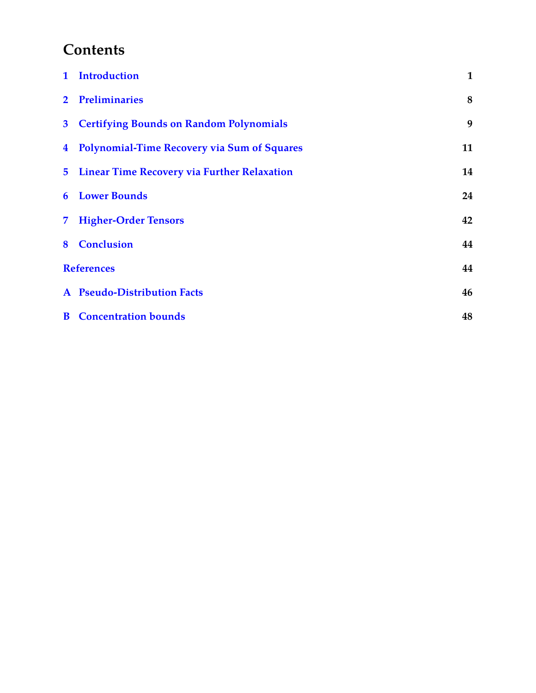# <span id="page-1-0"></span>**Contents**

|                   | 1 Introduction                                     | 1  |
|-------------------|----------------------------------------------------|----|
| $\overline{2}$    | <b>Preliminaries</b>                               | 8  |
| $\mathbf{3}$      | <b>Certifying Bounds on Random Polynomials</b>     | 9  |
| $\overline{4}$    | <b>Polynomial-Time Recovery via Sum of Squares</b> | 11 |
| 5                 | <b>Linear Time Recovery via Further Relaxation</b> | 14 |
| 6                 | <b>Lower Bounds</b>                                | 24 |
| 7                 | <b>Higher-Order Tensors</b>                        | 42 |
| 8                 | <b>Conclusion</b>                                  | 44 |
| <b>References</b> |                                                    | 44 |
|                   | A Pseudo-Distribution Facts                        | 46 |
| $\bf{B}$          | <b>Concentration bounds</b>                        | 48 |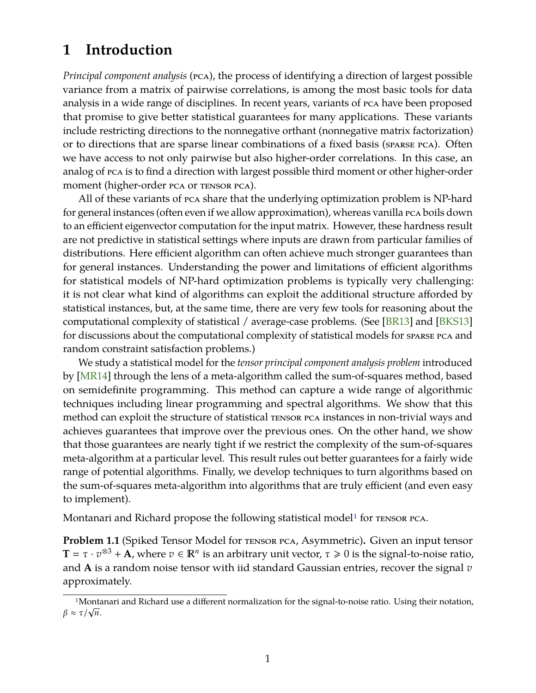## <span id="page-2-0"></span>**1 Introduction**

*Principal component analysis* (pca), the process of identifying a direction of largest possible variance from a matrix of pairwise correlations, is among the most basic tools for data analysis in a wide range of disciplines. In recent years, variants of pca have been proposed that promise to give better statistical guarantees for many applications. These variants include restricting directions to the nonnegative orthant (nonnegative matrix factorization) or to directions that are sparse linear combinations of a fixed basis (sparse pca). Often we have access to not only pairwise but also higher-order correlations. In this case, an analog of pca is to find a direction with largest possible third moment or other higher-order moment (higher-order pca or tensor pca).

All of these variants of pca share that the underlying optimization problem is NP-hard for general instances (often even if we allow approximation), whereas vanilla pca boils down to an efficient eigenvector computation for the input matrix. However, these hardness result are not predictive in statistical settings where inputs are drawn from particular families of distributions. Here efficient algorithm can often achieve much stronger guarantees than for general instances. Understanding the power and limitations of efficient algorithms for statistical models of NP-hard optimization problems is typically very challenging: it is not clear what kind of algorithms can exploit the additional structure afforded by statistical instances, but, at the same time, there are very few tools for reasoning about the computational complexity of statistical / average-case problems. (See [\[BR13\]](#page-46-0) and [\[BKS13\]](#page-46-1) for discussions about the computational complexity of statistical models for sparse pca and random constraint satisfaction problems.)

We study a statistical model for the *tensor principal component analysis problem* introduced by [\[MR14\]](#page-47-1) through the lens of a meta-algorithm called the sum-of-squares method, based on semidefinite programming. This method can capture a wide range of algorithmic techniques including linear programming and spectral algorithms. We show that this method can exploit the structure of statistical tensor pca instances in non-trivial ways and achieves guarantees that improve over the previous ones. On the other hand, we show that those guarantees are nearly tight if we restrict the complexity of the sum-of-squares meta-algorithm at a particular level. This result rules out better guarantees for a fairly wide range of potential algorithms. Finally, we develop techniques to turn algorithms based on the sum-of-squares meta-algorithm into algorithms that are truly efficient (and even easy to implement).

Montanari and Richard propose the following statistical model<sup>1</sup> for  $\tau$  ensor  $\eta$ ca.

<span id="page-2-2"></span>**Problem 1.1** (Spiked Tensor Model for tensor pca, Asymmetric)**.** Given an input tensor **T** =  $\tau \cdot v^{\otimes 3} + A$ , where  $v \in \mathbb{R}^n$  is an arbitrary unit vector,  $\tau \ge 0$  is the signal-to-noise ratio, and **A** is a random noise tensor with iid standard Gaussian entries, recover the signal *v* approximately.

<span id="page-2-1"></span><sup>1</sup>Montanari and Richard use a different normalization for the signal-to-noise ratio. Using their notation, <sup>β</sup> <sup>≈</sup> τ/<sup>√</sup> *n*.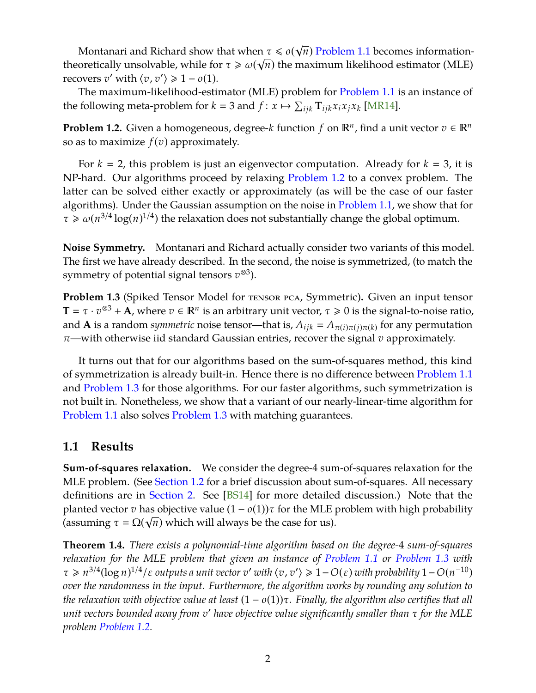Montanari and Richard show that when  $\tau \leq o(\sqrt{n})$  [Problem 1.1](#page-2-2) becomes information-√ theoretically unsolvable, while for  $\tau \geqslant \omega(\sqrt{n})$  the maximum likelihood estimator (MLE) recovers *v'* with  $\langle v, v' \rangle \ge 1 - o(1)$ .

The maximum-likelihood-estimator (MLE) problem for [Problem 1.1](#page-2-2) is an instance of the following meta-problem for  $k = 3$  and  $f: x \mapsto \sum_{ijk} \mathbf{T}_{ijk} x_i x_j x_k$  [\[MR14\]](#page-47-1).

<span id="page-3-0"></span>**Problem 1.2.** Given a homogeneous, degree- $k$  function  $f$  on  $\mathbb{R}^n$ , find a unit vector  $v \in \mathbb{R}^n$ so as to maximize  $f(v)$  approximately.

For  $k = 2$ , this problem is just an eigenvector computation. Already for  $k = 3$ , it is NP-hard. Our algorithms proceed by relaxing [Problem 1.2](#page-3-0) to a convex problem. The latter can be solved either exactly or approximately (as will be the case of our faster algorithms). Under the Gaussian assumption on the noise in [Problem 1.1,](#page-2-2) we show that for  $\tau \geq \omega(n^{3/4} \log(n)^{1/4})$  the relaxation does not substantially change the global optimum.

**Noise Symmetry.** Montanari and Richard actually consider two variants of this model. The first we have already described. In the second, the noise is symmetrized, (to match the symmetry of potential signal tensors  $v$ <sup>⊗3</sup>).

<span id="page-3-1"></span>**Problem 1.3** (Spiked Tensor Model for tensor pca, Symmetric)**.** Given an input tensor **T** =  $\tau \cdot v^{\otimes 3} + A$ , where  $v \in \mathbb{R}^n$  is an arbitrary unit vector,  $\tau \ge 0$  is the signal-to-noise ratio, and  $\bf{A}$  is a random *symmetric* noise tensor—that is,  $A_{ijk} = A_{\pi(i)\pi(j)\pi(k)}$  for any permutation π—with otherwise iid standard Gaussian entries, recover the signal *v* approximately.

It turns out that for our algorithms based on the sum-of-squares method, this kind of symmetrization is already built-in. Hence there is no difference between [Problem 1.1](#page-2-2) and [Problem 1.3](#page-3-1) for those algorithms. For our faster algorithms, such symmetrization is not built in. Nonetheless, we show that a variant of our nearly-linear-time algorithm for [Problem 1.1](#page-2-2) also solves [Problem 1.3](#page-3-1) with matching guarantees.

## **1.1 Results**

**Sum-of-squares relaxation.** We consider the degree-4 sum-of-squares relaxation for the MLE problem. (See [Section 1.2](#page-5-0) for a brief discussion about sum-of-squares. All necessary definitions are in [Section 2.](#page-9-0) See [\[BS14\]](#page-46-2) for more detailed discussion.) Note that the planted vector *v* has objective value  $(1 - o(1))\tau$  for the MLE problem with high probability (assuming  $\tau = \Omega(\sqrt{n})$  which will always be the case for us).

<span id="page-3-2"></span>**Theorem 1.4.** *There exists a polynomial-time algorithm based on the degree-*4 *sum-of-squares relaxation for the MLE problem that given an instance of [Problem 1.1](#page-2-2) or [Problem 1.3](#page-3-1) with*  $\tau \geq n^{3/4}(\log n)^{1/4}/\varepsilon$  outputs a unit vector  $v'$  with  $\langle v, v' \rangle \geq 1 - O(\varepsilon)$  with probability  $1 - O(n^{-10})$ *over the randomness in the input. Furthermore, the algorithm works by rounding any solution to the relaxation with objective value at least* (1 − *o*(1))τ*. Finally, the algorithm also certifies that all unit vectors bounded away from v* <sup>0</sup> *have objective value significantly smaller than* τ *for the MLE problem [Problem 1.2.](#page-3-0)*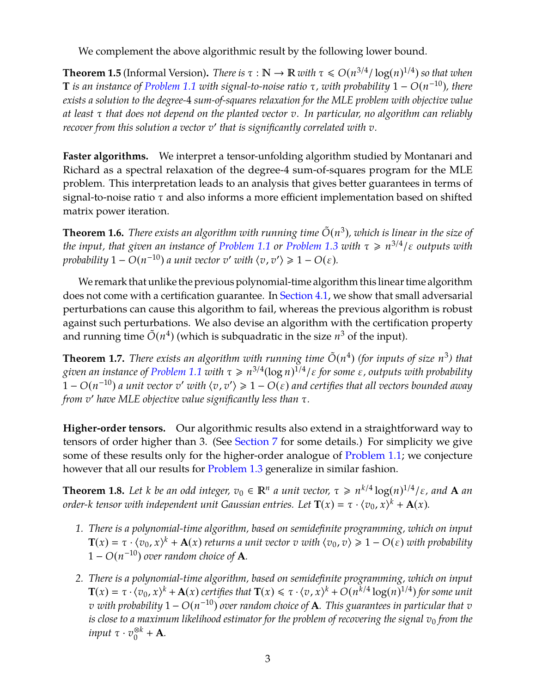We complement the above algorithmic result by the following lower bound.

<span id="page-4-2"></span>**Theorem 1.5** (Informal Version). *There is*  $\tau : \mathbb{N} \to \mathbb{R}$  *with*  $\tau \le O(n^{3/4}/\log(n)^{1/4})$  *so that when* **T** *is an instance of [Problem 1.1](#page-2-2) with signal-to-noise ratio* τ*, with probability* 1 − *O*(*n* <sup>−</sup><sup>10</sup>)*, there exists a solution to the degree-*4 *sum-of-squares relaxation for the MLE problem with objective value at least* τ *that does not depend on the planted vector v. In particular, no algorithm can reliably* recover from this solution a vector  $v'$  that is significantly correlated with  $v$ .

**Faster algorithms.** We interpret a tensor-unfolding algorithm studied by Montanari and Richard as a spectral relaxation of the degree-4 sum-of-squares program for the MLE problem. This interpretation leads to an analysis that gives better guarantees in terms of signal-to-noise ratio  $\tau$  and also informs a more efficient implementation based on shifted matrix power iteration.

<span id="page-4-0"></span>**Theorem 1.6.** *There exists an algorithm with running time*  $\tilde{O}(n^3)$ *, which is linear in the size of the input, that given an instance of [Problem 1.1](#page-2-2) or [Problem 1.3](#page-3-1) with* τ > *n* 3/4 /ε *outputs with probability*  $1 - O(n^{-10})$  *a unit vector v' with*  $\langle v, v' \rangle \geqslant 1 - O(\varepsilon)$ *.* 

We remark that unlike the previous polynomial-time algorithm this linear time algorithm does not come with a certification guarantee. In [Section 4.1,](#page-14-0) we show that small adversarial perturbations can cause this algorithm to fail, whereas the previous algorithm is robust against such perturbations. We also devise an algorithm with the certification property and running time  $\tilde{O}(n^4)$  (which is subquadratic in the size  $n^3$  of the input).

<span id="page-4-1"></span>**Theorem 1.7.** *There exists an algorithm with running time*  $\tilde{O}(n^4)$  (for *inputs of size*  $n^3$ ) that *given an instance of [Problem 1.1](#page-2-2) with* τ > *n* 3/4 (log *n*) 1/4 /ε *for some* ε*, outputs with probability*  $\tilde{C}$  − *O*( $n^{-10}$ ) *a unit vector v'* with  $\langle v, v' \rangle$  ≥ 1 − *O*( $\varepsilon$ ) and certifies that all vectors bounded away *from v* <sup>0</sup> *have MLE objective value significantly less than* τ*.*

**Higher-order tensors.** Our algorithmic results also extend in a straightforward way to tensors of order higher than 3. (See [Section 7](#page-43-0) for some details.) For simplicity we give some of these results only for the higher-order analogue of [Problem 1.1;](#page-2-2) we conjecture however that all our results for [Problem 1.3](#page-3-1) generalize in similar fashion.

**Theorem 1.8.** Let *k* be an odd integer,  $v_0 \in \mathbb{R}^n$  a unit vector,  $\tau \geq n^{k/4} \log(n)^{1/4}/\varepsilon$ , and **A** an *order-k tensor with independent unit Gaussian entries. Let*  $\mathbf{T}(x) = \tau \cdot \langle v_0, x \rangle^k + \mathbf{A}(x)$ *.* 

- *1. There is a polynomial-time algorithm, based on semidefinite programming, which on input*  $\mathbf{T}(x) = \tau \cdot \langle v_0, x \rangle^k + \mathbf{A}(x)$  *returns a unit vector v with*  $\langle v_0, v \rangle \geq 1 - O(\varepsilon)$  *with probability*  $1 - O(n^{-10})$  *over random choice of* **A***.*
- *2. There is a polynomial-time algorithm, based on semidefinite programming, which on input*  $\mathbf{T}(x) = \tau \cdot \langle v_0, x \rangle^k + \mathbf{A}(x)$  certifies that  $\mathbf{T}(x) \leq \tau \cdot \langle v, x \rangle^k + O(n^{k/4} \log(n)^{1/4})$  for some unit *v with probability* 1 − *O*(*n* <sup>−</sup><sup>10</sup>) *over random choice of* **A***. This guarantees in particular that v is close to a maximum likelihood estimator for the problem of recovering the signal*  $v_0$  *from the*  $i$ *nput*  $\tau \cdot v_0^{\otimes k} + \mathbf{A}$ *.*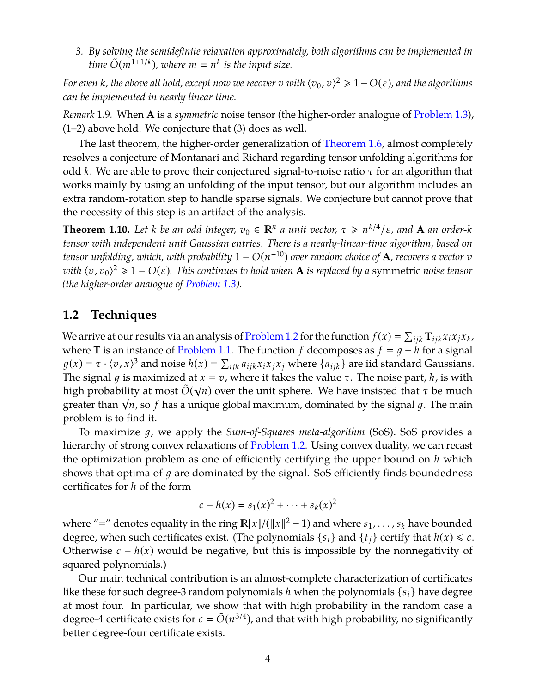*3. By solving the semidefinite relaxation approximately, both algorithms can be implemented in*  $\sum_{k=1}^{\infty}$  (*m*<sup>1+1/*k*</sup>), where  $m = n^k$  is the input size.

*For even k, the above all hold, except now we recover*  $v$  *with*  $\langle v_0, v \rangle^2 \geqslant 1 - O(\varepsilon)$ *, and the algorithms can be implemented in nearly linear time.*

*Remark* 1.9*.* When **A** is a *symmetric* noise tensor (the higher-order analogue of [Problem 1.3\)](#page-3-1), (1–2) above hold. We conjecture that (3) does as well.

The last theorem, the higher-order generalization of [Theorem 1.6,](#page-4-0) almost completely resolves a conjecture of Montanari and Richard regarding tensor unfolding algorithms for odd *k*. We are able to prove their conjectured signal-to-noise ratio τ for an algorithm that works mainly by using an unfolding of the input tensor, but our algorithm includes an extra random-rotation step to handle sparse signals. We conjecture but cannot prove that the necessity of this step is an artifact of the analysis.

**Theorem 1.10.** Let *k be an odd integer,*  $v_0 \in \mathbb{R}^n$  *a unit vector,*  $\tau \geq n^{k/4}/\varepsilon$ , and **A** an order-*k tensor with independent unit Gaussian entries. There is a nearly-linear-time algorithm, based on tensor unfolding, which, with probability* 1 − *O*(*n* <sup>−</sup><sup>10</sup>) *over random choice of* **A***, recovers a vector v with*  $\langle v, v_0 \rangle^2 \ge 1 - O(\varepsilon)$ . This continues to hold when **A** is replaced by a symmetric noise tensor *(the higher-order analogue of [Problem 1.3\)](#page-3-1).*

## <span id="page-5-0"></span>**1.2 Techniques**

We arrive at our results via an analysis of [Problem 1.2](#page-3-0) for the function  $f(x) = \sum_{ijk} \mathbf{T}_{ijk} x_i x_j x_k$ , where **T** is an instance of [Problem 1.1.](#page-2-2) The function *f* decomposes as  $f = g + h$  for a signal  $g(x) = \tau \cdot \langle v, x \rangle^3$  and noise  $h(x) = \sum_{ijk} a_{ijk} x_i x_j x_j$  where  $\{a_{ijk}\}\$  are iid standard Gaussians. The signal *g* is maximized at  $x = v$ , where it takes the value  $\tau$ . The noise part, *h*, is with high probability at most  $\tilde{O}(\sqrt{n})$  over the unit sphere. We have insisted that  $\tau$  be much nign probability at most *∪*(γ*n)* over the unit sphere. We have insisted that τ be much<br>greater than √*n,* so *f* has a unique global maximum, dominated by the signal *g*. The main problem is to find it.

To maximize 1, we apply the *Sum-of-Squares meta-algorithm* (SoS). SoS provides a hierarchy of strong convex relaxations of [Problem 1.2.](#page-3-0) Using convex duality, we can recast the optimization problem as one of efficiently certifying the upper bound on *h* which shows that optima of  $q$  are dominated by the signal. SoS efficiently finds boundedness certificates for *h* of the form

$$
c - h(x) = s_1(x)^2 + \dots + s_k(x)^2
$$

where "=" denotes equality in the ring  $\mathbb{R}[x]/(\|x\|^2 - 1)$  and where  $s_1, \ldots, s_k$  have bounded degree, when such certificates exist. (The polynomials  $\{s_i\}$  and  $\{t_i\}$  certify that  $h(x) \leq c$ . Otherwise  $c - h(x)$  would be negative, but this is impossible by the nonnegativity of squared polynomials.)

Our main technical contribution is an almost-complete characterization of certificates like these for such degree-3 random polynomials *h* when the polynomials {*si*} have degree at most four. In particular, we show that with high probability in the random case a degree-4 certificate exists for  $c = \tilde{O}(n^{3/4})$ , and that with high probability, no significantly better degree-four certificate exists.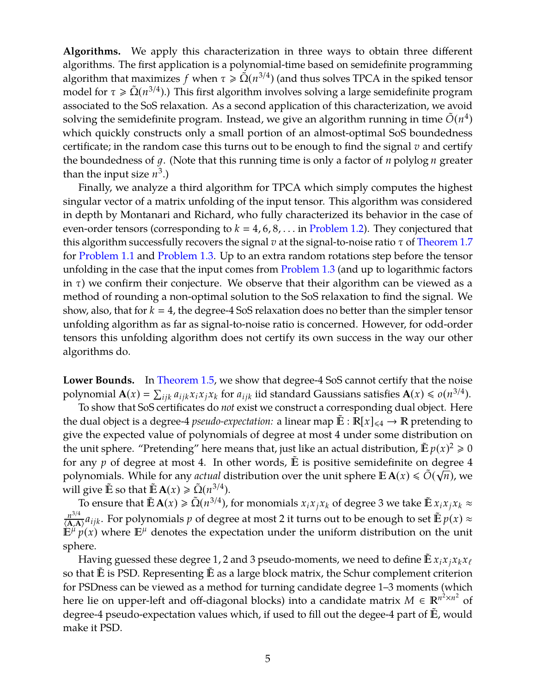**Algorithms.** We apply this characterization in three ways to obtain three different algorithms. The first application is a polynomial-time based on semidefinite programming algorithm that maximizes *f* when  $\tau \geq \tilde{\Omega}(n^{3/4})$  (and thus solves TPCA in the spiked tensor model for  $\tau \ge \tilde{\Omega}(n^{3/4})$ .) This first algorithm involves solving a large semidefinite program associated to the SoS relaxation. As a second application of this characterization, we avoid solving the semidefinite program. Instead, we give an algorithm running in time  $\tilde{O}(n^4)$ which quickly constructs only a small portion of an almost-optimal SoS boundedness certificate; in the random case this turns out to be enough to find the signal *v* and certify the boundedness of 1. (Note that this running time is only a factor of *n* polylog *n* greater than the input size  $n^3$ .)

Finally, we analyze a third algorithm for TPCA which simply computes the highest singular vector of a matrix unfolding of the input tensor. This algorithm was considered in depth by Montanari and Richard, who fully characterized its behavior in the case of even-order tensors (corresponding to  $k = 4, 6, 8, \ldots$  in [Problem 1.2\)](#page-3-0). They conjectured that this algorithm successfully recovers the signal *v* at the signal-to-noise ratio τ of [Theorem 1.7](#page-4-1) for [Problem 1.1](#page-2-2) and [Problem 1.3.](#page-3-1) Up to an extra random rotations step before the tensor unfolding in the case that the input comes from [Problem 1.3](#page-3-1) (and up to logarithmic factors in  $\tau$ ) we confirm their conjecture. We observe that their algorithm can be viewed as a method of rounding a non-optimal solution to the SoS relaxation to find the signal. We show, also, that for  $k = 4$ , the degree-4 SoS relaxation does no better than the simpler tensor unfolding algorithm as far as signal-to-noise ratio is concerned. However, for odd-order tensors this unfolding algorithm does not certify its own success in the way our other algorithms do.

**Lower Bounds.** In [Theorem 1.5,](#page-4-2) we show that degree-4 SoS cannot certify that the noise polynomial  $\mathbf{A}(x) = \sum_{ijk} a_{ijk} x_i x_j x_k$  for  $a_{ijk}$  iid standard Gaussians satisfies  $\mathbf{A}(x) \leqslant o(n^{3/4})$ .

To show that SoS certificates do *not* exist we construct a corresponding dual object. Here the dual object is a degree-4 *pseudo-expectation:* a linear map  $\mathbb{E} : \mathbb{R}[x]_{\leq 4} \to \mathbb{R}$  pretending to give the expected value of polynomials of degree at most 4 under some distribution on the unit sphere. "Pretending" here means that, just like an actual distribution,  $\tilde{\mathbb{E}} p(x)^2 \geq 0$ for any  $p$  of degree at most 4. In other words,  $\tilde{E}$  is positive semidefinite on degree 4 polynomials. While for any *actual* distribution over the unit sphere  $\mathbb{E} \mathbf{A}(x) \le \tilde{O}(\sqrt{n})$ , we will give  $\tilde{E}$  so that  $\tilde{E} A(x) \ge \tilde{\Omega}(n^{3/4}).$ 

 $\overrightarrow{C}$  o ensure that  $\tilde{\mathbb{E}} \mathbf{A}(x) \ge \tilde{\Omega}(n^{3/4})$ , for monomials  $x_i x_j x_k$  of degree 3 we take  $\tilde{\mathbb{E}} x_i x_j x_k \approx$ *n* 3/4  $\frac{n^{3/4}}{(\mathbf{A}, \mathbf{A})} a_{ijk}$ . For polynomials *p* of degree at most 2 it turns out to be enough to set  $\tilde{\mathbb{E}} p(x) \approx$  $\mathbb{E}^{\mu} p(x)$  where  $\mathbb{E}^{\mu}$  denotes the expectation under the uniform distribution on the unit sphere.

Having guessed these degree 1, 2 and 3 pseudo-moments, we need to define  $\mathbb{E} x_i x_j x_k x_\ell$ so that  $E$  is PSD. Representing  $E$  as a large block matrix, the Schur complement criterion for PSDness can be viewed as a method for turning candidate degree 1–3 moments (which here lie on upper-left and off-diagonal blocks) into a candidate matrix  $M \in \mathbb{R}^{n^2 \times n^2}$  of degree-4 pseudo-expectation values which, if used to fill out the degee-4 part of E, would make it PSD.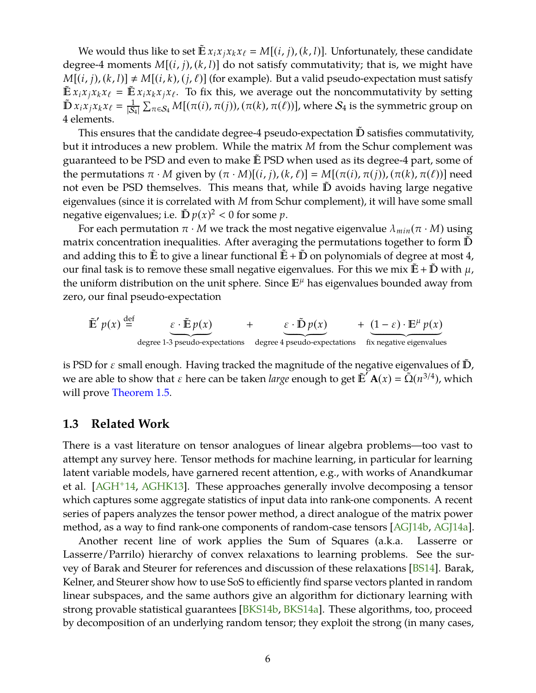<span id="page-7-0"></span>We would thus like to set  $\mathbb{E} x_i x_j x_k x_\ell = M[(i, j), (k, l)]$ . Unfortunately, these candidate degree-4 moments *M*[(*i*, *j*), (*k*, *l*)] do not satisfy commutativity; that is, we might have  $M[(i, j), (k, l)] \neq M[(i, k), (j, l)]$  (for example). But a valid pseudo-expectation must satisfy  $\mathbb{E} x_i x_j x_k x_\ell = \mathbb{E} x_i x_k x_j x_\ell$ . To fix this, we average out the noncommutativity by setting  $\tilde{\mathbf{D}} x_i x_j x_k x_\ell = \frac{1}{|S_i|}$  $\frac{1}{|{\cal S}_4|} \sum_{\pi \in {\cal S}_4} M[(\pi(i),\pi(j)),(\pi(k),\pi(\ell))]$ , where  ${\cal S}_4$  is the symmetric group on 4 elements.

This ensures that the candidate degree-4 pseudo-expectation  ${\mathbb D}$  satisfies commutativity, but it introduces a new problem. While the matrix *M* from the Schur complement was guaranteed to be PSD and even to make  $E$  PSD when used as its degree-4 part, some of the permutations  $\pi \cdot M$  given by  $(\pi \cdot M)[(i, j), (k, \ell)] = M[(\pi(i), \pi(j)), (\pi(k), \pi(\ell))]$  need not even be PSD themselves. This means that, while  $\mathbb D$  avoids having large negative eigenvalues (since it is correlated with *M* from Schur complement), it will have some small negative eigenvalues; i.e.  $\tilde{D} p(x)^2 < 0$  for some p.

For each permutation  $\pi \cdot M$  we track the most negative eigenvalue  $\lambda_{min}(\pi \cdot M)$  using matrix concentration inequalities. After averaging the permutations together to form  $\mathbb D$ and adding this to  $E$  to give a linear functional  $E + D$  on polynomials of degree at most 4, our final task is to remove these small negative eigenvalues. For this we mix  $E + D$  with  $\mu$ , the uniform distribution on the unit sphere. Since  $\mathbb{E}^{\mu}$  has eigenvalues bounded away from zero, our final pseudo-expectation

$$
\tilde{\mathbb{E}}' p(x) \stackrel{\text{def}}{=} \underbrace{\varepsilon \cdot \tilde{\mathbb{E}} p(x)}_{\text{degree 1-3 pseudo-expectations}} + \underbrace{\varepsilon \cdot \tilde{\mathbb{D}} p(x)}_{\text{degree 4 pseudo-expectations}} + \underbrace{(1-\varepsilon) \cdot \mathbb{E}^{\mu} p(x)}_{\text{fix negative eigenvalues}}
$$

is PSD for  $\varepsilon$  small enough. Having tracked the magnitude of the negative eigenvalues of  $\tilde{D}$ , we are able to show that  $\varepsilon$  here can be taken *large* enough to get  $\tilde{\mathbb{E}}' \mathbf{A}(x) = \tilde{\Omega}(n^{3/4})$ , which will prove [Theorem 1.5.](#page-4-2)

### **1.3 Related Work**

There is a vast literature on tensor analogues of linear algebra problems—too vast to attempt any survey here. Tensor methods for machine learning, in particular for learning latent variable models, have garnered recent attention, e.g., with works of Anandkumar et al. [\[AGH](#page-45-2)+14, [AGHK13\]](#page-45-3). These approaches generally involve decomposing a tensor which captures some aggregate statistics of input data into rank-one components. A recent series of papers analyzes the tensor power method, a direct analogue of the matrix power method, as a way to find rank-one components of random-case tensors [\[AGJ14b,](#page-46-3) [AGJ14a\]](#page-45-4).

Another recent line of work applies the Sum of Squares (a.k.a. Lasserre or Lasserre/Parrilo) hierarchy of convex relaxations to learning problems. See the survey of Barak and Steurer for references and discussion of these relaxations [\[BS14\]](#page-46-2). Barak, Kelner, and Steurer show how to use SoS to efficiently find sparse vectors planted in random linear subspaces, and the same authors give an algorithm for dictionary learning with strong provable statistical guarantees [\[BKS14b,](#page-46-4) [BKS14a\]](#page-46-5). These algorithms, too, proceed by decomposition of an underlying random tensor; they exploit the strong (in many cases,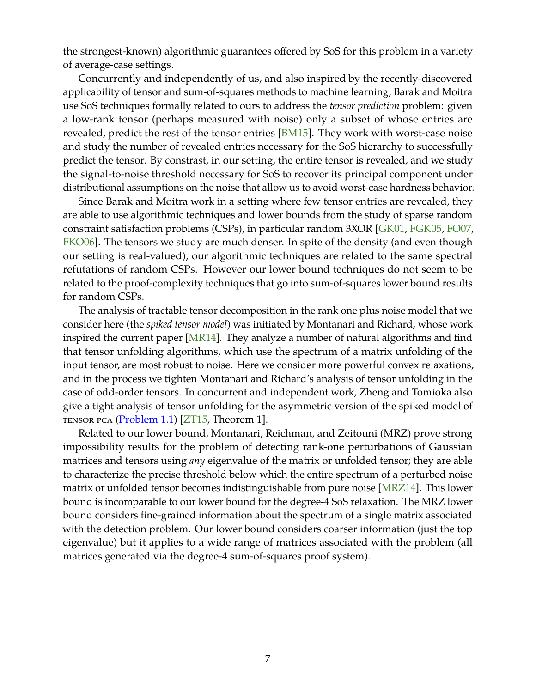<span id="page-8-0"></span>the strongest-known) algorithmic guarantees offered by SoS for this problem in a variety of average-case settings.

Concurrently and independently of us, and also inspired by the recently-discovered applicability of tensor and sum-of-squares methods to machine learning, Barak and Moitra use SoS techniques formally related to ours to address the *tensor prediction* problem: given a low-rank tensor (perhaps measured with noise) only a subset of whose entries are revealed, predict the rest of the tensor entries [\[BM15\]](#page-46-6). They work with worst-case noise and study the number of revealed entries necessary for the SoS hierarchy to successfully predict the tensor. By constrast, in our setting, the entire tensor is revealed, and we study the signal-to-noise threshold necessary for SoS to recover its principal component under distributional assumptions on the noise that allow us to avoid worst-case hardness behavior.

Since Barak and Moitra work in a setting where few tensor entries are revealed, they are able to use algorithmic techniques and lower bounds from the study of sparse random constraint satisfaction problems (CSPs), in particular random 3XOR [\[GK01,](#page-46-7) [FGK05,](#page-46-8) [FO07,](#page-46-9) [FKO06\]](#page-46-10). The tensors we study are much denser. In spite of the density (and even though our setting is real-valued), our algorithmic techniques are related to the same spectral refutations of random CSPs. However our lower bound techniques do not seem to be related to the proof-complexity techniques that go into sum-of-squares lower bound results for random CSPs.

The analysis of tractable tensor decomposition in the rank one plus noise model that we consider here (the *spiked tensor model*) was initiated by Montanari and Richard, whose work inspired the current paper [\[MR14\]](#page-47-1). They analyze a number of natural algorithms and find that tensor unfolding algorithms, which use the spectrum of a matrix unfolding of the input tensor, are most robust to noise. Here we consider more powerful convex relaxations, and in the process we tighten Montanari and Richard's analysis of tensor unfolding in the case of odd-order tensors. In concurrent and independent work, Zheng and Tomioka also give a tight analysis of tensor unfolding for the asymmetric version of the spiked model of tensor pca [\(Problem 1.1\)](#page-2-2) [\[ZT15,](#page-47-2) Theorem 1].

Related to our lower bound, Montanari, Reichman, and Zeitouni (MRZ) prove strong impossibility results for the problem of detecting rank-one perturbations of Gaussian matrices and tensors using *any* eigenvalue of the matrix or unfolded tensor; they are able to characterize the precise threshold below which the entire spectrum of a perturbed noise matrix or unfolded tensor becomes indistinguishable from pure noise [\[MRZ14\]](#page-47-3). This lower bound is incomparable to our lower bound for the degree-4 SoS relaxation. The MRZ lower bound considers fine-grained information about the spectrum of a single matrix associated with the detection problem. Our lower bound considers coarser information (just the top eigenvalue) but it applies to a wide range of matrices associated with the problem (all matrices generated via the degree-4 sum-of-squares proof system).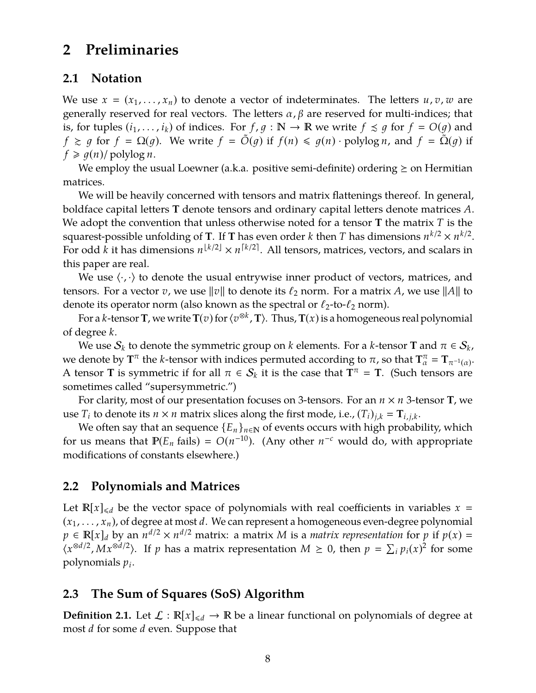## <span id="page-9-0"></span>**2 Preliminaries**

### **2.1 Notation**

We use  $x = (x_1, \ldots, x_n)$  to denote a vector of indeterminates. The letters  $u, v, w$  are generally reserved for real vectors. The letters  $\alpha$ ,  $\beta$  are reserved for multi-indices; that is, for tuples  $(i_1, \ldots, i_k)$  of indices. For  $f, g : \mathbb{N} \to \mathbb{R}$  we write  $f \precsim g$  for  $f = O(g)$  and *f*  $\ge$  *g* for *f* =  $\Omega$ (*g*). We write *f* =  $\tilde{O}(g)$  if  $f(n) \leq g(n) \cdot \text{polylog } n$ , and  $f = \tilde{\Omega}(g)$  if  $f \geq g(n)/$  polylog *n*.

We employ the usual Loewner (a.k.a. positive semi-definite) ordering  $\geq$  on Hermitian matrices.

We will be heavily concerned with tensors and matrix flattenings thereof. In general, boldface capital letters **T** denote tensors and ordinary capital letters denote matrices *A*. We adopt the convention that unless otherwise noted for a tensor **T** the matrix *T* is the squarest-possible unfolding of **T**. If **T** has even order *k* then *T* has dimensions  $n^{k/2} \times n^{k/2}$ . For odd *k* it has dimensions  $n^{\lfloor k/2 \rfloor} \times n^{\lceil k/2 \rceil}$ . All tensors, matrices, vectors, and scalars in this paper are real.

We use  $\langle \cdot, \cdot \rangle$  to denote the usual entrywise inner product of vectors, matrices, and tensors. For a vector *v*, we use  $\|v\|$  to denote its  $\ell_2$  norm. For a matrix *A*, we use  $\|A\|$  to denote its operator norm (also known as the spectral or  $\ell_2$ -to- $\ell_2$  norm).

For a *k*-tensor **T**, we write **T**(*v*) for  $\langle v^{\otimes k}, \mathbf{T} \rangle$ . Thus, **T**(*x*) is a homogeneous real polynomial of degree *k*.

We use  $\mathcal{S}_k$  to denote the symmetric group on  $k$  elements. For a  $k$ -tensor **T** and  $\pi \in \mathcal{S}_k$ , we denote by  $T^{\pi}$  the *k*-tensor with indices permuted according to  $\pi$ , so that  $T^{\pi}_{\alpha} = T_{\pi^{-1}(\alpha)}$ . A tensor **T** is symmetric if for all  $\pi \in S_k$  it is the case that  $\mathbf{T}^{\pi} = \mathbf{T}$ . (Such tensors are sometimes called "supersymmetric.")

For clarity, most of our presentation focuses on 3-tensors. For an *n* × *n* 3-tensor **T**, we use  $T_i$  to denote its  $n \times n$  matrix slices along the first mode, i.e.,  $(T_i)_{j,k} = T_{i,j,k}$ .

We often say that an sequence  ${E_n}_{n \in \mathbb{N}}$  of events occurs with high probability, which for us means that  $P(E_n \text{ fails}) = O(n^{-10})$ . (Any other *n*<sup>-*c*</sup> would do, with appropriate modifications of constants elsewhere.)

## <span id="page-9-1"></span>**2.2 Polynomials and Matrices**

Let  $\mathbb{R}[x]_{\le d}$  be the vector space of polynomials with real coefficients in variables  $x =$  $(x_1, \ldots, x_n)$ , of degree at most *d*. We can represent a homogeneous even-degree polynomial  $p \in \mathbb{R}[x]_d$  by an  $n^{d/2} \times n^{d/2}$  matrix: a matrix *M* is a *matrix representation* for *p* if  $p(x) =$  $\langle x^{\otimes d/2}, Mx^{\otimes d/2} \rangle$ . If *p* has a matrix representation *M* ≥ 0, then  $p = \sum_i p_i(x)^2$  for some polynomials *p<sup>i</sup>* .

## **2.3 The Sum of Squares (SoS) Algorithm**

**Definition 2.1.** Let  $\mathcal{L} : \mathbb{R}[x]_{\le d} \to \mathbb{R}$  be a linear functional on polynomials of degree at most *d* for some *d* even. Suppose that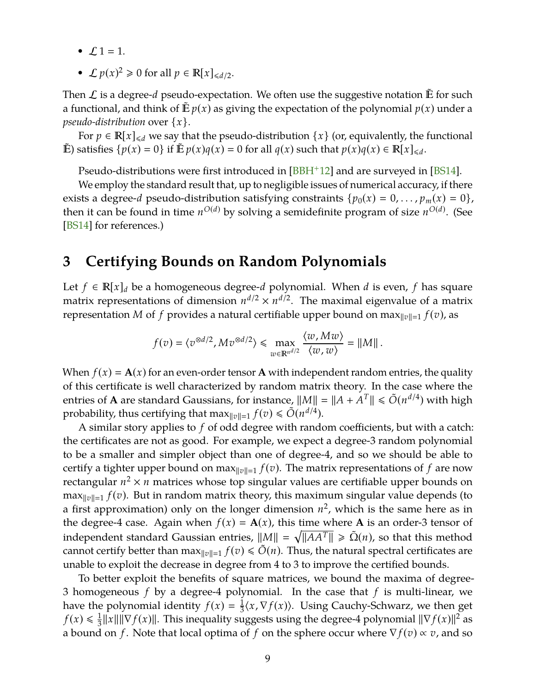- <span id="page-10-1"></span>•  $L1 = 1$ .
- $\mathcal{L} p(x)^2 \ge 0$  for all  $p \in \mathbb{R}[x]_{\le d/2}$ .

Then  $\mathcal L$  is a degree-*d* pseudo-expectation. We often use the suggestive notation  $\mathbb E$  for such a functional, and think of  $E p(x)$  as giving the expectation of the polynomial  $p(x)$  under a *pseudo-distribution* over {*x*}.

For  $p \in \mathbb{R}[x]_{\le d}$  we say that the pseudo-distribution  $\{x\}$  (or, equivalently, the functional  $\mathbb{E}$ ) satisfies  $\{p(x) = 0\}$  if  $\mathbb{E} p(x)q(x) = 0$  for all  $q(x)$  such that  $p(x)q(x) \in \mathbb{R}[x]_{\le d}$ .

Pseudo-distributions were first introduced in  $[BBH^+12]$  $[BBH^+12]$  and are surveyed in  $[BS14]$ .

We employ the standard result that, up to negligible issues of numerical accuracy, if there exists a degree-*d* pseudo-distribution satisfying constraints  $\{p_0(x) = 0, \ldots, p_m(x) = 0\}$ , then it can be found in time  $n^{O(d)}$  by solving a semidefinite program of size  $n^{O(d)}$ . (See [\[BS14\]](#page-46-2) for references.)

## <span id="page-10-0"></span>**3 Certifying Bounds on Random Polynomials**

Let *f* ∈  $\mathbb{R}[x]_d$  be a homogeneous degree-*d* polynomial. When *d* is even, *f* has square matrix representations of dimension  $n^{d/2} \times n^{d/2}$ . The maximal eigenvalue of a matrix representation *M* of *f* provides a natural certifiable upper bound on max $\|v\| = 1$   $f(v)$ , as

$$
f(v) = \langle v^{\otimes d/2}, Mv^{\otimes d/2} \rangle \le \max_{w \in \mathbb{R}^{n^{d/2}}} \frac{\langle w, Mw \rangle}{\langle w, w \rangle} = ||M||.
$$

When  $f(x) = A(x)$  for an even-order tensor A with independent random entries, the quality of this certificate is well characterized by random matrix theory. In the case where the entries of **A** are standard Gaussians, for instance,  $||M|| = ||A + A^T|| \le \tilde{O}(n^{d/4})$  with high probability, thus certifying that  $\max_{\|v\|=1} f(v) \leq \tilde{O}(n^{d/4}).$ 

A similar story applies to *f* of odd degree with random coefficients, but with a catch: the certificates are not as good. For example, we expect a degree-3 random polynomial to be a smaller and simpler object than one of degree-4, and so we should be able to certify a tighter upper bound on max $\|v\|=1} f(v)$ . The matrix representations of f are now rectangular  $n^2 \times n$  matrices whose top singular values are certifiable upper bounds on  $\max_{\|v\|=1} f(v)$ . But in random matrix theory, this maximum singular value depends (to a first approximation) only on the longer dimension  $n^2$ , which is the same here as in the degree-4 case. Again when  $f(x) = A(x)$ , this time where A is an order-3 tensor of independent standard Gaussian entries,  $||M|| = \sqrt{||AA^T||} \ge \tilde{\Omega}(n)$ , so that this method cannot certify better than  $\max_{\|v\|=1} f(v) \le O(n)$ . Thus, the natural spectral certificates are unable to exploit the decrease in degree from 4 to 3 to improve the certified bounds.

To better exploit the benefits of square matrices, we bound the maxima of degree-3 homogeneous *f* by a degree-4 polynomial. In the case that *f* is multi-linear, we have the polynomial identity  $f(x) = \frac{1}{3}$  $\frac{1}{3}\langle x,\nabla f(x)\rangle$ . Using Cauchy-Schwarz, we then get  $f(x) \leq \frac{1}{3}$  $\frac{1}{3}$  *f x*|*|*|*|*  $\nabla$  *f*(*x*)*||*. This inequality suggests using the degree-4 polynomial  $||\nabla$  *f*(*x*)*||*<sup>2</sup> as a bound on *f* . Note that local optima of *f* on the sphere occur where ∇ *f* (*v*) ∝ *v*, and so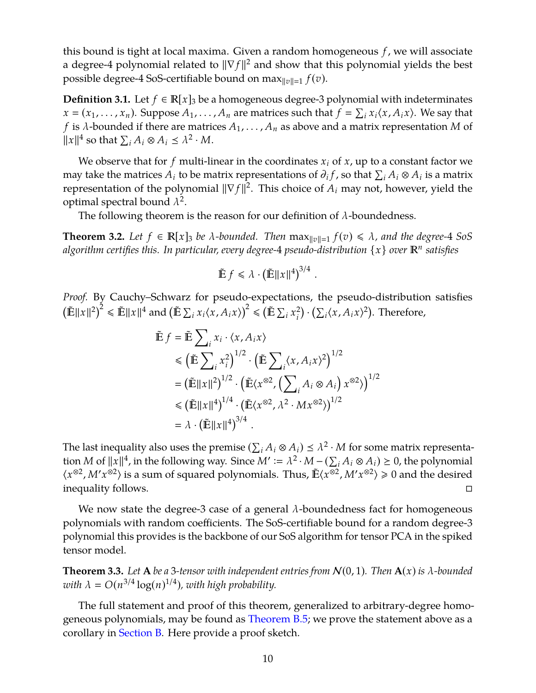this bound is tight at local maxima. Given a random homogeneous *f* , we will associate a degree-4 polynomial related to  $\|\nabla f\|^2$  and show that this polynomial yields the best possible degree-4 SoS-certifiable bound on max $\|v\| = 1$   $f(v)$ .

**Definition 3.1.** Let  $f$  ∈  $\mathbb{R}[x]_3$  be a homogeneous degree-3 polynomial with indeterminates  $x = (x_1, \ldots, x_n)$ . Suppose  $A_1, \ldots, A_n$  are matrices such that  $f = \sum_i x_i \langle x, A_i x \rangle$ . We say that *f* is  $\lambda$ -bounded if there are matrices  $A_1, \ldots, A_n$  as above and a matrix representation *M* of  $||x||^4$  so that  $\sum_i A_i \otimes A_i \leq \lambda^2 \cdot M$ .

We observe that for  $f$  multi-linear in the coordinates  $x_i$  of  $x$ , up to a constant factor we may take the matrices  $A_i$  to be matrix representations of  $\partial_i f$ , so that  $\sum_i A_i \otimes A_i$  is a matrix representation of the polynomial  $\|\nabla f\|^2$ . This choice of  $A_i$  may not, however, yield the optimal spectral bound  $\lambda^2$ .

The following theorem is the reason for our definition of  $\lambda$ -boundedness.

<span id="page-11-1"></span>**Theorem 3.2.** Let  $f \in \mathbb{R}[x]_3$  be  $\lambda$ -bounded. Then  $\max_{\|v\|=1} f(v) \leq \lambda$ , and the degree-4 SoS *algorithm certifies this. In particular, every degree-*4 *pseudo-distribution* {*x*} *over <sup>n</sup> satisfies*

$$
\tilde{\mathbb{E}} f \leq \lambda \cdot \left(\tilde{\mathbb{E}} \|x\|^4\right)^{3/4}.
$$

*Proof.* By Cauchy–Schwarz for pseudo-expectations, the pseudo-distribution satisfies  $T^{i}$  External Axel and  $\left(\mathbb{E}\sum_{i}x_{i}\langle x, A_{i}x \rangle\right)$ <br> $\mathbb{E}||x||^{2}\leq \mathbb{E}||x||^{4}$  and  $\left(\mathbb{E}\sum_{i}x_{i}\langle x, A_{i}x \rangle\right)$  $\left(\tilde{\mathbb{E}}\sum_{i}x_{i}^{2}\right)$  $\sum_{i}^{2} \cdot \left( \sum_{i} \langle x, A_{i} x \rangle^{2} \right)$ . Therefore,

$$
\tilde{\mathbb{E}} f = \tilde{\mathbb{E}} \sum_{i} x_{i} \cdot \langle x, A_{i} x \rangle
$$
\n
$$
\leq \left( \tilde{\mathbb{E}} \sum_{i} x_{i}^{2} \right)^{1/2} \cdot \left( \tilde{\mathbb{E}} \sum_{i} \langle x, A_{i} x \rangle^{2} \right)^{1/2}
$$
\n
$$
= \left( \tilde{\mathbb{E}} ||x||^{2} \right)^{1/2} \cdot \left( \tilde{\mathbb{E}} \langle x^{\otimes 2}, \left( \sum_{i} A_{i} \otimes A_{i} \right) x^{\otimes 2} \rangle \right)^{1/2}
$$
\n
$$
\leq \left( \tilde{\mathbb{E}} ||x||^{4} \right)^{1/4} \cdot \left( \tilde{\mathbb{E}} \langle x^{\otimes 2}, \lambda^{2} \cdot M x^{\otimes 2} \rangle \right)^{1/2}
$$
\n
$$
= \lambda \cdot \left( \tilde{\mathbb{E}} ||x||^{4} \right)^{3/4} .
$$

The last inequality also uses the premise  $(\sum_i A_i\otimes A_i)\preceq \lambda^2\cdot M$  for some matrix representation *M* of  $||x||^4$ , in the following way. Since  $M' := \lambda^2 \cdot M - (\sum_i A_i \otimes A_i) \ge 0$ , the polynomial  $\langle x^{\otimes 2}, M'x^{\otimes 2} \rangle$  is a sum of squared polynomials. Thus,  $\tilde{E}\langle x^{\otimes 2}, M'x^{\otimes 2} \rangle \ge 0$  and the desired inequality follows.

We now state the degree-3 case of a general  $\lambda$ -boundedness fact for homogeneous polynomials with random coefficients. The SoS-certifiable bound for a random degree-3 polynomial this provides is the backbone of our SoS algorithm for tensor PCA in the spiked tensor model.

<span id="page-11-0"></span>**Theorem 3.3.** Let **A** be a 3-tensor with independent entries from  $N(0, 1)$ . Then  $A(x)$  is  $\lambda$ -bounded with  $\lambda = O(n^{3/4} \log(n)^{1/4})$ , with high probability.

The full statement and proof of this theorem, generalized to arbitrary-degree homogeneous polynomials, may be found as [Theorem B.5;](#page-50-0) we prove the statement above as a corollary in [Section B.](#page-49-0) Here provide a proof sketch.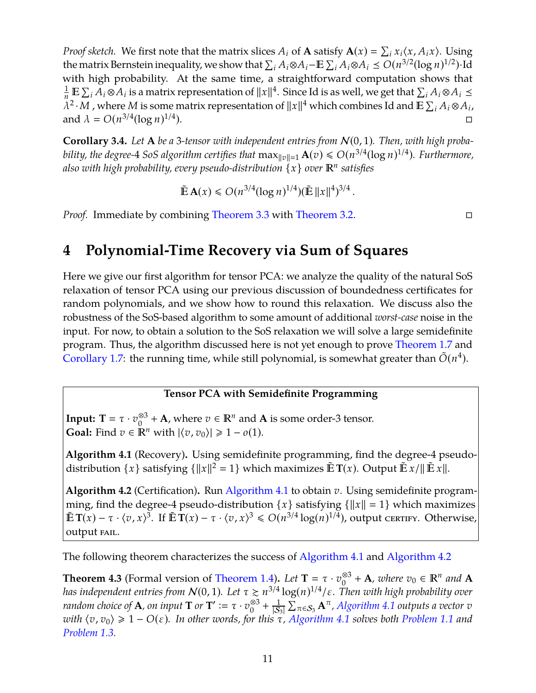*Proof sketch.* We first note that the matrix slices  $A_i$  of **A** satisfy  $\mathbf{A}(x) = \sum_i x_i \langle x, A_i x \rangle$ . Using the matrix Bernstein inequality, we show that  $\sum_i A_i \otimes A_i$  –  $\mathbb{E} \sum_i A_i \otimes A_i \leq O(n^{3/2} (\log n)^{1/2})$ ·Id with high probability. At the same time, a straightforward computation shows that  $\frac{1}{n}$  **E**  $\sum_i A_i \otimes A_i$  is a matrix representation of  $||x||^4$ . Since Id is as well, we get that  $\sum_i A_i \otimes A_i \le$  $\overline{\lambda^2 \cdot M}$  , where *M* is some matrix representation of  $||x||^4$  which combines Id and  $\overline{E} \sum_i A_i \otimes A_i$ , and  $\lambda = O(n^{3/4} (\log n)^{1/4})$ ).

<span id="page-12-3"></span>**Corollary 3.4.** *Let* **A** *be a* 3*-tensor with independent entries from* N(0, 1)*. Then, with high probability, the degree-* $4$  *SoS algorithm certifies that*  $\max_{\|v\|=1} \mathbf{A}(v) \le O(n^{3/4} (\log n)^{1/4})$ *. Furthermore,* also with high probability, every pseudo-distribution  $\{x\}$  over  $\mathbb{R}^n$  satisfies

$$
\tilde{\mathbb{E}}\mathbf{A}(x) \le O(n^{3/4}(\log n)^{1/4})(\tilde{\mathbb{E}}\|x\|^{4})^{3/4}.
$$

*Proof.* Immediate by combining [Theorem 3.3](#page-11-0) with [Theorem 3.2.](#page-11-1)

## <span id="page-12-0"></span>**4 Polynomial-Time Recovery via Sum of Squares**

Here we give our first algorithm for tensor PCA: we analyze the quality of the natural SoS relaxation of tensor PCA using our previous discussion of boundedness certificates for random polynomials, and we show how to round this relaxation. We discuss also the robustness of the SoS-based algorithm to some amount of additional *worst-case* noise in the input. For now, to obtain a solution to the SoS relaxation we will solve a large semidefinite program. Thus, the algorithm discussed here is not yet enough to prove [Theorem 1.7](#page-4-1) and [Corollary 1.7:](#page-4-1) the running time, while still polynomial, is somewhat greater than  $\tilde{O}(n^4)$ .

### **Tensor PCA with Semidefinite Programming**

**Input: T** =  $\tau \cdot v_0^{\otimes 3}$ <sup>⊗3</sup> + **A**, where  $v \in \mathbb{R}^n$  and **A** is some order-3 tensor. **Goal:** Find  $v \in \mathbb{R}^n$  with  $|\langle v, v_0 \rangle| \geq 1 - o(1)$ .

<span id="page-12-1"></span>**Algorithm 4.1** (Recovery)**.** Using semidefinite programming, find the degree-4 pseudodistribution  $\{x\}$  satisfying  $\{\|x\|^2 = 1\}$  which maximizes  $\mathbb{E} \mathbf{T}(x)$ . Output  $\mathbb{E} \mathbf{x}/\|\mathbb{E} \mathbf{x}\|$ .

<span id="page-12-2"></span>**Algorithm 4.2** (Certification)**.** Run [Algorithm 4.1](#page-12-1) to obtain *v*. Using semidefinite programming, find the degree-4 pseudo-distribution  $\{x\}$  satisfying  $\{\|x\| = 1\}$  which maximizes  $\mathbb{E} \mathbf{T}(x) - \tau \cdot \langle v, x \rangle^{3}$ . If  $\mathbb{E} \mathbf{T}(x) - \tau \cdot \langle v, x \rangle^{3} \leq \mathcal{O}(n^{3/4} \log(n)^{1/4})$ , output certify. Otherwise, output FAIL.

The following theorem characterizes the success of [Algorithm 4.1](#page-12-1) and [Algorithm 4.2](#page-12-2)

<span id="page-12-4"></span>**Theorem 4.3** (Formal version of [Theorem 1.4\)](#page-3-2). *Let*  $T = \tau \cdot v_0^{\otimes 3}$  $_{0}^{\otimes 3}$  + **A**, where  $v_0 \in \mathbb{R}^n$  and **A** has independent entries from  $\mathcal{N}(0,1)$ . Let  $\tau \gtrsim n^{3/4} \log(n)^{1/4}/\varepsilon$ . Then with high probability over *random choice of* **A***, on input* **T** *or* **T**<sup> $\prime$ </sup> :=  $\tau \cdot v_0^{\otimes 3}$  $_{0}^{\otimes 3} + \frac{1}{s}$  $\frac{1}{|{\cal S}_3|}\sum_{\pi \in {\cal S}_3} {\bf A}^\pi$ , [Algorithm 4.1](#page-12-1) outputs a vector  $v$ *with*  $\langle v, v_0 \rangle \ge 1 - O(\varepsilon)$ *. In other words, for this*  $\tau$ *, [Algorithm 4.1](#page-12-1) solves both [Problem 1.1](#page-2-2) and [Problem 1.3.](#page-3-1)*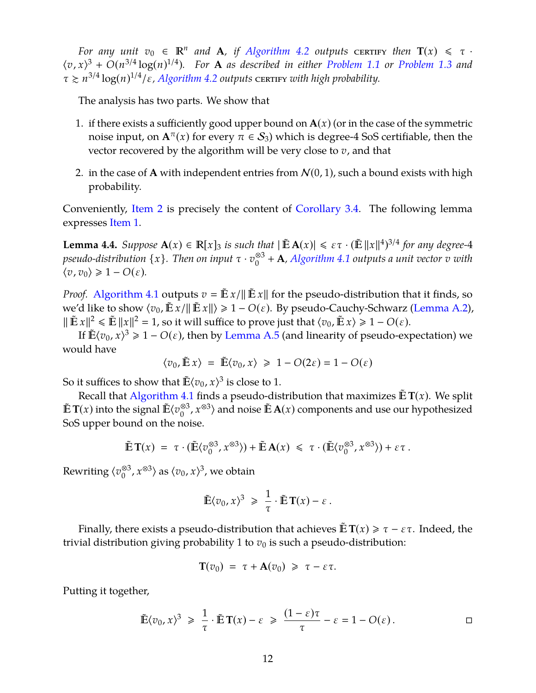*For any unit*  $v_0 \in \mathbb{R}^n$  *and* **A**, if [Algorithm 4.2](#page-12-2) outputs certify then  $T(x) \leq \tau$ .  $\langle v, x \rangle^3 + O(n^{3/4} \log(n)^{1/4})$ *. For* **A** *as described in either [Problem 1.1](#page-2-2) or [Problem 1.3](#page-3-1) and*  $\tau \gtrsim n^{3/4} \log(n)^{1/4} / \varepsilon$ , *[Algorithm 4.2](#page-12-2) outputs* CERTIFY *with high probability*.

The analysis has two parts. We show that

- <span id="page-13-1"></span>1. if there exists a sufficiently good upper bound on  $A(x)$  (or in the case of the symmetric noise input, on  $A^{\pi}(x)$  for every  $\pi \in S_3$ ) which is degree-4 SoS certifiable, then the vector recovered by the algorithm will be very close to *v*, and that
- <span id="page-13-0"></span>2. in the case of **A** with independent entries from  $\mathcal{N}(0, 1)$ , such a bound exists with high probability.

Conveniently, [Item 2](#page-13-0) is precisely the content of [Corollary 3.4.](#page-12-3) The following lemma expresses [Item 1.](#page-13-1)

<span id="page-13-2"></span>**Lemma 4.4.** *Suppose*  $\mathbf{A}(x) \in \mathbb{R}[x]_3$  *is such that*  $|\tilde{\mathbb{E}} \mathbf{A}(x)| \le \varepsilon \tau \cdot (\tilde{\mathbb{E}} ||x||^4)^{3/4}$  for any degree-4 *pseudo-distribution* {*x*}*. Then on input* τ · *v* ⊗3 0 + **A***, [Algorithm 4.1](#page-12-1) outputs a unit vector v with*  $\langle v, v_0 \rangle$  ≥ 1 −  $O(\varepsilon)$ *.* 

*Proof.* [Algorithm 4.1](#page-12-1) outputs  $v = \mathbb{E} x / ||\mathbb{E} x||$  for the pseudo-distribution that it finds, so we'd like to show  $\langle v_0, \mathbb{E} x/\|\mathbb{E} x\| \geq 1 - O(\varepsilon)$ . By pseudo-Cauchy-Schwarz [\(Lemma A.2\)](#page-47-4),  $\|\tilde{\mathbf{E}} x\|^2 \le \tilde{\mathbf{E}} \|x\|^2 = 1$ , so it will suffice to prove just that  $\langle v_0, \tilde{\mathbf{E}} x \rangle \ge 1 - O(\varepsilon)$ .

If  $\mathbb{E}\langle v_0, x \rangle^3 \geq 1 - O(\varepsilon)$ , then by [Lemma A.5](#page-48-0) (and linearity of pseudo-expectation) we would have

$$
\langle v_0, \tilde{\mathbb{E}} x \rangle = \tilde{\mathbb{E}} \langle v_0, x \rangle \ge 1 - O(2\varepsilon) = 1 - O(\varepsilon)
$$

So it suffices to show that  $\tilde{\mathbb{E}} \langle v_0, x \rangle^3$  is close to 1.

Recall that [Algorithm 4.1](#page-12-1) finds a pseudo-distribution that maximizes  $\tilde{\mathbb{E}} T(x)$ . We split  $\mathbb{E} T(x)$  into the signal  $\mathbb{E} \langle v_0^{\otimes 3} \rangle$  $\binom{83}{0}$ ,  $x^{\otimes 3}$  and noise  $\mathbb{\tilde{E}}$  **A**(*x*) components and use our hypothesized SoS upper bound on the noise.

$$
\tilde{\mathbb{E}} \, \mathbf{T}(x) \; = \; \tau \cdot (\tilde{\mathbb{E}} \langle v_0^{\otimes 3}, x^{\otimes 3} \rangle) + \tilde{\mathbb{E}} \, \mathbf{A}(x) \; \leq \; \tau \cdot (\tilde{\mathbb{E}} \langle v_0^{\otimes 3}, x^{\otimes 3} \rangle) + \varepsilon \tau \, .
$$

Rewriting ⟨ $v_{0}^{\otimes 3}$  $\binom{83}{0}$ ,  $x^{\otimes 3}$  as  $\langle v_0, x \rangle^3$ , we obtain

$$
\tilde{\mathbb{E}}\langle v_0, x\rangle^3 \geq \frac{1}{\tau}\cdot \tilde{\mathbb{E}}\, \mathbf{T}(x)-\varepsilon\,.
$$

Finally, there exists a pseudo-distribution that achieves  $\mathbb{E} T(x) \ge \tau - \varepsilon \tau$ . Indeed, the trivial distribution giving probability 1 to  $v_0$  is such a pseudo-distribution:

$$
\mathbf{T}(v_0) = \tau + \mathbf{A}(v_0) \geq \tau - \varepsilon \tau.
$$

Putting it together,

$$
\tilde{\mathbb{E}}\langle v_0, x \rangle^3 \geq \frac{1}{\tau} \cdot \tilde{\mathbb{E}} \, \mathbf{T}(x) - \varepsilon \geq \frac{(1-\varepsilon)\tau}{\tau} - \varepsilon = 1 - O(\varepsilon).
$$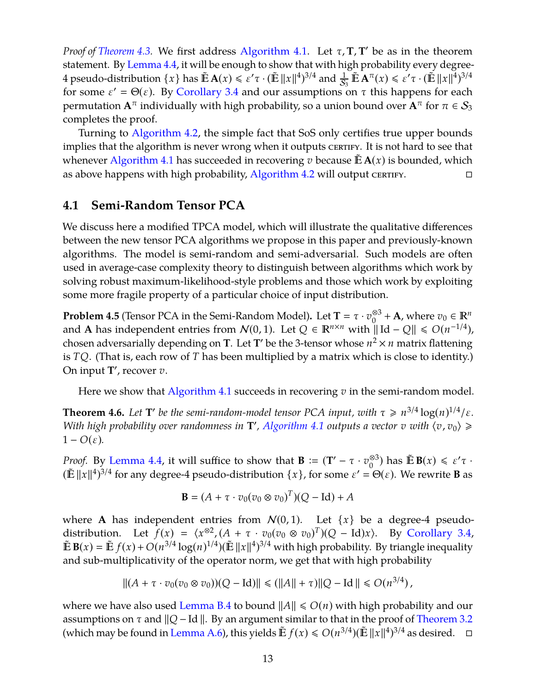*Proof of [Theorem 4.3.](#page-12-4)* We first address [Algorithm 4.1.](#page-12-1) Let τ, **T**, **T**' be as in the theorem statement. By [Lemma 4.4,](#page-13-2) it will be enough to show that with high probability every degree-4 pseudo-distribution  $\{x\}$  has  $\mathbb{\tilde{E}} \mathbf{A}(x) \leq \varepsilon' \tau \cdot (\mathbb{\tilde{E}} \|x\|^4)^{3/4}$  and  $\frac{1}{S_3} \mathbb{\tilde{E}} \mathbf{A}^\pi(x) \leq \varepsilon' \tau \cdot (\mathbb{\tilde{E}} \|x\|^4)^{3/4}$ for some  $\varepsilon' = \Theta(\varepsilon)$ . By [Corollary 3.4](#page-12-3) and our assumptions on  $\tau$  this happens for each permutation  **individually with high probability, so a union bound over**  $**A**<sup>π</sup>$  **for**  $π ∈ S<sub>3</sub>$ completes the proof.

Turning to [Algorithm 4.2,](#page-12-2) the simple fact that SoS only certifies true upper bounds implies that the algorithm is never wrong when it outputs certury. It is not hard to see that whenever [Algorithm 4.1](#page-12-1) has succeeded in recovering *v* because  $E \mathbf{A}(x)$  is bounded, which as above happens with high probability, [Algorithm 4.2](#page-12-2) will output certify.

## <span id="page-14-0"></span>**4.1 Semi-Random Tensor PCA**

We discuss here a modified TPCA model, which will illustrate the qualitative differences between the new tensor PCA algorithms we propose in this paper and previously-known algorithms. The model is semi-random and semi-adversarial. Such models are often used in average-case complexity theory to distinguish between algorithms which work by solving robust maximum-likelihood-style problems and those which work by exploiting some more fragile property of a particular choice of input distribution.

**Problem 4.5** (Tensor PCA in the Semi-Random Model). Let  $T = \tau \cdot v_0^{\otimes 3}$  $\frac{\otimes 3}{0}$  + **A**, where  $v_0 \in \mathbb{R}^n$ and **A** has independent entries from  $\mathcal{N}(0, 1)$ . Let  $Q \in \mathbb{R}^{n \times n}$  with  $\Vert$ Id −  $Q \Vert \leq O(n^{-1/4})$ , chosen adversarially depending on **T**. Let **T**' be the 3-tensor whose  $n^2 \times n$  matrix flattening is *TQ*. (That is, each row of *T* has been multiplied by a matrix which is close to identity.) On input **T'**, recover *v*.

Here we show that [Algorithm 4.1](#page-12-1) succeeds in recovering *v* in the semi-random model.

**Theorem 4.6.** Let **T**' be the semi-random-model tensor PCA input, with  $\tau \ge n^{3/4} \log(n)^{1/4}/\varepsilon$ . *With high probability over randomness in* **T'**, [Algorithm 4.1](#page-12-1) *outputs a vector v with*  $\langle v, v_0 \rangle \geq$  $1 - O(\varepsilon)$ .

*Proof.* By [Lemma 4.4,](#page-13-2) it will suffice to show that  $\mathbf{B} := (\mathbf{T}' - \tau \cdot v_0^{\otimes 3})$  $\binom{83}{0}$  has  $\tilde{\mathbb{E}}$  **B** $(x) \leq \varepsilon' \tau$ .  $(\mathbb{E} ||x||^4)^{3/4}$  for any degree-4 pseudo-distribution  $\{x\}$ , for some  $\varepsilon' = \Theta(\varepsilon)$ . We rewrite **B** as

$$
\mathbf{B} = (A + \tau \cdot v_0 (v_0 \otimes v_0)^T)(Q - \mathrm{Id}) + A
$$

where **A** has independent entries from  $N(0, 1)$ . Let  $\{x\}$  be a degree-4 pseudodistribution. Let  $f(x) = \langle x^{\otimes 2}, (A + \tau \cdot v_0(v_0 \otimes v_0)^T)(Q - \text{Id})x \rangle$ . By [Corollary 3.4,](#page-12-3)  $\tilde{\mathbb{E}} \mathbf{B}(x) = \tilde{\mathbb{E}} f(x) + O(n^{3/4} \log(n)^{1/4}) (\tilde{\mathbb{E}} ||x||^4)^{3/4}$  with high probability. By triangle inequality and sub-multiplicativity of the operator norm, we get that with high probability

$$
||(A + \tau \cdot v_0(v_0 \otimes v_0))(Q - \text{Id})|| \leq (||A|| + \tau)||Q - \text{Id}|| \leq O(n^{3/4}),
$$

where we have also used [Lemma B.4](#page-50-1) to bound  $||A|| \le O(n)$  with high probability and our assumptions on  $\tau$  and  $\|Q - \text{Id}\|$ . By an argument similar to that in the proof of [Theorem 3.2](#page-11-1) (which may be found in [Lemma A.6\)](#page-48-1), this yields  $\tilde{\mathbb{E}} f(x) \le O(n^{3/4}) (\tilde{\mathbb{E}} ||x||^4)^{3/4}$  as desired.  $\Box$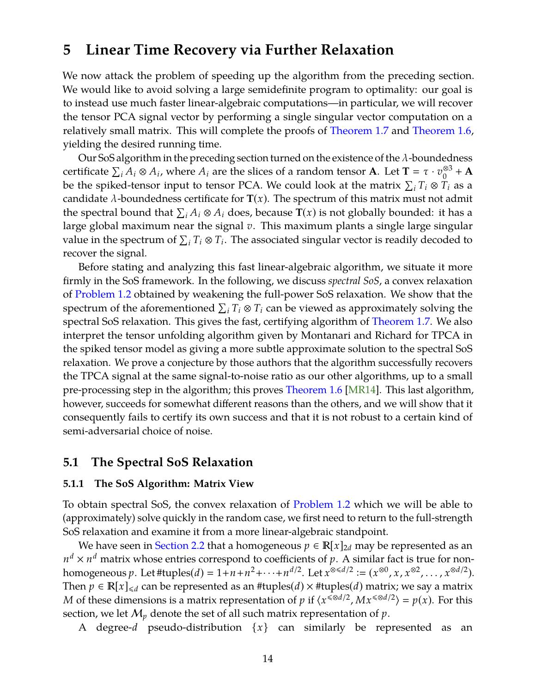## <span id="page-15-2"></span><span id="page-15-0"></span>**5 Linear Time Recovery via Further Relaxation**

We now attack the problem of speeding up the algorithm from the preceding section. We would like to avoid solving a large semidefinite program to optimality: our goal is to instead use much faster linear-algebraic computations—in particular, we will recover the tensor PCA signal vector by performing a single singular vector computation on a relatively small matrix. This will complete the proofs of [Theorem 1.7](#page-4-1) and [Theorem 1.6,](#page-4-0) yielding the desired running time.

Our SoS algorithm in the preceding section turned on the existence of the  $\lambda$ -boundedness certificate  $\sum_i A_i \otimes A_i$ , where  $A_i$  are the slices of a random tensor **A**. Let **T** =  $\tau \cdot v_0^{\otimes 3}$  $_0^{\otimes 3}$  + **A** be the spiked-tensor input to tensor PCA. We could look at the matrix  $\sum_i T_i \otimes \breve{T}_i$  as a candidate  $\lambda$ -boundedness certificate for  $\mathbf{T}(x)$ . The spectrum of this matrix must not admit the spectral bound that  $\sum_i A_i \otimes A_i$  does, because  $\overline{\mathbf{T}}(x)$  is not globally bounded: it has a large global maximum near the signal *v*. This maximum plants a single large singular value in the spectrum of  $\sum_i T_i \otimes T_i$ . The associated singular vector is readily decoded to recover the signal.

Before stating and analyzing this fast linear-algebraic algorithm, we situate it more firmly in the SoS framework. In the following, we discuss *spectral SoS*, a convex relaxation of [Problem 1.2](#page-3-0) obtained by weakening the full-power SoS relaxation. We show that the spectrum of the aforementioned  $\sum_i T_i \otimes T_i$  can be viewed as approximately solving the spectral SoS relaxation. This gives the fast, certifying algorithm of [Theorem 1.7.](#page-4-1) We also interpret the tensor unfolding algorithm given by Montanari and Richard for TPCA in the spiked tensor model as giving a more subtle approximate solution to the spectral SoS relaxation. We prove a conjecture by those authors that the algorithm successfully recovers the TPCA signal at the same signal-to-noise ratio as our other algorithms, up to a small pre-processing step in the algorithm; this proves [Theorem 1.6](#page-4-0) [\[MR14\]](#page-47-1). This last algorithm, however, succeeds for somewhat different reasons than the others, and we will show that it consequently fails to certify its own success and that it is not robust to a certain kind of semi-adversarial choice of noise.

## **5.1 The Spectral SoS Relaxation**

#### <span id="page-15-1"></span>**5.1.1 The SoS Algorithm: Matrix View**

To obtain spectral SoS, the convex relaxation of [Problem 1.2](#page-3-0) which we will be able to (approximately) solve quickly in the random case, we first need to return to the full-strength SoS relaxation and examine it from a more linear-algebraic standpoint.

We have seen in [Section 2.2](#page-9-1) that a homogeneous  $p \in \mathbb{R}[x]_{2d}$  may be represented as an  $n^d \times n^d$  matrix whose entries correspond to coefficients of  $p$ . A similar fact is true for nonhomogeneous *p*. Let #tuples(*d*) =  $1+n+n^2+\cdots+n^{d/2}$ . Let  $x^{\otimes d/2} := (x^{\otimes 0}, x, x^{\otimes 2}, \dots, x^{\otimes d/2})$ . Then  $p \in \mathbb{R}[x]_{\le d}$  can be represented as an #tuples(*d*)  $\times$  #tuples(*d*) matrix; we say a matrix *M* of these dimensions is a matrix representation of *p* if  $\langle x^{\le \otimes d/2}, Mx^{\le \otimes d/2} \rangle = p(x)$ . For this section, we let  $M_p$  denote the set of all such matrix representation of  $p$ .

A degree-*d* pseudo-distribution  $\{x\}$  can similarly be represented as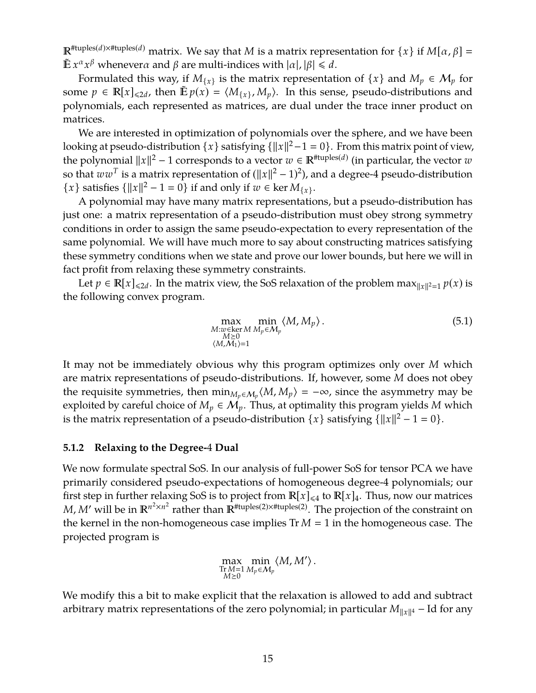$\mathbb{R}^{\text{#tuples}(d) \times \text{#tuples}(d)}$  matrix. We say that *M* is a matrix representation for  $\{x\}$  if  $M[\alpha, \beta] =$  $\tilde{\mathbb{E}} x^{\alpha} x^{\beta}$  wheneverα and  $\beta$  are multi-indices with  $|\alpha|, |\beta| \le d$ .

Formulated this way, if  $M_{\{x\}}$  is the matrix representation of  $\{x\}$  and  $M_p \in M_p$  for some  $p \in \mathbb{R}[x]_{\le 2d}$ , then  $\mathbb{E} p(x) = \langle M_{\{x\}}, M_p \rangle$ . In this sense, pseudo-distributions and polynomials, each represented as matrices, are dual under the trace inner product on matrices.

We are interested in optimization of polynomials over the sphere, and we have been looking at pseudo-distribution  $\{x\}$  satisfying  $\{\|x\|^2-1=0\}$ . From this matrix point of view, the polynomial  $||x||^2 - 1$  corresponds to a vector  $w \in \mathbb{R}^{*\text{tuples}(d)}$  (in particular, the vector  $w$ so that  $ww^T$  is a matrix representation of  $(||x||^2 - 1)^2$ ), and a degree-4 pseudo-distribution {*x*} satisfies { $||x||^2 - 1 = 0$ } if and only if  $w \in \text{ker } M_{\{x\}}$ .

A polynomial may have many matrix representations, but a pseudo-distribution has just one: a matrix representation of a pseudo-distribution must obey strong symmetry conditions in order to assign the same pseudo-expectation to every representation of the same polynomial. We will have much more to say about constructing matrices satisfying these symmetry conditions when we state and prove our lower bounds, but here we will in fact profit from relaxing these symmetry constraints.

Let  $p \in \mathbb{R}[x]_{\le 2d}$ . In the matrix view, the SoS relaxation of the problem max $\lim_{\|x\|^2=1} p(x)$  is the following convex program.

$$
\max_{\substack{M:w\in\ker M\\M\geq 0\\(M,M_1)=1}}\min_{\substack{M\\(M,M_p\sim M_p}}\langle M,M_p\rangle.
$$
\n(5.1)

It may not be immediately obvious why this program optimizes only over *M* which are matrix representations of pseudo-distributions. If, however, some *M* does not obey the requisite symmetries, then  $\min_{M_p \in M_p} \langle M, M_p \rangle = -\infty$ , since the asymmetry may be exploited by careful choice of  $M_p \in \mathcal{M}_p$ . Thus, at optimality this program yields M which is the matrix representation of a pseudo-distribution  $\{x\}$  satisfying  $\{\|x\|^2 - 1 = 0\}$ .

#### **5.1.2 Relaxing to the Degree-**4 **Dual**

We now formulate spectral SoS. In our analysis of full-power SoS for tensor PCA we have primarily considered pseudo-expectations of homogeneous degree-4 polynomials; our first step in further relaxing SoS is to project from  $\mathbb{R}[x]_{\leq 4}$  to  $\mathbb{R}[x]_4$ . Thus, now our matrices *M*, *M'* will be in  $\mathbb{R}^{n^2 \times n^2}$  rather than  $\mathbb{R}^{H \times n}$  results are projection of the constraint on the kernel in the non-homogeneous case implies  $Tr M = 1$  in the homogeneous case. The projected program is

$$
\max_{\substack{\text{Tr }M=1 \\ M\geq 0}} \min_{\substack{M_p\in \mathcal{M}_p}} \langle M, M' \rangle.
$$

We modify this a bit to make explicit that the relaxation is allowed to add and subtract arbitrary matrix representations of the zero polynomial; in particular  $M_{\|x\|^4}$  – Id for any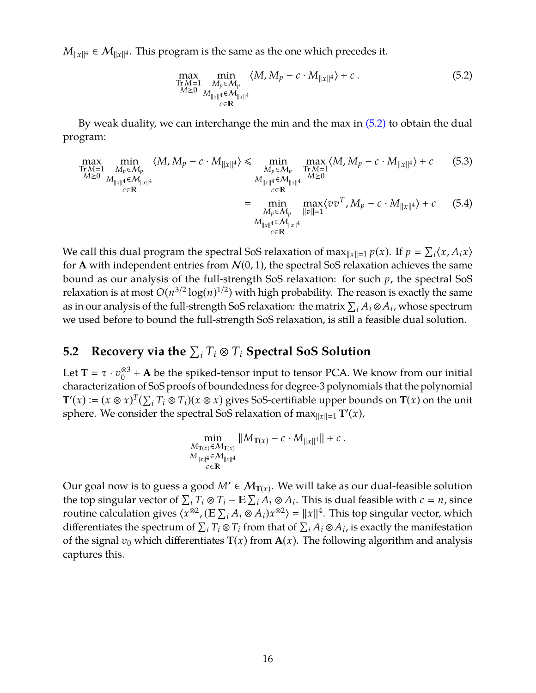$M_{\|x\|^4} \in \mathcal{M}_{\|x\|^4}$ . This program is the same as the one which precedes it.

<span id="page-17-0"></span>
$$
\max_{\substack{\text{Tr } M=1\\M\geq 0}} \min_{\substack{M_p \in \mathcal{M}_p\\M_{\|x\|^4} \in \mathcal{M}_{\|x\|^4}}}\langle M, M_p - c \cdot M_{\|x\|^4} \rangle + c. \tag{5.2}
$$

By weak duality, we can interchange the min and the max in [\(5.2\)](#page-17-0) to obtain the dual program:

$$
\max_{\substack{\text{Tr } M=1\\M\geq 0}} \min_{\substack{M_p \in \mathcal{M}_p\\M_{\|x\|^4} \in \mathcal{M}_{\|x\|^4}}} \langle M, M_p - c \cdot M_{\|x\|^4} \rangle \leq \min_{\substack{M_p \in \mathcal{M}_p\\M_{\|x\|^4} \in \mathcal{M}_{\|x\|^4}}} \max_{\substack{\text{Tr } M=1\\M\geq 0}} \langle M, M_p - c \cdot M_{\|x\|^4} \rangle + c \quad (5.3)
$$
\n
$$
= \min_{\substack{M_p \in \mathcal{M}_p\\M_p \in \mathcal{M}_p}} \max_{\|v\|=1} \langle vv^T, M_p - c \cdot M_{\|x\|^4} \rangle + c \quad (5.4)
$$
\n
$$
= \min_{\substack{M_p \in \mathcal{M}_p\\M_{\|x\|^4} \in \mathcal{M}_{\|x\|^4}}} \max_{\|v\|=1} \langle vv^T, M_p - c \cdot M_{\|x\|^4} \rangle + c \quad (5.4)
$$

We call this dual program the spectral SoS relaxation of max $\|x\|=1$   $p(x)$ . If  $p = \sum_i \langle x, A_i x \rangle$ for **A** with independent entries from  $N(0, 1)$ , the spectral SoS relaxation achieves the same bound as our analysis of the full-strength SoS relaxation: for such *p*, the spectral SoS relaxation is at most  $O(n^{3/2} \log(n)^{1/2})$  with high probability. The reason is exactly the same as in our analysis of the full-strength SoS relaxation: the matrix  $\sum_i A_i \otimes A_i$ , whose spectrum we used before to bound the full-strength SoS relaxation, is still a feasible dual solution.

# 5.2 Recovery via the  $\sum_i T_i \otimes T_i$  Spectral SoS Solution

Let **T** =  $\tau \cdot v_0^{\otimes 3}$  $\frac{\otimes 3}{0}$  + **A** be the spiked-tensor input to tensor PCA. We know from our initial characterization of SoS proofs of boundedness for degree-3 polynomials that the polynomial  $\mathbf{T}'(x) := (x \otimes x)^T (\sum_i T_i \otimes T_i)(x \otimes x)$  gives SoS-certifiable upper bounds on  $\mathbf{T}(x)$  on the unit sphere. We consider the spectral SoS relaxation of  $\max_{\|x\|=1} T'(x)$ ,

$$
\min_{\substack{M_{\mathbf{T}(x)} \in \mathcal{M}_{\mathbf{T}(x)} \\ M_{\|x\|^4} \in \mathcal{M}_{\|x\|^4}}} \|M_{\mathbf{T}(x)} - c \cdot M_{\|x\|^4} \| + c.
$$
  

$$
\lim_{\substack{c \in \mathbb{R}}} \sum_{x \in \mathbb{R}} \|M_{\|x\|^4}
$$

Our goal now is to guess a good  $M'\in \mathcal{M}_{\mathbf{T}(x)}.$  We will take as our dual-feasible solution the top singular vector of  $\sum_i T_i \otimes T_i - \mathbb{E} \sum_i A_i \otimes A_i$ . This is dual feasible with  $c = n$ , since routine calculation gives  $\langle x^{\otimes 2}$ , ( $\mathbb{E} \sum_i A_i \otimes A_i x^{\otimes 2} \rangle = ||x||^4$ . This top singular vector, which differentiates the spectrum of  $\sum_i T_i \otimes T_i$  from that of  $\sum_i A_i \otimes A_i$ , is exactly the manifestation of the signal  $v_0$  which differentiates  $\mathbf{T}(x)$  from  $\mathbf{A}(x)$ . The following algorithm and analysis captures this.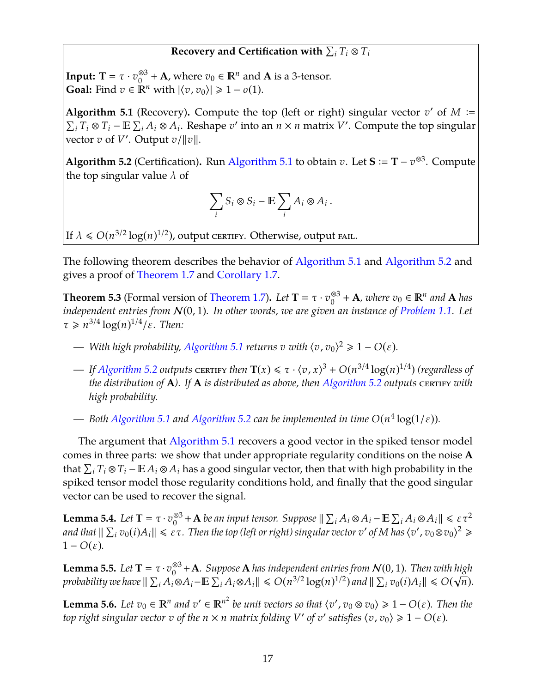## Recovery and Certification with  $\sum_i T_i \otimes T_i$

**Input: T** =  $\tau \cdot v_0^{\otimes 3}$ <sup>⊗3</sup> + **A**, where  $v_0$  ∈  $\mathbb{R}^n$  and **A** is a 3-tensor. **Goal:** Find  $v \in \mathbb{R}^n$  with  $|\langle v, v_0 \rangle| \geq 1 - o(1)$ .

<span id="page-18-0"></span>**Algorithm 5.1** (Recovery). Compute the top (left or right) singular vector  $v'$  of  $M$  :=  $\sum_i T_i \otimes T_i - \mathbb{E} \sum_i A_i \otimes A_i$ . Reshape *v*' into an *n* × *n* matrix *V*'. Compute the top singular  $\overline{v}$  vector *v* of *V'*. Output *v*/ $||v||$ .

<span id="page-18-1"></span>**Algorithm 5.2** (Certification). Run [Algorithm 5.1](#page-18-0) to obtain *v*. Let  $S := T - v^{\otimes 3}$ . Compute the top singular value  $\lambda$  of

$$
\sum_i S_i \otimes S_i - \mathbb{E} \sum_i A_i \otimes A_i.
$$

If  $\lambda \le O(n^{3/2} \log(n)^{1/2})$ , output certify. Otherwise, output fail.

The following theorem describes the behavior of [Algorithm 5.1](#page-18-0) and [Algorithm 5.2](#page-18-1) and gives a proof of [Theorem 1.7](#page-4-1) and [Corollary 1.7.](#page-4-1)

<span id="page-18-5"></span>**Theorem 5.3** (Formal version of [Theorem 1.7\)](#page-4-1). *Let*  $T = \tau \cdot v_0^{\otimes 3}$  $\frac{\infty3}{0}$  + **A**, where  $v_0 \in \mathbb{R}^n$  and **A** has *independent entries from* N(0, 1)*. In other words, we are given an instance of [Problem 1.1.](#page-2-2) Let*  $\tau \geq n^{3/4} \log(n)^{1/4} / \varepsilon$ . Then:

- $\rho$  *With high probability, [Algorithm 5.1](#page-18-0) returns <i>v with*  $\langle v, v_0 \rangle^2 \geq 1 O(\varepsilon)$ *.*
- $\rightarrow$  *If [Algorithm 5.2](#page-18-1) outputs certify then*  $\mathbf{T}(x) \le \tau \cdot \langle v, x \rangle^3 + O(n^{3/4} \log(n)^{1/4})$  *(regardless of the distribution of* **A**). If **A** *is distributed as above, then [Algorithm 5.2](#page-18-1) outputs CERTIFY with high probability.*
- $\rightarrow$  *Both [Algorithm 5.1](#page-18-0) and [Algorithm 5.2](#page-18-1) can be implemented in time*  $O(n^4 \log(1/\epsilon))$ *.*

The argument that [Algorithm 5.1](#page-18-0) recovers a good vector in the spiked tensor model comes in three parts: we show that under appropriate regularity conditions on the noise **A** that  $\sum_i T_i \otimes T_i - \mathbb{E}\, A_i \otimes A_i$  has a good singular vector, then that with high probability in the spiked tensor model those regularity conditions hold, and finally that the good singular vector can be used to recover the signal.

<span id="page-18-3"></span>**Lemma 5.4.** *Let*  $T = \tau \cdot v_0^{\otimes 3}$  $\frac{\partial^3}{\partial^3} + A$  *be an input tensor. Suppose*  $\| \sum_i A_i \otimes A_i - \mathbb{E} \sum_i A_i \otimes A_i \| \leqslant \varepsilon \tau^2$ and that  $\|\sum_i v_0(i) A_i\| \leqslant \varepsilon \tau$ . Then the top (left or right) singular vector  $v'$  of M has  $\langle v',v_0\otimes v_0\rangle^2\geqslant$  $1 - O(\varepsilon)$ .

<span id="page-18-4"></span>**Lemma 5.5.** *Let* **T** =  $\tau \cdot v_0^{\otimes 3}$  $\frac{\otimes 3}{0} + \mathbf{A}$ *. Suppose*  $\mathbf{A}$  *has independent entries from*  $\mathcal{N}(0, 1)$ *. Then with high* probability we have  $\|\sum_i A_i \otimes A_i - \mathbb{E}\sum_i A_i \otimes A_i\| \leqslant O(n^{3/2}\log(n)^{1/2})$  and  $\|\sum_i v_0(i)A_i\| \leqslant O(\sqrt{n}).$ 

<span id="page-18-2"></span>**Lemma 5.6.** Let  $v_0 \in \mathbb{R}^n$  and  $v' \in \mathbb{R}^{n^2}$  be unit vectors so that  $\langle v', v_0 \otimes v_0 \rangle \geq 1 - O(\varepsilon)$ . Then the *top right singular vector*  $v$  *of the*  $n \times n$  *matrix folding*  $V'$  *of*  $v'$  *satisfies*  $\langle v, v_0 \rangle \geq 1 - O(\varepsilon)$ *.*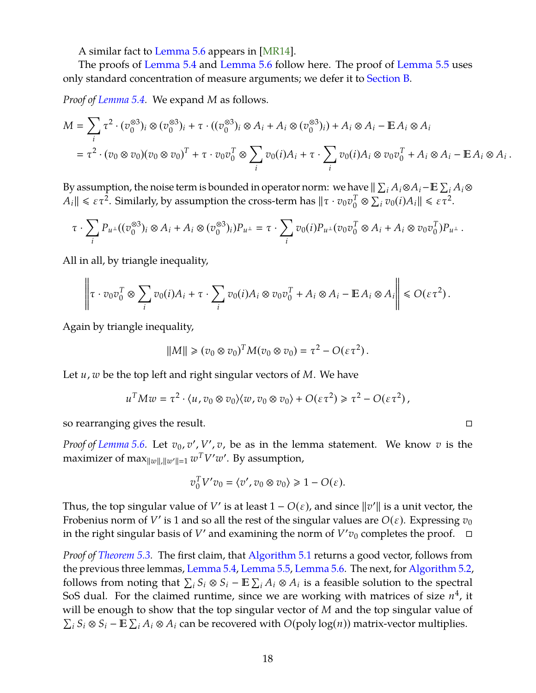<span id="page-19-0"></span>A similar fact to [Lemma 5.6](#page-18-2) appears in [\[MR14\]](#page-47-1).

The proofs of [Lemma 5.4](#page-18-3) and [Lemma 5.6](#page-18-2) follow here. The proof of [Lemma 5.5](#page-18-4) uses only standard concentration of measure arguments; we defer it to [Section B.](#page-49-0)

*Proof of [Lemma 5.4.](#page-18-3)* We expand *M* as follows.

$$
M = \sum_{i} \tau^{2} \cdot (v_{0}^{\otimes 3})_{i} \otimes (v_{0}^{\otimes 3})_{i} + \tau \cdot ((v_{0}^{\otimes 3})_{i} \otimes A_{i} + A_{i} \otimes (v_{0}^{\otimes 3})_{i}) + A_{i} \otimes A_{i} - \mathbb{E} A_{i} \otimes A_{i}
$$
  
=  $\tau^{2} \cdot (v_{0} \otimes v_{0})(v_{0} \otimes v_{0})^{T} + \tau \cdot v_{0}v_{0}^{T} \otimes \sum_{i} v_{0}(i)A_{i} + \tau \cdot \sum_{i} v_{0}(i)A_{i} \otimes v_{0}v_{0}^{T} + A_{i} \otimes A_{i} - \mathbb{E} A_{i} \otimes A_{i}.$ 

By assumption, the noise term is bounded in operator norm: we have  $\| \sum_i A_i \otimes A_i - \mathbb{E} \sum_i A_i \otimes$  $A_i \| \leqslant \varepsilon \tau^2$ . Similarly, by assumption the cross-term has  $\|\tau \cdot v_0 v_0^T \otimes \sum_i v_0(i) A_i \| \leqslant \varepsilon \tau^2$ .

$$
\tau \cdot \sum_i P_{u^{\perp}}((v_0^{\otimes 3})_i \otimes A_i + A_i \otimes (v_0^{\otimes 3})_i)P_{u^{\perp}} = \tau \cdot \sum_i v_0(i)P_{u^{\perp}}(v_0v_0^T \otimes A_i + A_i \otimes v_0v_0^T)P_{u^{\perp}}.
$$

All in all, by triangle inequality,

$$
\left\|\tau \cdot v_0 v_0^T \otimes \sum_i v_0(i) A_i + \tau \cdot \sum_i v_0(i) A_i \otimes v_0 v_0^T + A_i \otimes A_i - \mathbb{E} A_i \otimes A_i\right\| \leq O(\varepsilon \tau^2).
$$

Again by triangle inequality,

$$
||M|| \geq (v_0 \otimes v_0)^T M (v_0 \otimes v_0) = \tau^2 - O(\varepsilon \tau^2).
$$

Let *u*, *w* be the top left and right singular vectors of *M*. We have

$$
u^TMw=\tau^2\cdot \langle u,v_0\otimes v_0\rangle\langle w,v_0\otimes v_0\rangle +O(\varepsilon\tau^2)\geq \tau^2-O(\varepsilon\tau^2)\,,
$$

so rearranging gives the result.

*Proof of [Lemma 5.6.](#page-18-2)* Let  $v_0$ ,  $v'$ ,  $V'$ ,  $v$ , be as in the lemma statement. We know  $v$  is the maximizer of max $_{\|w\|,\|w'\|=1} w^T V'w'.$  By assumption,

$$
v_0^T V' v_0 = \langle v', v_0 \otimes v_0 \rangle \ge 1 - O(\varepsilon).
$$

Thus, the top singular value of *V*' is at least  $1 - O(\varepsilon)$ , and since  $||v'||$  is a unit vector, the Frobenius norm of *V*' is 1 and so all the rest of the singular values are  $O(\varepsilon)$ . Expressing  $v_0$ in the right singular basis of *V'* and examining the norm of  $V'v_0$  completes the proof.  $\Box$ 

*Proof of [Theorem 5.3.](#page-18-5)* The first claim, that [Algorithm 5.1](#page-18-0) returns a good vector, follows from the previous three lemmas, [Lemma 5.4,](#page-18-3) [Lemma 5.5,](#page-18-4) [Lemma 5.6.](#page-18-2) The next, for [Algorithm 5.2,](#page-18-1) follows from noting that  $\sum_i S_i \otimes S_i - \mathbb{E} \sum_i A_i \otimes A_i$  is a feasible solution to the spectral SoS dual. For the claimed runtime, since we are working with matrices of size  $n^4$ , it will be enough to show that the top singular vector of *M* and the top singular value of  $\sum_i S_i \otimes S_i - \mathbb{E} \sum_i A_i \otimes A_i$  can be recovered with  $O(poly log(n))$  matrix-vector multiplies.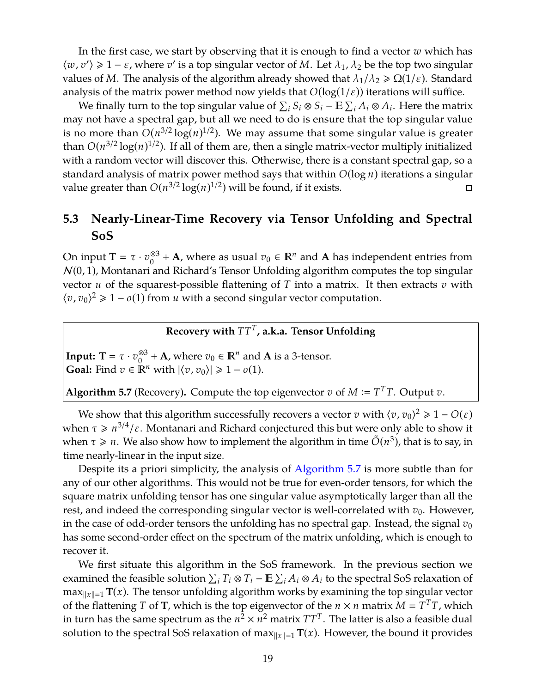In the first case, we start by observing that it is enough to find a vector *w* which has  $\langle w, v' \rangle \geq 1 - \varepsilon$ , where  $v'$  is a top singular vector of *M*. Let  $\lambda_1, \lambda_2$  be the top two singular values of *M*. The analysis of the algorithm already showed that  $\lambda_1/\lambda_2 \geq \Omega(1/\varepsilon)$ . Standard analysis of the matrix power method now yields that  $O(log(1/\varepsilon))$  iterations will suffice.

We finally turn to the top singular value of  $\sum_i S_i \otimes S_i - \mathbb{E} \sum_i A_i \otimes A_i$ . Here the matrix may not have a spectral gap, but all we need to do is ensure that the top singular value is no more than  $O(n^{3/2} \log(n)^{1/2})$ . We may assume that some singular value is greater than  $O(n^{3/2} \log(n)^{1/2})$ . If all of them are, then a single matrix-vector multiply initialized with a random vector will discover this. Otherwise, there is a constant spectral gap, so a standard analysis of matrix power method says that within *O*(log *n*) iterations a singular value greater than  $O(n^{3/2} \log(n)^{1/2})$  will be found, if it exists.

## **5.3 Nearly-Linear-Time Recovery via Tensor Unfolding and Spectral SoS**

On input **T** =  $\tau \cdot v_0^{\otimes 3}$ <sup>⊗3</sup> + **A**, where as usual  $v_0$  ∈  $\mathbb{R}^n$  and **A** has independent entries from  $N(0, 1)$ , Montanari and Richard's Tensor Unfolding algorithm computes the top singular vector *u* of the squarest-possible flattening of *T* into a matrix. It then extracts *v* with  $\langle v, v_0 \rangle^2 \geq 1 - o(1)$  from *u* with a second singular vector computation.

## **Recovery with** *TT<sup>T</sup>* **, a.k.a. Tensor Unfolding**

**Input: T** =  $\tau \cdot v_0^{\otimes 3}$ <sup>⊗3</sup> + **A**, where  $v_0$  ∈  $\mathbb{R}^n$  and **A** is a 3-tensor. **Goal:** Find  $v \in \mathbb{R}^n$  with  $|\langle v, v_0 \rangle| \geq 1 - o(1)$ .

<span id="page-20-0"></span>**Algorithm 5.7** (Recovery). Compute the top eigenvector *v* of  $M := T^T T$ . Output *v*.

We show that this algorithm successfully recovers a vector *v* with  $\langle v, v_0 \rangle^2 \geq 1 - O(\varepsilon)$ when  $\tau \geq n^{3/4}/\varepsilon$ . Montanari and Richard conjectured this but were only able to show it when  $\tau \ge n$ . We also show how to implement the algorithm in time  $\tilde{O}(n^3)$ , that is to say, in time nearly-linear in the input size.

Despite its a priori simplicity, the analysis of [Algorithm 5.7](#page-20-0) is more subtle than for any of our other algorithms. This would not be true for even-order tensors, for which the square matrix unfolding tensor has one singular value asymptotically larger than all the rest, and indeed the corresponding singular vector is well-correlated with  $v_0$ . However, in the case of odd-order tensors the unfolding has no spectral gap. Instead, the signal  $v_0$ has some second-order effect on the spectrum of the matrix unfolding, which is enough to recover it.

We first situate this algorithm in the SoS framework. In the previous section we examined the feasible solution  $\sum_i T_i \otimes T_i - \mathbb{E} \sum_i A_i \otimes A_i$  to the spectral SoS relaxation of  $\max_{\|x\|=1}$  **T**(*x*). The tensor unfolding algorithm works by examining the top singular vector of the flattening *T* of **T**, which is the top eigenvector of the  $n \times n$  matrix  $M = T^{T}T$ , which in turn has the same spectrum as the  $n^2 \times n^2$  matrix  $TT^T$ . The latter is also a feasible dual solution to the spectral SoS relaxation of max $x_{\text{max}} = \mathbf{T}(x)$ . However, the bound it provides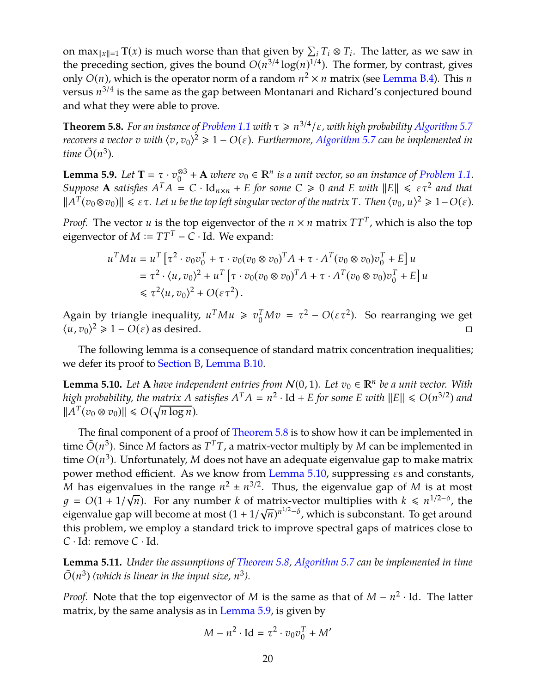on max $\|x\|=1$  **T**(*x*) is much worse than that given by  $\sum_i T_i \otimes T_i$ . The latter, as we saw in the preceding section, gives the bound  $O(n^{3/4} \log(n)^{1/4})$ . The former, by contrast, gives only  $O(n)$ , which is the operator norm of a random  $n^2 \times n$  matrix (see [Lemma B.4\)](#page-50-1). This *n* versus *n* 3/4 is the same as the gap between Montanari and Richard's conjectured bound and what they were able to prove.

<span id="page-21-0"></span>**Theorem 5.8.** *For an instance of [Problem 1.1](#page-2-2) with*  $\tau \geq n^{3/4}/\varepsilon$ , with high probability [Algorithm 5.7](#page-20-0) *recovers a vector v with*  $\langle v, v_0 \rangle^2 \geqslant 1 - O(\varepsilon)$ . Furthermore, [Algorithm 5.7](#page-20-0) can be implemented in *time*  $\tilde{O}(n^3)$ *.* 

<span id="page-21-2"></span>**Lemma 5.9.** *Let* **T** =  $\tau \cdot v_0^{\otimes 3}$ <sup>⊗3</sup> + **A** *where*  $v_0$  ∈  $\mathbb{R}^n$  *is a unit vector, so an instance of Problem* 1.1. *Suppose* **A** satisfies  $A^T A = C \cdot \text{Id}_{n \times n} + E$  *for some*  $C \ge 0$  *and E with*  $||E|| \le \epsilon \tau^2$  *and that*  $||A^T(v_0 \otimes v_0)|| \leq \varepsilon \tau$ . Let *u* be the top left singular vector of the matrix *T*. Then  $\langle v_0, u \rangle^2 \geq 1 - O(\varepsilon)$ .

*Proof.* The vector *u* is the top eigenvector of the  $n \times n$  matrix  $TT^T$ , which is also the top eigenvector of  $M \coloneqq TT^T - C \cdot Id$ . We expand:

$$
u^T M u = u^T \left[ \tau^2 \cdot v_0 v_0^T + \tau \cdot v_0 (v_0 \otimes v_0)^T A + \tau \cdot A^T (v_0 \otimes v_0) v_0^T + E \right] u
$$
  
=  $\tau^2 \cdot \langle u, v_0 \rangle^2 + u^T \left[ \tau \cdot v_0 (v_0 \otimes v_0)^T A + \tau \cdot A^T (v_0 \otimes v_0) v_0^T + E \right] u$   
 $\leq \tau^2 \langle u, v_0 \rangle^2 + O(\varepsilon \tau^2).$ 

Again by triangle inequality,  $u^T M u \ge v_0^T M v = \tau^2 - O(\epsilon \tau^2)$ . So rearranging we get  $\langle u, v_0 \rangle^2$  ≥ 1 − *O*( $\varepsilon$ ) as desired.

The following lemma is a consequence of standard matrix concentration inequalities; we defer its proof to [Section B,](#page-49-0) [Lemma B.10.](#page-53-0)

<span id="page-21-1"></span>**Lemma 5.10.** Let **A** *have independent entries from*  $N(0, 1)$ *. Let*  $v_0 \in \mathbb{R}^n$  *be a unit vector.* With *high probability, the matrix A satisfies*  $A<sup>T</sup>A = n<sup>2</sup> \cdot Id + E$  *for some E with*  $||E|| \le O(n^{3/2})$  *and*  $||A^T(v_0 \otimes v_0)|| \le O(\sqrt{n \log n}).$ 

The final component of a proof of [Theorem 5.8](#page-21-0) is to show how it can be implemented in time  $\tilde{O}(n^3)$ . Since *M* factors as  $T^T T$ , a matrix-vector multiply by *M* can be implemented in time *O*(*n* 3 ). Unfortunately, *M* does not have an adequate eigenvalue gap to make matrix power method efficient. As we know from [Lemma 5.10,](#page-21-1) suppressing εs and constants, M has eigenvalues in the range  $n^2 \pm n^{3/2}$ . Thus, the eigenvalue gap of *M* is at most  $g = O(1 + 1/\sqrt{n})$ . For any number *k* of matrix-vector multiplies with  $k \le n^{1/2-\delta}$ , the eigenvalue gap will become at most  $(1 + 1/\sqrt{n})^{n^{1/2}-\delta}$ , which is subconstant. To get around this problem, we employ a standard trick to improve spectral gaps of matrices close to *C* · Id: remove *C* · Id.

<span id="page-21-3"></span>**Lemma 5.11.** *Under the assumptions of [Theorem 5.8,](#page-21-0) [Algorithm 5.7](#page-20-0) can be implemented in time*  $\tilde{O}(n^3)$  (which is linear in the input size,  $n^3$ ).

*Proof.* Note that the top eigenvector of *M* is the same as that of *M* −  $n^2$  · Id. The latter matrix, by the same analysis as in [Lemma 5.9,](#page-21-2) is given by

$$
M - n^2 \cdot \text{Id} = \tau^2 \cdot v_0 v_0^T + M'
$$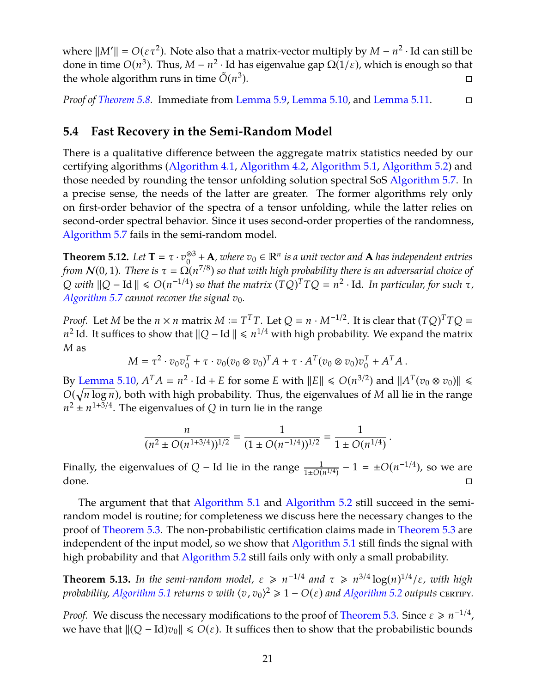where  $||M'|| = O(\varepsilon \tau^2)$ . Note also that a matrix-vector multiply by  $M - n^2 \cdot$  Id can still be done in time  $O(n^3)$ . Thus,  $M - n^2 \cdot$  Id has eigenvalue gap  $\Omega(1/\varepsilon)$ , which is enough so that the whole algorithm runs in time  $\tilde{O}(n^3)$ ).

*Proof of [Theorem 5.8.](#page-21-0)* Immediate from [Lemma 5.9,](#page-21-2) [Lemma 5.10,](#page-21-1) and [Lemma 5.11.](#page-21-3)

## **5.4 Fast Recovery in the Semi-Random Model**

There is a qualitative difference between the aggregate matrix statistics needed by our certifying algorithms [\(Algorithm 4.1,](#page-12-1) [Algorithm 4.2,](#page-12-2) [Algorithm 5.1,](#page-18-0) [Algorithm 5.2\)](#page-18-1) and those needed by rounding the tensor unfolding solution spectral SoS [Algorithm 5.7.](#page-20-0) In a precise sense, the needs of the latter are greater. The former algorithms rely only on first-order behavior of the spectra of a tensor unfolding, while the latter relies on second-order spectral behavior. Since it uses second-order properties of the randomness, [Algorithm 5.7](#page-20-0) fails in the semi-random model.

**Theorem 5.12.** *Let* **T** =  $\tau \cdot v_0^{\otimes 3}$  $\frac{®3}{0}$  + **A***, where*  $v_0$  ∈  $\mathbb{R}^n$  *is a unit vector and* **A** *has independent entries from*  $N(0, 1)$ *. There is*  $\tau = \Omega(n^{7/8})$  so that with high probability there is an adversarial choice of  $Q$  *with*  $||Q - Id|| \leq O(n^{-1/4})$  so that the matrix  $(TQ)^T T Q = n^2 \cdot Id$ . In particular, for such  $\tau$ , *[Algorithm 5.7](#page-20-0) cannot recover the signal*  $v_0$ *.* 

*Proof.* Let *M* be the  $n \times n$  matrix  $M := T^T T$ . Let  $Q = n \cdot M^{-1/2}$ . It is clear that  $(TQ)^T T Q =$ *n*<sup>2</sup> Id. It suffices to show that  $||Q - Id|| \le n^{1/4}$  with high probability. We expand the matrix *M* as

$$
M = \tau^2 \cdot v_0 v_0^T + \tau \cdot v_0 (v_0 \otimes v_0)^T A + \tau \cdot A^T (v_0 \otimes v_0) v_0^T + A^T A.
$$

By [Lemma 5.10,](#page-21-1)  $A^T A = n^2 \cdot \text{Id} + E$  for some *E* with  $||E|| \le O(n^{3/2})$  and  $||A^T(v_0 \otimes v_0)|| \le$  $O(\sqrt{n \log n})$ , both with high probability. Thus, the eigenvalues of *M* all lie in the range  $n^2 \pm n^{1+3/4}$ . The eigenvalues of *Q* in turn lie in the range

$$
\frac{n}{(n^2 \pm O(n^{1+3/4}))^{1/2}} = \frac{1}{(1 \pm O(n^{-1/4}))^{1/2}} = \frac{1}{1 \pm O(n^{1/4})}.
$$

Finally, the eigenvalues of  $Q$  – Id lie in the range  $\frac{1}{1\pm O(n^{1/4})} - 1 = \pm O(n^{-1/4})$ , so we are done.  $\square$ 

The argument that that [Algorithm 5.1](#page-18-0) and [Algorithm 5.2](#page-18-1) still succeed in the semirandom model is routine; for completeness we discuss here the necessary changes to the proof of [Theorem 5.3.](#page-18-5) The non-probabilistic certification claims made in [Theorem 5.3](#page-18-5) are independent of the input model, so we show that [Algorithm 5.1](#page-18-0) still finds the signal with high probability and that [Algorithm 5.2](#page-18-1) still fails only with only a small probability.

**Theorem 5.13.** In the semi-random model,  $\varepsilon \ge n^{-1/4}$  and  $\tau \ge n^{3/4} \log(n)^{1/4}/\varepsilon$ , with high *probability, [Algorithm 5.1](#page-18-0) returns*  $v$  *with*  $\langle v, v_0 \rangle^2 \geq 1 - O(\varepsilon)$  *and [Algorithm 5.2](#page-18-1) outputs* certify.

*Proof.* We discuss the necessary modifications to the proof of [Theorem 5.3.](#page-18-5) Since  $\varepsilon \ge n^{-1/4}$ , we have that  $||(Q - Id)v_0|| \leq O(\varepsilon)$ . It suffices then to show that the probabilistic bounds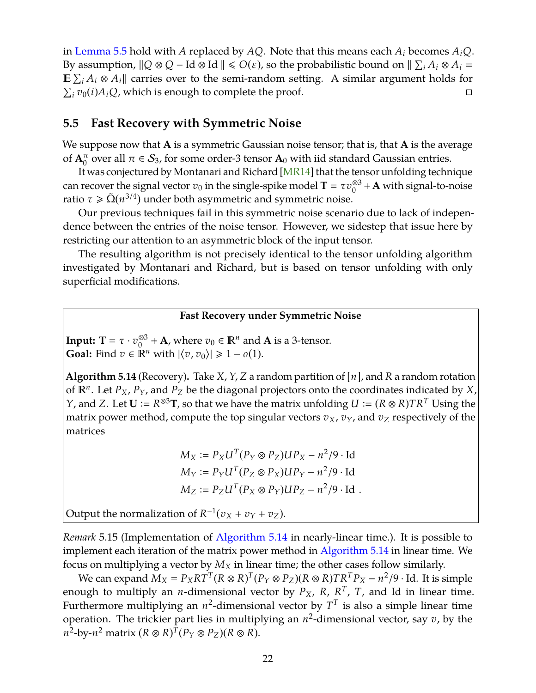<span id="page-23-1"></span>in [Lemma 5.5](#page-18-4) hold with *A* replaced by *AQ*. Note that this means each *A<sup>i</sup>* becomes *AiQ*. By assumption,  $\|Q \otimes Q - \text{Id} \otimes \text{Id}\| \leqslant O(\varepsilon)$ , so the probabilistic bound on  $\|\sum_i A_i \otimes A_i =$  $\mathbb{E} \sum_i A_i \otimes A_i$  carries over to the semi-random setting. A similar argument holds for  $\sum_i v_0(i) A_i Q$ , which is enough to complete the proof.

## **5.5 Fast Recovery with Symmetric Noise**

We suppose now that **A** is a symmetric Gaussian noise tensor; that is, that **A** is the average of  $A_0^{\pi}$  over all  $\pi \in S_3$ , for some order-3 tensor  $A_0$  with iid standard Gaussian entries.

It was conjectured by Montanari and Richard [\[MR14\]](#page-47-1) that the tensor unfolding technique can recover the signal vector  $v_0$  in the single-spike model **T** =  $\tau v_0^{\otimes 3}$  $\frac{\otimes 3}{0}$  + **A** with signal-to-noise ratio  $\tau \ge \tilde{\Omega}(n^{3/4})$  under both asymmetric and symmetric noise.

Our previous techniques fail in this symmetric noise scenario due to lack of independence between the entries of the noise tensor. However, we sidestep that issue here by restricting our attention to an asymmetric block of the input tensor.

The resulting algorithm is not precisely identical to the tensor unfolding algorithm investigated by Montanari and Richard, but is based on tensor unfolding with only superficial modifications.

#### **Fast Recovery under Symmetric Noise**

**Input: T** =  $\tau \cdot v_0^{\otimes 3}$ <sup>⊗3</sup> + **A**, where  $v_0$  ∈  $\mathbb{R}^n$  and **A** is a 3-tensor. **Goal:** Find  $v \in \mathbb{R}^n$  with  $|\langle v, v_0 \rangle| \geq 1 - o(1)$ .

<span id="page-23-0"></span>**Algorithm 5.14** (Recovery)**.** Take *X*, *Y*, *Z* a random partition of [*n*], and *R* a random rotation of *<sup>n</sup>* . Let *PX*, *PY*, and *P<sup>Z</sup>* be the diagonal projectors onto the coordinates indicated by *X*, *Y*, and *Z*. Let  $U := R^{\otimes 3}T$ , so that we have the matrix unfolding  $U := (R \otimes R)TR^T$  Using the matrix power method, compute the top singular vectors  $v_X$ ,  $v_Y$ , and  $v_Z$  respectively of the matrices

$$
M_X := P_X U^T (P_Y \otimes P_Z) U P_X - n^2 / 9 \cdot \text{Id}
$$
  
\n
$$
M_Y := P_Y U^T (P_Z \otimes P_X) U P_Y - n^2 / 9 \cdot \text{Id}
$$
  
\n
$$
M_Z := P_Z U^T (P_X \otimes P_Y) U P_Z - n^2 / 9 \cdot \text{Id}
$$

Output the normalization of  $R^{-1}(v_X + v_Y + v_Z)$ .

*Remark* 5.15 (Implementation of [Algorithm 5.14](#page-23-0) in nearly-linear time.)*.* It is possible to implement each iteration of the matrix power method in [Algorithm 5.14](#page-23-0) in linear time. We focus on multiplying a vector by  $M_X$  in linear time; the other cases follow similarly.

We can expand  $\widetilde{M}_X = P_X R T^T (R \otimes R)^T (P_Y \otimes P_Z) (R \otimes R) T R^T P_X - n^2/9 \cdot \text{Id}$ . It is simple enough to multiply an *n*-dimensional vector by *PX*, *R*, *R T* , *T*, and Id in linear time. Furthermore multiplying an  $n^2$ -dimensional vector by  $T^T$  is also a simple linear time operation. The trickier part lies in multiplying an *n* 2 -dimensional vector, say *v*, by the  $n^2$ -by- $n^2$  matrix  $(R \otimes R)^T (P_Y \otimes P_Z)(R \otimes R)$ .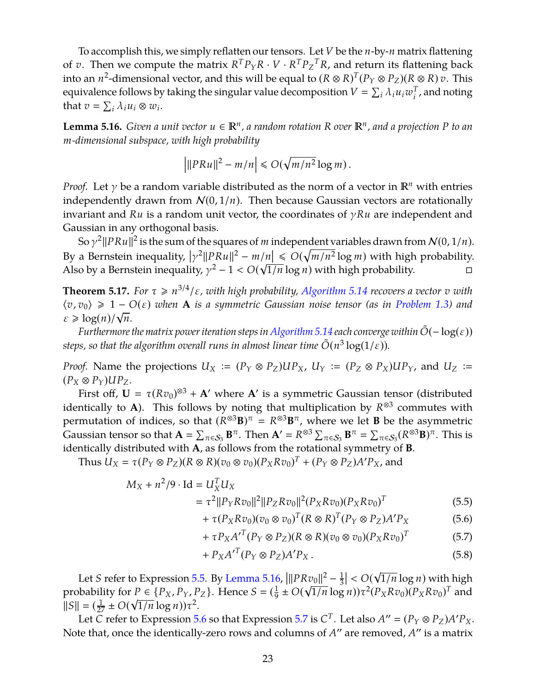To accomplish this, we simply reflatten our tensors. Let *V* be the *n*-by-*n* matrix flattening of  $v$ . Then we compute the matrix  $R^T P_Y R \cdot V \cdot R^T P_Z^T R$ , and return its flattening back into an  $n^2$ -dimensional vector, and this will be equal to  $(R \otimes R)^T (P_Y \otimes P_Z) (R \otimes R)$  v. This equivalence follows by taking the singular value decomposition  $V = \sum_i \lambda_i u_i w_i^T$  $i<sub>i</sub><sup>T</sup>$ , and noting that  $v = \sum_i \lambda_i u_i \otimes w_i$ .

<span id="page-24-1"></span>**Lemma 5.16.** *Given a unit vector*  $u \in \mathbb{R}^n$ , a random rotation R over  $\mathbb{R}^n$ , and a projection P to an *m-dimensional subspace, with high probability*

$$
\left| ||PRu||^2 - m/n \right| \le O(\sqrt{m/n^2} \log m).
$$

*Proof.* Let  $\gamma$  be a random variable distributed as the norm of a vector in  $\mathbb{R}^n$  with entries independently drawn from  $N(0, 1/n)$ . Then because Gaussian vectors are rotationally invariant and *Ru* is a random unit vector, the coordinates of γ*Ru* are independent and Gaussian in any orthogonal basis.

So  $\gamma^2 ||PRu||^2$  is the sum of the squares of *m* independent variables drawn from  $\mathcal{N}(0, 1/n)$ . So  $\gamma$ - $\|\gamma R u\|^2$  is the sum of the squares of *m* independent variables drawn from  $N(0, 1/n)$ .<br>By a Bernstein inequality,  $\left|\gamma^2\|PRu\|^2 - m/n\right| \leq O(\sqrt{m/n^2}\log m)$  with high probability. Also by a Bernstein inequality,  $\gamma^2 - 1 < O(\sqrt{1/n} \log n)$  with high probability.

**Theorem 5.17.** For  $\tau \ge n^{3/4}/\varepsilon$ , with high probability, [Algorithm 5.14](#page-23-0) recovers a vector  $v$  with  $\langle v, v_0 \rangle \geq 1 - O(\varepsilon)$  when A is a symmetric Gaussian noise tensor (as in [Problem 1.3\)](#page-3-1) and  $\varepsilon \geq \log(n)/\sqrt{n}$ .

*Furthermore the matrix power iteration steps in [Algorithm 5.14](#page-23-0) each converge within*  $\tilde{O}(-\log(\varepsilon))$ steps, so that the algorithm overall runs in almost linear time  $\tilde{O}(n^3\log(1/\varepsilon))$ .

*Proof.* Name the projections  $U_X := (P_Y \otimes P_Z)UP_X$ ,  $U_Y := (P_Z \otimes P_X)UP_Y$ , and  $U_Z :=$  $(P_X \otimes P_Y)UP_Z$ .

First off,  $U = \tau (Rv_0)^{\otimes 3} + A'$  where A' is a symmetric Gaussian tensor (distributed identically to **A**). This follows by noting that multiplication by *R* ⊗3 commutes with permutation of indices, so that  $(R^{\otimes 3}B)^{\pi} = R^{\otimes 3}B^{\pi}$ , where we let **B** be the asymmetric Gaussian tensor so that  $\mathbf{A} = \sum_{\pi \in S_3} \mathbf{B}^{\pi}$ . Then  $\mathbf{A}' = R^{\otimes 3} \sum_{\pi \in S_3} \mathbf{B}^{\pi} = \sum_{\pi \in S_3} (R^{\otimes 3} \mathbf{B})^{\pi}$ . This is identically distributed with **A**, as follows from the rotational symmetry of **B**.

Thus  $U_X = \tau(P_Y \otimes P_Z)(R \otimes R)(v_0 \otimes v_0)(P_X R v_0)^T + (P_Y \otimes P_Z)A'P_X$ , and

$$
M_X + n^2/9 \cdot \text{Id} = U_X^T U_X
$$
  
=  $\tau^2 ||P_Y R v_0||^2 ||P_Z R v_0||^2 (P_X R v_0) (P_X R v_0)^T$  (5.5)

<span id="page-24-0"></span>
$$
+ \tau (P_X R v_0) (v_0 \otimes v_0)^T (R \otimes R)^T (P_Y \otimes P_Z) A' P_X \tag{5.6}
$$

<span id="page-24-2"></span>
$$
+ \tau P_X A^{\prime T} (P_Y \otimes P_Z)(R \otimes R) (v_0 \otimes v_0) (P_X R v_0)^T \tag{5.7}
$$

<span id="page-24-4"></span><span id="page-24-3"></span>
$$
+ P_X A'^T (P_Y \otimes P_Z) A' P_X . \tag{5.8}
$$

Let *S* refer to Expression [5.5.](#page-24-0) By [Lemma 5.16,](#page-24-1)  $\overline{a}$  $||PRv_0||^2 - \frac{1}{3}$  $\overline{3}$  $\overline{a}$ < *O*( √  $|Rv_0||^2 - \frac{1}{3}| < O(\sqrt{1/n} \log n)$  with high probability for  $P \in \{P_X, P_Y, P_Z\}$ . Hence  $S = \left(\frac{1}{9}\right)$  $P \in \{P_X, P_Y, P_Z\}$ . Hence  $S = (\frac{1}{9} \pm O(\sqrt{1/n} \log n))\tau^2(P_X R v_0)(P_X R v_0)^T$  and  $||S|| = (\frac{1}{27} \pm O(\sqrt{1/n} \log n)) \tau^2$ .

Let *C* refer to Expression [5.6](#page-24-2) so that Expression [5.7](#page-24-3) is  $C^T$ . Let also  $A'' = (P_Y \otimes P_Z)A'P_X$ . Note that, once the identically-zero rows and columns of *A*" are removed, *A*" is a matrix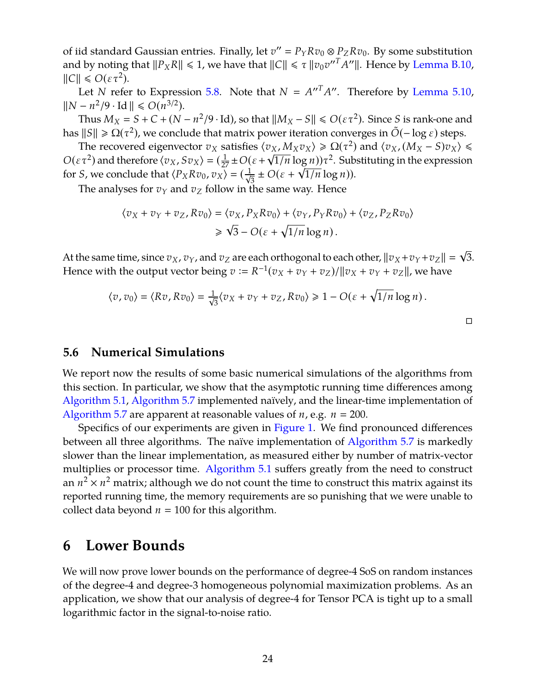of iid standard Gaussian entries. Finally, let  $v'' = P_Y R v_0 \otimes P_Z R v_0$ . By some substitution and by noting that  $||P_XR|| \le 1$ , we have that  $||C|| \le \tau ||v_0v''^T A''||$ . Hence by [Lemma B.10,](#page-53-0)  $\|C\| \leqslant O(\varepsilon \tau^2).$ 

Let *N* refer to Expression [5.8.](#page-24-4) Note that  $N = A''^T A''$ . Therefore by [Lemma 5.10,](#page-21-1)  $||N - n^2/9 \cdot \text{Id}|| \le O(n^{3/2}).$ 

Thus  $M_X = S + C + (N - n^2/9 \cdot \text{Id})$ , so that  $||M_X - S|| \le O(\varepsilon \tau^2)$ . Since *S* is rank-one and has  $||S|| \ge \Omega(\tau^2)$ , we conclude that matrix power iteration converges in  $\tilde{O}(-\log \epsilon)$  steps.

The recovered eigenvector  $v_X$  satisfies  $\langle v_X, M_X v_X \rangle \ge \Omega(\tau^2)$  and  $\langle v_X, (M_X - S) v_X \rangle \le$  $O(\varepsilon \tau^2)$  and therefore  $\langle v_X, Sv_X \rangle = (\frac{1}{27} \pm O(\varepsilon + \sqrt{1/n} \log n))\tau^2$ . Substituting in the expression for *S*, we conclude that  $\langle P_X Rv_0, v_X \rangle = (\frac{1}{\sqrt{3}} \pm O(\varepsilon + \sqrt{1/n} \log n)).$ 

The analyses for  $v_Y$  and  $v_Z$  follow in the same way. Hence

$$
\langle v_X + v_Y + v_Z, Rv_0 \rangle = \langle v_X, P_X Rv_0 \rangle + \langle v_Y, P_Y Rv_0 \rangle + \langle v_Z, P_Z Rv_0 \rangle
$$
  

$$
\geq \sqrt{3} - O(\varepsilon + \sqrt{1/n} \log n).
$$

At the same time, since  $v_X$ ,  $v_Y$ , and  $v_Z$  are each orthogonal to each other,  $\|v_X + v_Y + v_Z\| = \sqrt{3}$ . Hence with the output vector being  $v := R^{-1}(v_X + v_Y + v_Z)/||v_X + v_Y + v_Z||$ , we have

√

 $\Box$ 

$$
\langle v, v_0 \rangle = \langle Rv, Rv_0 \rangle = \frac{1}{\sqrt{3}} \langle v_X + v_Y + v_Z, Rv_0 \rangle \ge 1 - O(\varepsilon + \sqrt{1/n} \log n).
$$

## **5.6 Numerical Simulations**

We report now the results of some basic numerical simulations of the algorithms from this section. In particular, we show that the asymptotic running time differences among [Algorithm 5.1,](#page-18-0) [Algorithm 5.7](#page-20-0) implemented naïvely, and the linear-time implementation of [Algorithm 5.7](#page-20-0) are apparent at reasonable values of  $n$ , e.g.  $n = 200$ .

Specifics of our experiments are given in [Figure 1.](#page-26-0) We find pronounced differences between all three algorithms. The naïve implementation of [Algorithm 5.7](#page-20-0) is markedly slower than the linear implementation, as measured either by number of matrix-vector multiplies or processor time. [Algorithm 5.1](#page-18-0) suffers greatly from the need to construct an  $n^2 \times n^2$  matrix; although we do not count the time to construct this matrix against its reported running time, the memory requirements are so punishing that we were unable to collect data beyond  $n = 100$  for this algorithm.

## <span id="page-25-0"></span>**6 Lower Bounds**

We will now prove lower bounds on the performance of degree-4 SoS on random instances of the degree-4 and degree-3 homogeneous polynomial maximization problems. As an application, we show that our analysis of degree-4 for Tensor PCA is tight up to a small logarithmic factor in the signal-to-noise ratio.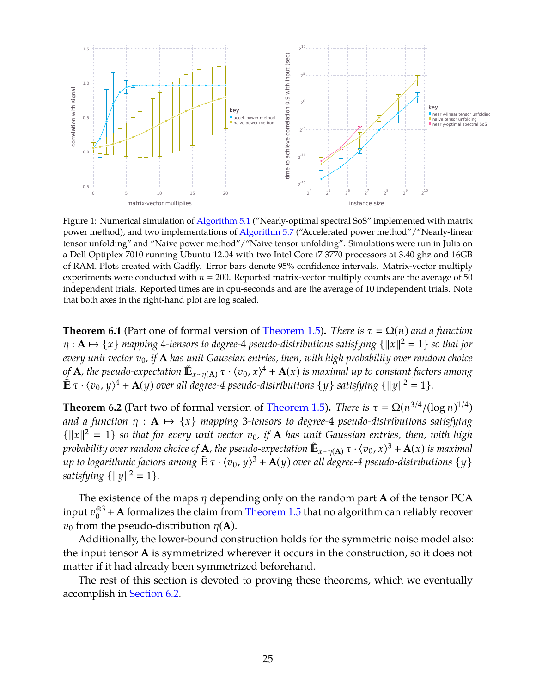<span id="page-26-0"></span>

Figure 1: Numerical simulation of [Algorithm 5.1](#page-18-0) ("Nearly-optimal spectral SoS" implemented with matrix power method), and two implementations of [Algorithm 5.7](#page-20-0) ("Accelerated power method"/"Nearly-linear tensor unfolding" and "Naive power method"/"Naive tensor unfolding". Simulations were run in Julia on a Dell Optiplex 7010 running Ubuntu 12.04 with two Intel Core i7 3770 processors at 3.40 ghz and 16GB of RAM. Plots created with Gadfly. Error bars denote 95% confidence intervals. Matrix-vector multiply experiments were conducted with  $n = 200$ . Reported matrix-vector multiply counts are the average of 50 independent trials. Reported times are in cpu-seconds and are the average of 10 independent trials. Note that both axes in the right-hand plot are log scaled.

**Theorem 6.1** (Part one of formal version of [Theorem 1.5\)](#page-4-2). *There is*  $\tau = \Omega(n)$  *and a function*  $\eta : \mathbf{A} \mapsto \{x\}$  mapping 4-tensors to degree-4 pseudo-distributions satisfying  $\{\Vert x\Vert^2 = 1\}$  so that for *every unit vector v*0*, if* **A** *has unit Gaussian entries, then, with high probability over random choice* of **A**, the pseudo-expectation  $\mathbb{E}_{x \sim \eta(\mathbf{A})} \tau \cdot \langle v_0, x \rangle^4 + \mathbf{A}(x)$  is maximal up to constant factors among  $\tilde{\mathbb{E}} \tau \cdot \langle v_0, y \rangle^4 + \mathbf{A}(y)$  over all degree-4 pseudo-distributions  $\{y\}$  satisfying  $\{\|y\|^2 = 1\}$ .

<span id="page-26-1"></span>**Theorem 6.2** (Part two of formal version of [Theorem 1.5\)](#page-4-2). *There is*  $\tau = \Omega(n^{3/4}/(\log n)^{1/4})$ *and a function*  $\eta$  :  $A \mapsto \{x\}$  *mapping* 3-tensors to degree-4 *pseudo-distributions satisfying*  ${||x||^2 = 1}$  so that for every unit vector  $v_0$ , if **A** has unit Gaussian entries, then, with high *probability over random choice of* **A***, the pseudo-expectation*  $\mathbb{E}_{x \sim \eta(\mathbf{A})} \tau \cdot \langle v_0, x \rangle^3 + \mathbf{A}(x)$  is maximal  $\mu$  to logarithmic factors among  $\mathbb{E}[\tau \cdot \langle v_0, y \rangle^3 + \mathbf{A}(y)$  over all degree-4 pseudo-distributions { y }  $satisfying \{\|y\|^2 = 1\}.$ 

The existence of the maps η depending only on the random part **A** of the tensor PCA input *v* ⊗3  $_{0}^{\otimes 3}$  + **A** formalizes the claim from [Theorem 1.5](#page-4-2) that no algorithm can reliably recover *v*<sup>0</sup> from the pseudo-distribution  $\eta$ (**A**).

Additionally, the lower-bound construction holds for the symmetric noise model also: the input tensor **A** is symmetrized wherever it occurs in the construction, so it does not matter if it had already been symmetrized beforehand.

The rest of this section is devoted to proving these theorems, which we eventually accomplish in [Section 6.2.](#page-29-0)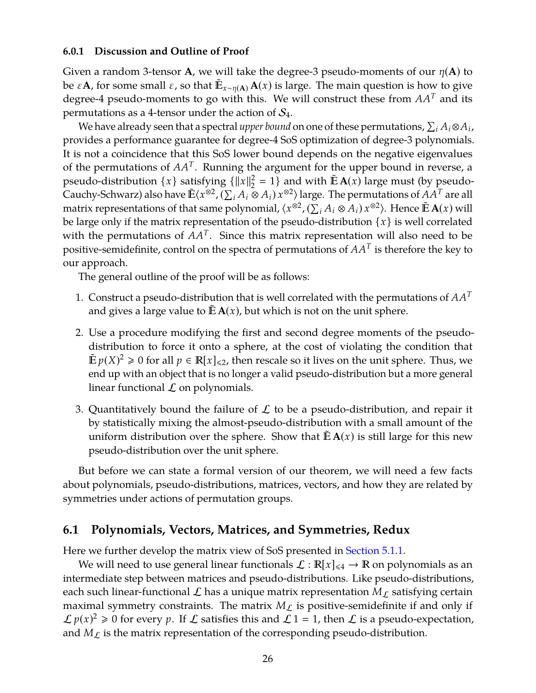#### **6.0.1 Discussion and Outline of Proof**

Given a random 3-tensor **A**, we will take the degree-3 pseudo-moments of our  $\eta(A)$  to be  $\varepsilon$ **A**, for some small  $\varepsilon$ , so that  $\mathbb{E}_{x \sim \eta(A)}$  **A**(*x*) is large. The main question is how to give degree-4 pseudo-moments to go with this. We will construct these from *AA<sup>T</sup>* and its permutations as a 4-tensor under the action of  $S_4$ .

We have already seen that a spectral *upper bound* on one of these permutations,  $\sum_i A_i \otimes A_i$ , provides a performance guarantee for degree-4 SoS optimization of degree-3 polynomials. It is not a coincidence that this SoS lower bound depends on the negative eigenvalues of the permutations of  $AA<sup>T</sup>$ . Running the argument for the upper bound in reverse, a pseudo-distribution  $\{x\}$  satisfying  $\{\|x\|_2^2$  $\frac{2}{2}$  = 1} and with  $\mathbb{E} \mathbf{A}(x)$  large must (by pseudo-Cauchy-Schwarz) also have  $\mathbb{E}\langle x^{\otimes 2}, (\sum_i A_i \otimes A_i) x^{\otimes 2} \rangle$  large. The permutations of  $A A^T$  are all  $\lim_{x \to \infty}$  representations of that same polynomial,  $\langle x^{\otimes 2}, (\sum_i A_i \otimes A_i) x^{\otimes 2} \rangle$ . Hence  $\tilde{\mathbb{E}}$  **A**(*x*) will be large only if the matrix representation of the pseudo-distribution  $\{x\}$  is well correlated with the permutations of  $AA<sup>T</sup>$ . Since this matrix representation will also need to be positive-semidefinite, control on the spectra of permutations of *AA<sup>T</sup>* is therefore the key to our approach.

The general outline of the proof will be as follows:

- 1. Construct a pseudo-distribution that is well correlated with the permutations of *AA<sup>T</sup>* and gives a large value to  $\mathbb{E} \mathbf{A}(x)$ , but which is not on the unit sphere.
- 2. Use a procedure modifying the first and second degree moments of the pseudodistribution to force it onto a sphere, at the cost of violating the condition that  $\mathbb{E} p(X)^2 \ge 0$  for all  $p \in \mathbb{R}[x]_{\le 2}$ , then rescale so it lives on the unit sphere. Thus, we end up with an object that is no longer a valid pseudo-distribution but a more general linear functional  $\mathcal L$  on polynomials.
- 3. Quantitatively bound the failure of  $\mathcal L$  to be a pseudo-distribution, and repair it by statistically mixing the almost-pseudo-distribution with a small amount of the uniform distribution over the sphere. Show that  $\mathbb{E} \mathbf{A}(x)$  is still large for this new pseudo-distribution over the unit sphere.

But before we can state a formal version of our theorem, we will need a few facts about polynomials, pseudo-distributions, matrices, vectors, and how they are related by symmetries under actions of permutation groups.

## **6.1 Polynomials, Vectors, Matrices, and Symmetries, Redux**

Here we further develop the matrix view of SoS presented in [Section 5.1.1.](#page-15-1)

We will need to use general linear functionals  $\mathcal{L} : \mathbb{R}[x]_{\leq 4} \to \mathbb{R}$  on polynomials as an intermediate step between matrices and pseudo-distributions. Like pseudo-distributions, each such linear-functional L has a unique matrix representation  $M_L$  satisfying certain maximal symmetry constraints. The matrix  $M_{\mathcal{L}}$  is positive-semidefinite if and only if  $\mathcal{L} p(x)^2 \ge 0$  for every p. If  $\mathcal L$  satisfies this and  $\mathcal L 1 = 1$ , then  $\mathcal L$  is a pseudo-expectation, and  $M_{\mathcal{L}}$  is the matrix representation of the corresponding pseudo-distribution.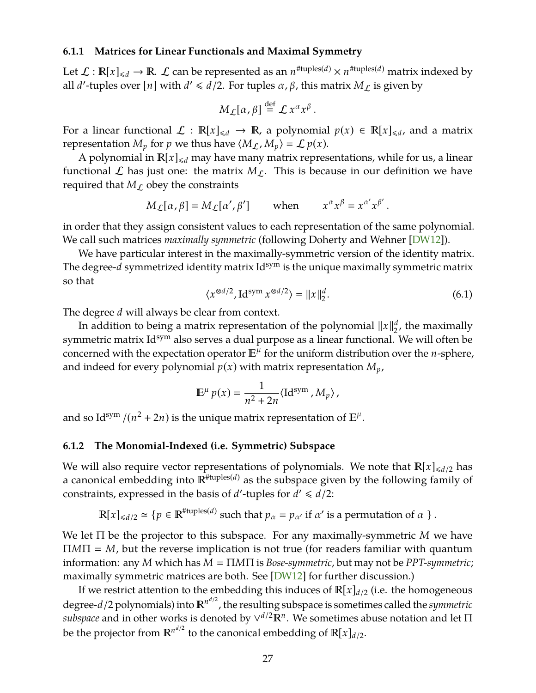#### <span id="page-28-1"></span>**6.1.1 Matrices for Linear Functionals and Maximal Symmetry**

Let  $\mathcal{L}: \mathbb{R}[x]_{\leqslant d} \to \mathbb{R}$ .  $\mathcal{L}$  can be represented as an  $n^{\# \text{tuples}(d)} \times n^{\# \text{tuples}(d)}$  matrix indexed by all *d'*-tuples over [*n*] with  $d' \leq d/2$ . For tuples  $\alpha$ ,  $\beta$ , this matrix  $M_{\mathcal{L}}$  is given by

$$
M_{\mathcal{L}}[\alpha,\beta]\stackrel{\mathrm{def}}{=}{\mathcal{L}}x^{\alpha}x^{\beta}.
$$

For a linear functional  $\mathcal{L}: \mathbb{R}[x]_{\le d} \to \mathbb{R}$ , a polynomial  $p(x) \in \mathbb{R}[x]_{\le d}$ , and a matrix representation  $M_p$  for  $p$  we thus have  $\langle M_L, M_p \rangle = \mathcal{L} p(x)$ .

A polynomial in  $\mathbb{R}[x]_{\leq d}$  may have many matrix representations, while for us, a linear functional  $\mathcal L$  has just one: the matrix  $M_{\mathcal L}$ . This is because in our definition we have required that  $M_{\mathcal{L}}$  obey the constraints

$$
M_L[\alpha, \beta] = M_L[\alpha', \beta']
$$
 when  $x^{\alpha} x^{\beta} = x^{\alpha'} x^{\beta'}$ .

in order that they assign consistent values to each representation of the same polynomial. We call such matrices *maximally symmetric* (following Doherty and Wehner [\[DW12\]](#page-46-12)).

We have particular interest in the maximally-symmetric version of the identity matrix. The degree- $d$  symmetrized identity matrix  $Id^{sym}$  is the unique maximally symmetric matrix so that

<span id="page-28-0"></span>
$$
\langle x^{\otimes d/2}, \mathrm{Id}^{\mathrm{sym}} \, x^{\otimes d/2} \rangle = ||x||_2^d. \tag{6.1}
$$

The degree *d* will always be clear from context.

In addition to being a matrix representation of the polynomial  $\|x\|_2^d$ , the maximally symmetric matrix Id<sup>sym</sup> also serves a dual purpose as a linear functional. We will often be concerned with the expectation operator  $E^{\mu}$  for the uniform distribution over the *n*-sphere, and indeed for every polynomial  $p(x)$  with matrix representation  $M_p$ ,

$$
\mathbb{E}^{\mu} p(x) = \frac{1}{n^2 + 2n} \langle \mathrm{Id}^{\mathrm{sym}}, M_p \rangle,
$$

and so Id<sup>sym</sup> /( $n^2 + 2n$ ) is the unique matrix representation of  $\mathbb{E}^{\mu}$ .

#### **6.1.2 The Monomial-Indexed (i.e. Symmetric) Subspace**

We will also require vector representations of polynomials. We note that  $\mathbb{R}[x]_{\le d/2}$  has a canonical embedding into  $\mathbb{R}^{H \times (d)}$  as the subspace given by the following family of constraints, expressed in the basis of *d'*-tuples for  $d' \le d/2$ :

$$
\mathbb{R}[x]_{\le d/2} \simeq \{p \in \mathbb{R}^{\# \text{tuples}(d)} \text{ such that } p_{\alpha} = p_{\alpha'} \text{ if } \alpha' \text{ is a permutation of } \alpha \}.
$$

We let Π be the projector to this subspace. For any maximally-symmetric *M* we have  $\Pi M \Pi = M$ , but the reverse implication is not true (for readers familiar with quantum information: any *M* which has  $M = \Pi M \Pi$  is *Bose-symmetric*, but may not be *PPT-symmetric*; maximally symmetric matrices are both. See [\[DW12\]](#page-46-12) for further discussion.)

If we restrict attention to the embedding this induces of  $\mathbb{R}[x]_{d/2}$  (i.e. the homogeneous degree-*d*/2 polynomials) into  $\mathbb{R}^{n^{d/2}}$ , the resulting subspace is sometimes called the *symmetric subspace* and in other works is denoted by ∨<sup>*d*/2</sup>R<sup>*n*</sup>. We sometimes abuse notation and let Π be the projector from  $\mathbb{R}^{n^{d/2}}$  to the canonical embedding of  $\mathbb{R}[x]_{d/2}$ .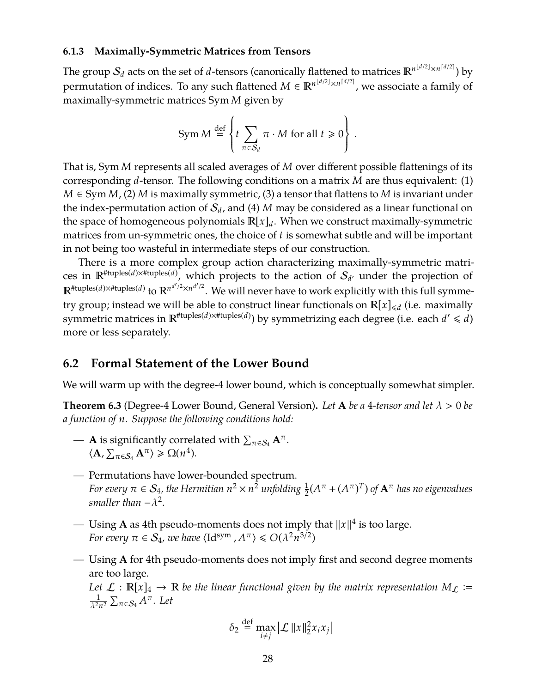#### **6.1.3 Maximally-Symmetric Matrices from Tensors**

The group  $\mathcal{S}_d$  acts on the set of  $d$ -tensors (canonically flattened to matrices  $\mathbb{R}^{n^{\lfloor d/2\rfloor}\times n^{\lceil d/2\rceil}}$ ) by permutation of indices. To any such flattened  $M \in \mathbb{R}^{n^{\lfloor d/2 \rfloor} \times n^{\lceil d/2 \rceil}}$ , we associate a family of maximally-symmetric matrices Sym *M* given by

$$
Sym M \stackrel{\text{def}}{=} \left\{ t \sum_{\pi \in S_d} \pi \cdot M \text{ for all } t \geq 0 \right\}.
$$

That is, Sym *M* represents all scaled averages of *M* over different possible flattenings of its corresponding *d*-tensor. The following conditions on a matrix *M* are thus equivalent: (1) *M* ∈ Sym *M*, (2) *M* is maximally symmetric, (3) a tensor that flattens to *M* is invariant under the index-permutation action of  $S_d$ , and (4) *M* may be considered as a linear functional on the space of homogeneous polynomials  $\mathbb{R}[x]_d$ . When we construct maximally-symmetric matrices from un-symmetric ones, the choice of *t* is somewhat subtle and will be important in not being too wasteful in intermediate steps of our construction.

There is a more complex group action characterizing maximally-symmetric matrices in  $\mathbb{R}^{\text{#tuples}(d)\times\text{#tuples}(d)}$ , which projects to the action of  $\mathcal{S}_{d'}$  under the projection of  $\mathbb{R}^{\text{#tuples}(d) \times \text{#tuples}(d)}$  to  $\mathbb{R}^{n^{d'/2} \times n^{d'/2}}$ . We will never have to work explicitly with this full symmetry group; instead we will be able to construct linear functionals on  $\mathbb{R}[x]_{\le d}$  (i.e. maximally symmetric matrices in  $\mathbb{R}^{\# \text{tuples}(d) \times \# \text{tuples}(d)}$  by symmetrizing each degree (i.e. each  $d' \leq d$ ) more or less separately.

### <span id="page-29-0"></span>**6.2 Formal Statement of the Lower Bound**

We will warm up with the degree-4 lower bound, which is conceptually somewhat simpler.

<span id="page-29-1"></span>**Theorem 6.3** (Degree-4 Lower Bound, General Version). Let A be a 4-tensor and let  $\lambda > 0$  be *a function of n. Suppose the following conditions hold:*

- $-$  **A** is significantly correlated with  $\sum_{\pi \in \mathcal{S}_4} \mathbf{A}^{\pi}$ .  $\langle \mathbf{A}, \sum_{\pi \in S_4} \mathbf{A}^{\pi} \rangle \geq \Omega(n^4).$
- *—* Permutations have lower-bounded spectrum. *For every*  $\pi \in S_4$ *, the Hermitian*  $n^2 \times n^{\frac{1}{2}}$  *unfolding*  $\frac{1}{2}(A^\pi + (A^\pi)^T)$  *of*  $\mathbf{A}^\pi$  *has no eigenvalues*  $s$ *maller* than  $-\lambda^2$ .
- $-$  Using **A** as 4th pseudo-moments does not imply that  $||x||^4$  is too large. *For every*  $\pi \in \mathcal{S}_4$ , we have  $\langle \mathrm{Id}^{\mathrm{sym}}$  ,  $A^{\pi} \rangle \leqslant O(\lambda^2 n^{3/2})$
- *—* Using **A** for 4th pseudo-moments does not imply first and second degree moments are too large.

*Let*  $\mathcal{L} : \mathbb{R}[x]_4 \to \mathbb{R}$  be the linear functional given by the matrix representation  $M_L :=$ 1  $\frac{1}{\lambda^2 n^2} \sum_{\pi \in S_4} A^{\pi}$ . Let

$$
\delta_2 \stackrel{\text{def}}{=} \max_{i \neq j} |\mathcal{L}||x||_2^2 x_i x_j|
$$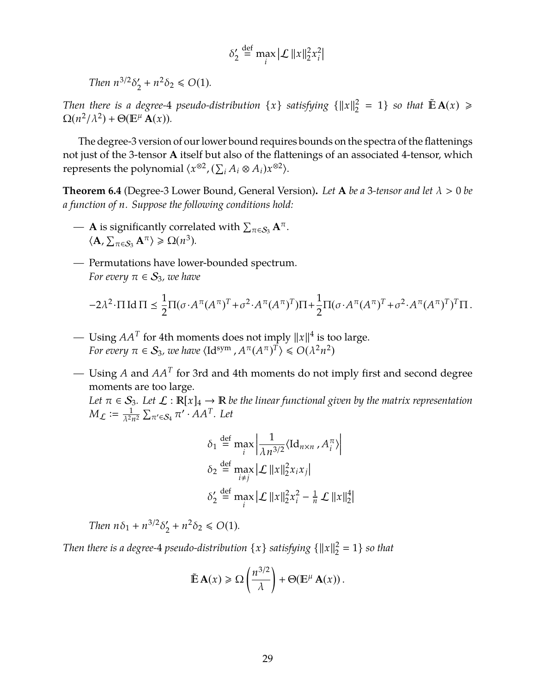$$
\delta_2' \stackrel{\text{def}}{=} \max_i |\mathcal{L}| |x||_2^2 x_i^2
$$

*Then*  $n^{3/2}\delta_2'$  $y'_2 + n^2 \delta_2 \le O(1)$ .

*Then there is a degree-4 pseudo-distribution*  $\{x\}$  *satisfying*  $\{\|x\|_2^2$  $\frac{2}{2}$  = 1} *so that*  $\tilde{\mathbb{E}}\mathbf{A}(x) \geq$  $\Omega(n^2/\lambda^2) + \Theta(\mathbb{E}^{\mu} \mathbf{A}(x)).$ 

The degree-3 version of our lower bound requires bounds on the spectra of the flattenings not just of the 3-tensor **A** itself but also of the flattenings of an associated 4-tensor, which represents the polynomial  $\langle x^{\otimes 2}, (\sum_i A_i \otimes A_i) x^{\otimes 2} \rangle$ .

<span id="page-30-0"></span>**Theorem 6.4** (Degree-3 Lower Bound, General Version). Let A be a 3-tensor and let  $\lambda > 0$  be *a function of n. Suppose the following conditions hold:*

- $-$  **A** is significantly correlated with  $\sum_{\pi \in S_3} \mathbf{A}^{\pi}$ .  $\langle \mathbf{A}, \sum_{\pi \in S_3} \mathbf{A}^{\pi} \rangle \geq \Omega(n^3).$
- *—* Permutations have lower-bounded spectrum. *For every*  $\pi \in S_3$ *, we have*

$$
-2\lambda^2 \cdot \Pi \operatorname{Id} \Pi \leq \frac{1}{2} \Pi (\sigma \cdot A^{\pi} (A^{\pi})^T + \sigma^2 \cdot A^{\pi} (A^{\pi})^T) \Pi + \frac{1}{2} \Pi (\sigma \cdot A^{\pi} (A^{\pi})^T + \sigma^2 \cdot A^{\pi} (A^{\pi})^T)^T \Pi.
$$

- Using  $AA^T$  for 4th moments does not imply  $||x||^4$  is too large. *For every*  $\pi \in S_3$ , we have  $\langle \mathrm{Id}^{\mathrm{sym}}$  ,  $A^{\pi} (A^{\pi})^T \rangle \leqslant O(\lambda^2 n^2)$
- *—* Using *A* and *AA<sup>T</sup>* for 3rd and 4th moments do not imply first and second degree moments are too large.

*Let*  $\pi \in S_3$ *. Let*  $\mathcal{L} : \mathbb{R}[x]_4 \to \mathbb{R}$  be the linear functional given by the matrix representation  $M_{\mathcal{L}} \coloneqq \frac{1}{\lambda^2}$  $\frac{1}{\lambda^2 n^2} \sum_{\pi \in S_4} \pi \cdot \overline{A} A^T$ *.* Let

$$
\delta_1 \stackrel{\text{def}}{=} \max_i \left| \frac{1}{\lambda n^{3/2}} \langle \text{Id}_{n \times n}, A_i^\pi \rangle \right|
$$
  

$$
\delta_2 \stackrel{\text{def}}{=} \max_{i \neq j} |\mathcal{L}||x||_2^2 x_i x_j|
$$
  

$$
\delta_2' \stackrel{\text{def}}{=} \max_i |\mathcal{L}||x||_2^2 x_i^2 - \frac{1}{n} \mathcal{L}||x||_2^4|
$$

 $\overline{a}$ 

*Then*  $n\delta_1 + n^{3/2}\delta_2'$  $y'_2 + n^2 \delta_2 \le O(1)$ .

*Then there is a degree-* $4$  *pseudo-distribution*  $\{x\}$  *satisfying*  $\{\|x\|_2^2\}$  $_{2}^{2} = 1$  *so that* 

$$
\tilde{\mathbb{E}}\mathbf{A}(x) \ge \Omega\left(\frac{n^{3/2}}{\lambda}\right) + \Theta(\mathbb{E}^{\mu}\mathbf{A}(x)).
$$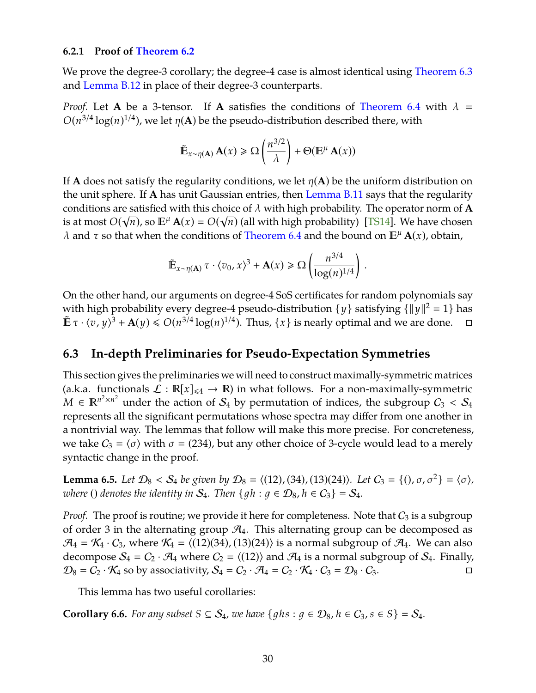#### <span id="page-31-1"></span>**6.2.1 Proof of [Theorem 6.2](#page-26-1)**

We prove the degree-3 corollary; the degree-4 case is almost identical using [Theorem 6.3](#page-29-1) and [Lemma B.12](#page-56-0) in place of their degree-3 counterparts.

*Proof.* Let **A** be a 3-tensor. If **A** satisfies the conditions of [Theorem 6.4](#page-30-0) with  $\lambda$  =  $O(n^{3/4} \log(n)^{1/4})$ , we let  $\eta(A)$  be the pseudo-distribution described there, with

$$
\tilde{\mathbb{E}}_{x \sim \eta(\mathbf{A})} \mathbf{A}(x) \ge \Omega\left(\frac{n^{3/2}}{\lambda}\right) + \Theta(\mathbb{E}^{\mu} \mathbf{A}(x))
$$

If **A** does not satisfy the regularity conditions, we let  $\eta(A)$  be the uniform distribution on the unit sphere. If **A** has unit Gaussian entries, then [Lemma B.11](#page-53-1) says that the regularity conditions are satisfied with this choice of  $\lambda$  with high probability. The operator norm of **A** is at most  $O(\sqrt{n})$ , so  $\mathbb{E}^{\mu} \mathbf{A}(x) = O(\sqrt{n})$  (all with high probability) [\[TS14\]](#page-47-5). We have chosen  $λ$  and τ so that when the conditions of [Theorem 6.4](#page-30-0) and the bound on  $E^{\mu}$  **A**(*x*), obtain,

$$
\tilde {\mathbb E}_{x \sim \eta(\mathbf{A})}\, \tau \cdot \langle v_0, x \rangle^3 + \mathbf{A}(x) \geq \Omega\left(\frac{n^{3/4}}{\log(n)^{1/4}}\right)\,.
$$

On the other hand, our arguments on degree-4 SoS certificates for random polynomials say with high probability every degree-4 pseudo-distribution  $\{y\}$  satisfying  $\{\|y\|^2 = 1\}$  has  $\mathbb{E} \tau \cdot \langle v, y \rangle^3 + \mathbf{A}(y) \leq O(n^{3/4} \log(n)^{1/4})$ . Thus,  $\{x\}$  is nearly optimal and we are done.  $\Box$ 

## **6.3 In-depth Preliminaries for Pseudo-Expectation Symmetries**

This section gives the preliminaries we will need to construct maximally-symmetric matrices (a.k.a. functionals  $\mathcal{L} : \mathbb{R}[x]_{\leq 4} \to \mathbb{R}$ ) in what follows. For a non-maximally-symmetric  $M \in \mathbb{R}^{n^2 \times n^2}$  under the action of  $S_4$  by permutation of indices, the subgroup  $C_3 < S_4$ represents all the significant permutations whose spectra may differ from one another in a nontrivial way. The lemmas that follow will make this more precise. For concreteness, we take  $C_3 = \langle \sigma \rangle$  with  $\sigma = (234)$ , but any other choice of 3-cycle would lead to a merely syntactic change in the proof.

**Lemma 6.5.** *Let*  $\mathcal{D}_8 < \mathcal{S}_4$  *be given by*  $\mathcal{D}_8 = \langle (12), (34), (13)(24) \rangle$ *. Let*  $C_3 = \{(1, \sigma, \sigma^2\} = \{\sigma\}$ *, where* () *denotes the identity in*  $S_4$ *. Then*  $\{qh : q \in \mathcal{D}_8, h \in C_3\} = S_4$ *.* 

*Proof.* The proof is routine; we provide it here for completeness. Note that  $C_3$  is a subgroup of order 3 in the alternating group  $\mathcal{A}_4$ . This alternating group can be decomposed as  $\mathcal{A}_4 = \mathcal{K}_4 \cdot C_3$ , where  $\mathcal{K}_4 = \langle (12)(34), (13)(24) \rangle$  is a normal subgroup of  $\mathcal{A}_4$ . We can also decompose  $S_4 = C_2 \cdot \mathcal{A}_4$  where  $C_2 = \langle (12) \rangle$  and  $\mathcal{A}_4$  is a normal subgroup of  $S_4$ . Finally,  $\mathcal{D}_8 = C_2 \cdot \mathcal{K}_4$  so by associativity,  $\mathcal{S}_4 = C_2 \cdot \mathcal{A}_4 = C_2 \cdot \mathcal{K}_4 \cdot C_3 = \mathcal{D}_8 \cdot C_3$ .

This lemma has two useful corollaries:

<span id="page-31-0"></span>**Corollary 6.6.** *For any subset*  $S \subseteq S_4$ *, we have*  $\{ghs : g \in \mathcal{D}_8, h \in C_3, s \in S\} = S_4$ *.*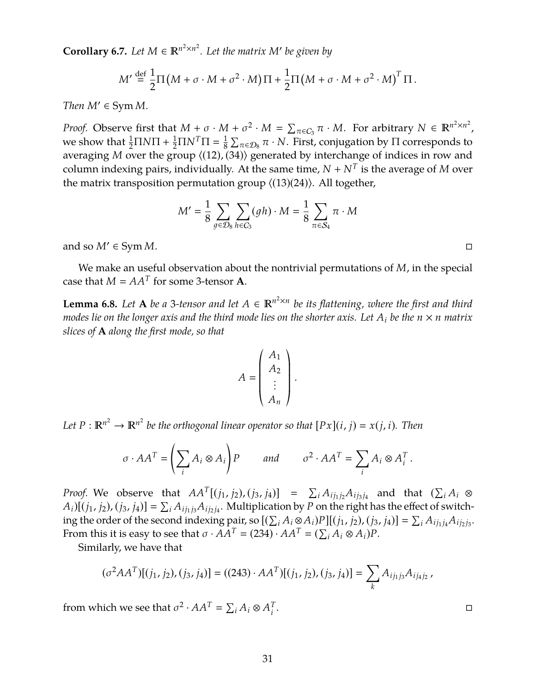<span id="page-32-0"></span>**Corollary 6.7.** Let  $M \in \mathbb{R}^{n^2 \times n^2}$ . Let the matrix  $M'$  be given by

$$
M' \stackrel{\text{def}}{=} \frac{1}{2} \Pi \left( M + \sigma \cdot M + \sigma^2 \cdot M \right) \Pi + \frac{1}{2} \Pi \left( M + \sigma \cdot M + \sigma^2 \cdot M \right)^T \Pi.
$$

*Then*  $M' \in \text{Sym } M$ *.* 

*Proof.* Observe first that  $M + \sigma \cdot M + \sigma^2 \cdot M = \sum_{\pi \in C_3} \pi \cdot M$ . For arbitrary  $N \in \mathbb{R}^{n^2 \times n^2}$ , we show that  $\frac{1}{2} \Pi N \Pi + \frac{1}{2} \Pi N^T \Pi = \frac{1}{8}$  $\frac{1}{8}$   $\sum_{\pi \in \mathcal{D}_8}$   $\pi \cdot N.$  First, conjugation by Π corresponds to averaging *M* over the group  $\langle (12), (34) \rangle$  generated by interchange of indices in row and column indexing pairs, individually. At the same time,  $N+N^T$  is the average of  $M$  over the matrix transposition permutation group  $\langle (13)(24) \rangle$ . All together,

$$
M' = \frac{1}{8} \sum_{g \in \mathcal{D}_8} \sum_{h \in C_3} (gh) \cdot M = \frac{1}{8} \sum_{\pi \in \mathcal{S}_4} \pi \cdot M
$$

and so  $M' \in \text{Sym } M$ .

We make an useful observation about the nontrivial permutations of *M*, in the special case that  $M = AA^T$  for some 3-tensor **A**.

<span id="page-32-1"></span>**Lemma 6.8.** Let **A** be a 3-tensor and let  $A \in \mathbb{R}^{n^2 \times n}$  be its flattening, where the first and third *modes lie on the longer axis and the third mode lies on the shorter axis. Let*  $A_i$  *be the*  $n \times n$  *matrix slices of* **A** *along the first mode, so that*

$$
A = \begin{pmatrix} A_1 \\ A_2 \\ \vdots \\ A_n \end{pmatrix}
$$

.

*Let*  $P : \mathbb{R}^{n^2} \to \mathbb{R}^{n^2}$  be the orthogonal linear operator so that  $[Px](i, j) = x(j, i)$ *. Then* 

$$
\sigma \cdot AA^T = \left(\sum_i A_i \otimes A_i\right) P \qquad \text{and} \qquad \sigma^2 \cdot AA^T = \sum_i A_i \otimes A_i^T.
$$

*Proof.* We observe that  $AA^T[(j_1, j_2), (j_3, j_4)] = \sum_i A_{ij_1j_2}A_{ij_3j_4}$  and that  $(\sum_i A_i \otimes$  $A_i$ )[ $(j_1, j_2)$ ,  $(j_3, j_4)$ ] =  $\sum_i A_{ij_1j_3}A_{ij_2j_4}$ . Multiplication by *P* on the right has the effect of switching the order of the second indexing pair, so  $[(\sum_i A_i \otimes A_i)P][(j_1, j_2), (j_3, j_4)] = \sum_i A_{ij_1j_4}A_{ij_2j_3}$ . From this it is easy to see that  $\sigma \cdot \tilde{A} \tilde{A}^T = (234) \cdot A A^T = (\sum_i A_i \otimes A_i) P$ .

Similarly, we have that

$$
(\sigma^2 AA^T)[(j_1, j_2), (j_3, j_4)] = ((243) \cdot AA^T)[(j_1, j_2), (j_3, j_4)] = \sum_k A_{ij_1j_3} A_{ij_4j_2},
$$

from which we see that  $\sigma^2 \cdot AA^T = \sum_i A_i \otimes A_i^T$ *i*

. В последните последните последните последните последните последните последните последните последните последн<br>В последните последните последните последните последните последните последните последните последните последнит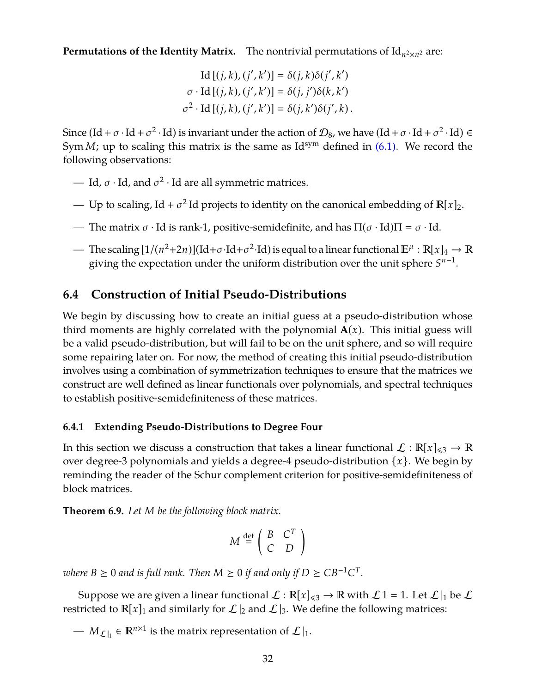**Permutations of the Identity Matrix.** The nontrivial permutations of Id<sub>n2×n2</sub> are:

$$
Id [(j,k),(j',k')] = \delta(j,k)\delta(j',k')
$$

$$
\sigma \cdot Id [(j,k),(j',k')] = \delta(j,j')\delta(k,k')
$$

$$
\sigma^2 \cdot Id [(j,k),(j',k')] = \delta(j,k')\delta(j',k).
$$

Since  $(\mathrm{Id} + \sigma \cdot \mathrm{Id} + \sigma^2 \cdot \mathrm{Id})$  is invariant under the action of  $\mathcal{D}_8$ , we have  $(\mathrm{Id} + \sigma \cdot \mathrm{Id} + \sigma^2 \cdot \mathrm{Id}) \in$ Sym  $M$ ; up to scaling this matrix is the same as  $Id^{sym}$  defined in  $(6.1)$ . We record the following observations:

- Id,  $\sigma \cdot$  Id, and  $\sigma^2 \cdot$  Id are all symmetric matrices.
- Up to scaling, Id +  $\sigma^2$ Id projects to identity on the canonical embedding of  $\mathbb{R}[x]_2$ .
- The matrix  $\sigma \cdot$  Id is rank-1, positive-semidefinite, and has  $\Pi(\sigma \cdot Id)\Pi = \sigma \cdot Id$ .
- The scaling  $[1/(n^2+2n)](\mathrm{Id}+\sigma \cdot \mathrm{Id}+\sigma^2 \cdot \mathrm{Id})$  is equal to a linear functional  $\mathbb{E}^{\mu}: \mathbb{R}[x]_4 \to \mathbb{R}$ giving the expectation under the uniform distribution over the unit sphere  $S^{n-1}$ .

## **6.4 Construction of Initial Pseudo-Distributions**

We begin by discussing how to create an initial guess at a pseudo-distribution whose third moments are highly correlated with the polynomial  $A(x)$ . This initial guess will be a valid pseudo-distribution, but will fail to be on the unit sphere, and so will require some repairing later on. For now, the method of creating this initial pseudo-distribution involves using a combination of symmetrization techniques to ensure that the matrices we construct are well defined as linear functionals over polynomials, and spectral techniques to establish positive-semidefiniteness of these matrices.

### **6.4.1 Extending Pseudo-Distributions to Degree Four**

In this section we discuss a construction that takes a linear functional  $\mathcal{L}: \mathbb{R}[x]_{\leq 3} \to \mathbb{R}$ over degree-3 polynomials and yields a degree-4 pseudo-distribution {*x*}. We begin by reminding the reader of the Schur complement criterion for positive-semidefiniteness of block matrices.

**Theorem 6.9.** *Let M be the following block matrix.*

$$
M \stackrel{\text{def}}{=} \left( \begin{array}{cc} B & C^T \\ C & D \end{array} \right)
$$

 $\alpha$  *where*  $B \geq 0$  and is full rank. Then  $M \geq 0$  if and only if  $D \geq C B^{-1} C^{T}$ .

Suppose we are given a linear functional  $\mathcal{L} : \mathbb{R}[x]_{\leq 3} \to \mathbb{R}$  with  $\mathcal{L} 1 = 1$ . Let  $\mathcal{L}|_1$  be  $\mathcal{L}$ restricted to  $\mathbb{R}[x]_1$  and similarly for  $\mathcal{L}|_2$  and  $\mathcal{L}|_3$ . We define the following matrices:

—  $M_{\mathcal{L}\parallel}$  ∈  $\mathbb{R}^{n\times 1}$  is the matrix representation of  $\mathcal{L}\parallel_1$ .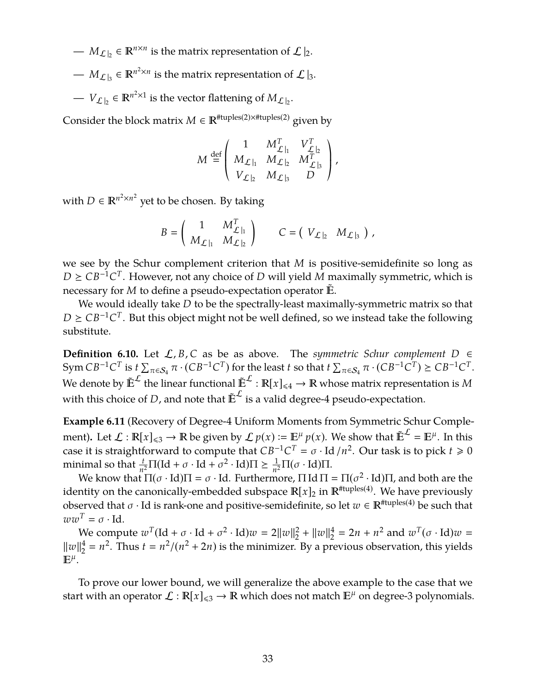- $M_{\mathcal{L}|_2} \in \mathbb{R}^{n \times n}$  is the matrix representation of  $\mathcal{L}|_2$ .
- $M_{\mathcal{L}\vert_{3}}$  ∈  $\mathbb{R}^{n^2 \times n}$  is the matrix representation of  $\mathcal{L}\vert_{3}$ .
- $V_{\mathcal{L}|_2} \in \mathbb{R}^{n^2 \times 1}$  is the vector flattening of  $M_{\mathcal{L}|_2}$ .

Consider the block matrix  $M \in \mathbb{R}^{|\mathsf{f}|\text{tuples}(2) \times |\mathsf{f}|\text{tuples}(2)}$  given by

$$
M\stackrel{\mathrm{def}}{=} \left(\begin{array}{ccc} 1 & M_{\mathcal{L}\mid_{1}}^{T} & V_{\mathcal{L}\mid_{2}}^{T}\\ M_{\mathcal{L}\mid_{1}} & M_{\mathcal{L}\mid_{2}} & M_{\mathcal{L}\mid_{3}}^{T}\\ V_{\mathcal{L}\mid_{2}} & M_{\mathcal{L}\mid_{3}} & D \end{array}\right),
$$

with  $D \in \mathbb{R}^{n^2 \times n^2}$  yet to be chosen. By taking

$$
B = \left(\begin{array}{cc} 1 & M_{\mathcal{L}\,|_{1}}^T \\ M_{\mathcal{L}\,|_{1}} & M_{\mathcal{L}\,|_{2}} \end{array}\right) \qquad C = \left(\begin{array}{cc} V_{\mathcal{L}\,|_{2}} & M_{\mathcal{L}\,|_{3}} \end{array}\right)\,,
$$

we see by the Schur complement criterion that *M* is positive-semidefinite so long as  $D \geq CB^{-1}C^{T}$ . However, not any choice of *D* will yield *M* maximally symmetric, which is necessary for *M* to define a pseudo-expectation operator  $\mathbb{E}$ .

We would ideally take *D* to be the spectrally-least maximally-symmetric matrix so that  $D \geq CB^{-1}C^{T}$ . But this object might not be well defined, so we instead take the following substitute.

<span id="page-34-0"></span>**Definition 6.10.** Let  $\mathcal{L}, B, C$  as be as above. The *symmetric Schur complement D* ∈  $\text{Sym } CB^{-1}C^T$  is  $t \sum_{\pi \in \mathcal{S}_4} \pi \cdot (CB^{-1}C^T)$  for the least  $t$  so that  $t \sum_{\pi \in \mathcal{S}_4} \pi \cdot (CB^{-1}C^T) \geq CB^{-1}C^T$ . We denote by  $\mathbb{E}^{\mathcal{L}}$  the linear functional  $\mathbb{E}^{\mathcal{L}} : \mathbb{R}[x]_{\leq 4} \to \mathbb{R}$  whose matrix representation is M with this choice of *D*, and note that  $\mathbb{E}^{\mathcal{L}}$  is a valid degree-4 pseudo-expectation.

**Example 6.11** (Recovery of Degree-4 Uniform Moments from Symmetric Schur Complement). Let  $\mathcal{L} : \mathbb{R}[x]_{\leq 3} \to \mathbb{R}$  be given by  $\mathcal{L} p(x) := \mathbb{E}^{\mu} p(x)$ . We show that  $\mathbb{E}^{\mathcal{L}} = \mathbb{E}^{\mu}$ . In this case it is straightforward to compute that  $CB^{-1}C^T = \sigma \cdot Id/n^2$ . Our task is to pick  $t \ge 0$ minimal so that  $\frac{t}{n^2} \Pi(\text{Id} + \sigma \cdot \text{Id} + \sigma^2 \cdot \text{Id})\Pi \ge \frac{1}{n^2}$  $\frac{1}{n^2}$ Π(σ · Id)Π.

We know that  $\Pi(\sigma \cdot \text{Id})\Pi = \sigma \cdot \text{Id}$ . Furthermore,  $\Pi \text{Id} \Pi = \Pi(\sigma^2 \cdot \text{Id})\Pi$ , and both are the identity on the canonically-embedded subspace  $\mathbb{R}[x]_2$  in  $\mathbb{R}^{\text{Ituples}(4)}$ . We have previously observed that  $\sigma \cdot$  Id is rank-one and positive-semidefinite, so let  $w \in \mathbb{R}^{H \times (4)}$  be such that  $ww^T = \sigma \cdot \text{Id}.$ 

We compute  $w^T(\text{Id} + \sigma \cdot \text{Id} + \sigma^2 \cdot \text{Id})w = 2||w||_2^2$  $\frac{2}{2} + ||w||_2^4$  $2^4 = 2n + n^2$  and  $w^T(\sigma \cdot \text{Id})w =$  $\|w\|_2^4$  $\frac{4}{2} = n^2$ . Thus  $t = n^2/(n^2 + 2n)$  is the minimizer. By a previous observation, this yields  $\mathbb{E}^{\mu}$ .

To prove our lower bound, we will generalize the above example to the case that we start with an operator  $\mathcal{L} : \mathbb{R}[x]_{\leq 3} \to \mathbb{R}$  which does not match  $\mathbb{E}^{\mu}$  on degree-3 polynomials.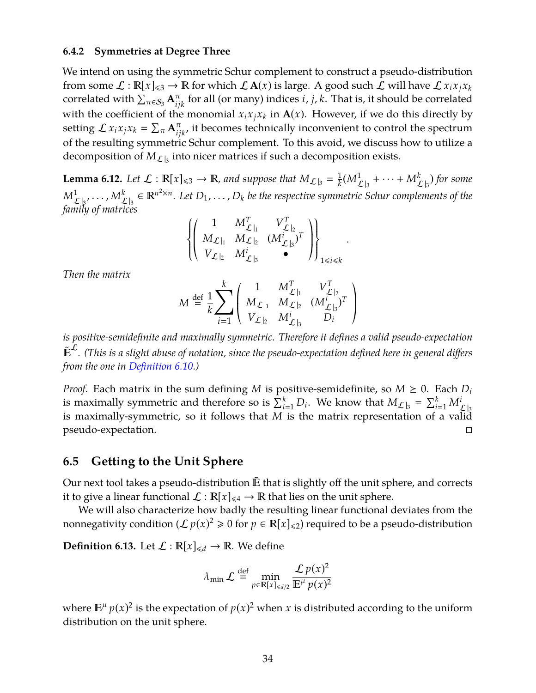#### **6.4.2 Symmetries at Degree Three**

We intend on using the symmetric Schur complement to construct a pseudo-distribution from some  $\mathcal{L}: \mathbb{R}[x]_{\leq 3} \to \mathbb{R}$  for which  $\mathcal{L}A(x)$  is large. A good such  $\mathcal{L}$  will have  $\mathcal{L}x_i x_j x_k$ correlated with  $\sum_{\pi \in \mathcal{S}_3} \mathbf{A}_{ijk}^\pi$  for all (or many) indices *i*, *j*, *k*. That is, it should be correlated with the coefficient of the monomial  $x_i x_j x_k$  in  $A(x)$ . However, if we do this directly by setting  $\mathcal{L} x_i x_j x_k = \sum_{\pi} \mathbf{A}_{ijk}^{\pi}$ , it becomes technically inconvenient to control the spectrum of the resulting symmetric Schur complement. To this avoid, we discuss how to utilize a decomposition of  $M_{\mathcal{L}|_3}$  into nicer matrices if such a decomposition exists.

<span id="page-35-0"></span>**Lemma 6.12.** Let  $\mathcal{L} : \mathbb{R}[x]_{\leq 3} \to \mathbb{R}$ , and suppose that  $M_{\mathcal{L}|_3} = \frac{1}{k}$  $\frac{1}{k} (M_{\mathcal{L} \, \vert_3}^1 + \cdots + M_{\mathcal{L} \, \vert_3}^k)$  for some  $M^1_{\mathcal{L}|_3},\ldots,M^k_{\mathcal{L}|_3}\in\mathbb{R}^{n^2\times n}.$  Let  $D_1,\ldots,D_k$  be the respective symmetric Schur complements of the *family of matrices*

$$
\left\{\left(\begin{array}{ccc}1 & M_{\mathcal{L}\,|_{1}}^T & V_{\mathcal{L}\,|_{2}}^T \\ M_{\mathcal{L}\,|_{1}} & M_{\mathcal{L}\,|_{2}} & (M_{\mathcal{L}\,|_{3}}^i)^T \\ V_{\mathcal{L}\,|_{2}} & M_{\mathcal{L}\,|_{3}}^i & \bullet \end{array}\right)\right\}_{1\leqslant i\leqslant k}
$$

.

*Then the matrix*

$$
M \stackrel{\text{def}}{=} \frac{1}{k} \sum_{i=1}^{k} \left( \begin{array}{ccc} 1 & M_{\mathcal{L}|_{1}}^{T} & V_{\mathcal{L}|_{2}}^{T} \\ M_{\mathcal{L}|_{1}} & M_{\mathcal{L}|_{2}} & (M_{\mathcal{L}|_{3}}^{i})^{T} \\ V_{\mathcal{L}|_{2}} & M_{\mathcal{L}|_{3}}^{i} & D_{i} \end{array} \right)
$$

*is positive-semidefinite and maximally symmetric. Therefore it defines a valid pseudo-expectation* ˜ L *. (This is a slight abuse of notation, since the pseudo-expectation defined here in general differs from the one in [Definition 6.10.](#page-34-0))*

*Proof.* Each matrix in the sum defining *M* is positive-semidefinite, so  $M \geq 0$ . Each  $D_i$ is maximally symmetric and therefore so is  $\sum_{i=1}^{k} D_i$ . We know that  $M_{\mathcal{L}|_3} = \sum_{i=1}^{k} M_{\mathcal{L}|_3}^i$ is maximally-symmetric, so it follows that *M* is the matrix representation of a valid pseudo-expectation.

### **6.5 Getting to the Unit Sphere**

Our next tool takes a pseudo-distribution  $\tilde{E}$  that is slightly off the unit sphere, and corrects it to give a linear functional  $\mathcal{L} : \mathbb{R}[x]_{\leq 4} \to \mathbb{R}$  that lies on the unit sphere.

We will also characterize how badly the resulting linear functional deviates from the nonnegativity condition ( $\mathcal{L} p(x)^2 \ge 0$  for  $p \in \mathbb{R}[x]_{\le 2}$ ) required to be a pseudo-distribution

**Definition 6.13.** Let  $\mathcal{L} : \mathbb{R}[x]_{\le d} \to \mathbb{R}$ . We define

$$
\lambda_{\min} \mathcal{L} \stackrel{\text{def}}{=} \min_{p \in \mathbb{R}[x]_{\le d/2}} \frac{\mathcal{L} p(x)^2}{\mathbb{E}^{\mu} p(x)^2}
$$

where  $\mathbb{E}^{\mu} p(x)^2$  is the expectation of  $p(x)^2$  when *x* is distributed according to the uniform distribution on the unit sphere.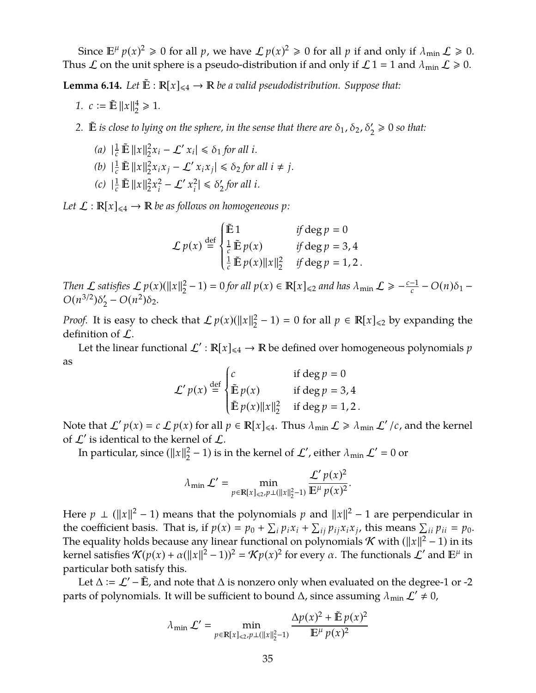Since  $\mathbb{E}^{\mu} p(x)^2 \ge 0$  for all *p*, we have  $\mathcal{L} p(x)^2 \ge 0$  for all *p* if and only if  $\lambda_{\min} \mathcal{L} \ge 0$ . Thus  $\mathcal L$  on the unit sphere is a pseudo-distribution if and only if  $\mathcal L 1 = 1$  and  $\lambda_{\min} \mathcal L \ge 0$ .

<span id="page-36-0"></span>**Lemma 6.14.** *Let*  $\tilde{\mathbb{E}}$  :  $\mathbb{R}[x]_{\leq 4} \to \mathbb{R}$  *be a valid pseudodistribution. Suppose that:* 

- *1.*  $c := \tilde{E} ||x||_2^4$  $_{2}^{4} \ge 1.$
- 2.  $\tilde{E}$  *is close to lying on the sphere, in the sense that there are*  $\delta_1$ ,  $\delta_2$ ,  $\delta'_2 \geq 0$  *so that*:
	- *(a)*  $|\frac{1}{c} \mathbb{E} ||x||_2^2$  $\int_2^2 x_i - \mathcal{L}'(x_i) \le \delta_1$  *for all i.*
	- *(b)*  $|\frac{1}{c} \mathbb{E} ||x||_2^2$  $\int_{2}^{2} x_i x_j - \mathcal{L}' x_i x_j \leq \delta_2$  *for all*  $i \neq j$ *.*
	- *(c)*  $|\frac{1}{c} \mathbb{E} ||x||_2^2$  $\frac{2}{2}x_i^2$  $\int_{i}^{2} - \mathcal{L}' \, x_i^2$  $\left|\frac{2}{i}\right| \leq \delta_2'$ 2 *for all i.*

Let  $\mathcal{L}: \mathbb{R}[x]_{\leq 4} \to \mathbb{R}$  be as follows on homogeneous p:

$$
\mathcal{L} p(x) \stackrel{\text{def}}{=} \begin{cases} \tilde{\mathbb{E}} 1 & \text{if } \deg p = 0 \\ \frac{1}{c} \tilde{\mathbb{E}} p(x) & \text{if } \deg p = 3, 4 \\ \frac{1}{c} \tilde{\mathbb{E}} p(x) ||x||_2^2 & \text{if } \deg p = 1, 2. \end{cases}
$$

*Then*  $\mathcal L$  *satisfies*  $\mathcal L p(x)(\|x\|_2^2)$  $\frac{2}{2} - 1$ ) = 0 for all  $p(x) \in \mathbb{R}[x]_{\le 2}$  and has  $\lambda_{\min} \mathcal{L} \ge -\frac{c-1}{c}$  $\frac{-1}{c} - O(n)\delta_1 O(n^{3/2})\delta_2'$  $\frac{1}{2} - O(n^2)\delta_2$ .

*Proof.* It is easy to check that  $\mathcal{L} p(x)(\Vert x \Vert_2^2)$  $\binom{2}{2} - 1$  = 0 for all  $p \in \mathbb{R}[x]_{\le 2}$  by expanding the definition of L.

Let the linear functional  $\mathcal{L}' : \mathbb{R}[x]_{\leq 4} \to \mathbb{R}$  be defined over homogeneous polynomials  $p$ as

$$
\mathcal{L}'p(x) \stackrel{\text{def}}{=} \begin{cases} c & \text{if } \deg p = 0 \\ \tilde{E}p(x) & \text{if } \deg p = 3,4 \\ \tilde{E}p(x) ||x||_2^2 & \text{if } \deg p = 1,2 \end{cases}
$$

Note that  $\mathcal{L}'p(x) = c \mathcal{L}p(x)$  for all  $p \in \mathbb{R}[x]_{\leq 4}$ . Thus  $\lambda_{\min} \mathcal{L} \geq \lambda_{\min} \mathcal{L}'/c$ , and the kernel of  $\mathcal{L}'$  is identical to the kernel of  $\mathcal{L}$ .

In particular, since  $(||x||_2^2)$  $2^2-1$ ) is in the kernel of  $\mathcal{L}'$ , either  $\lambda_{\min} \mathcal{L}' = 0$  or

$$
\lambda_{\min} \mathcal{L}' = \min_{p \in \mathbb{R}[x]_{\leq 2}, p \perp (||x||_2^2 - 1)} \frac{\mathcal{L}' p(x)^2}{\mathbb{E}^{\mu} p(x)^2}.
$$

Here  $p \perp (||x||^2 - 1)$  means that the polynomials  $p$  and  $||x||^2 - 1$  are perpendicular in the coefficient basis. That is, if  $p(x) = p_0 + \sum_i p_i x_i + \sum_{ij} p_{ij} x_i x_j$ , this means  $\sum_{ii} p_{ii} = p_0$ . The equality holds because any linear functional on polynomials K with ( $||x||^2 - 1$ ) in its kernel satisfies  $\mathcal{K}(p(x) + \alpha(||x||^2 - 1))^2 = \mathcal{K}p(x)^2$  for every  $\alpha$ . The functionals  $\mathcal{L}'$  and  $\mathbb{E}^{\mu}$  in particular both satisfy this.

Let  $\Delta := \mathcal{L}'$  –  $\tilde{E}$ , and note that  $\Delta$  is nonzero only when evaluated on the degree-1 or -2 parts of polynomials. It will be sufficient to bound  $\Delta$ , since assuming  $\lambda_{\min} \mathcal{L}' \neq 0$ ,

$$
\lambda_{\min} \mathcal{L}' = \min_{p \in \mathbb{R}[x]_{\le 2}, p \perp (\|x\|_{2}^{2}-1)} \frac{\Delta p(x)^{2} + \mathbb{E} p(x)^{2}}{\mathbb{E}^{\mu} p(x)^{2}}
$$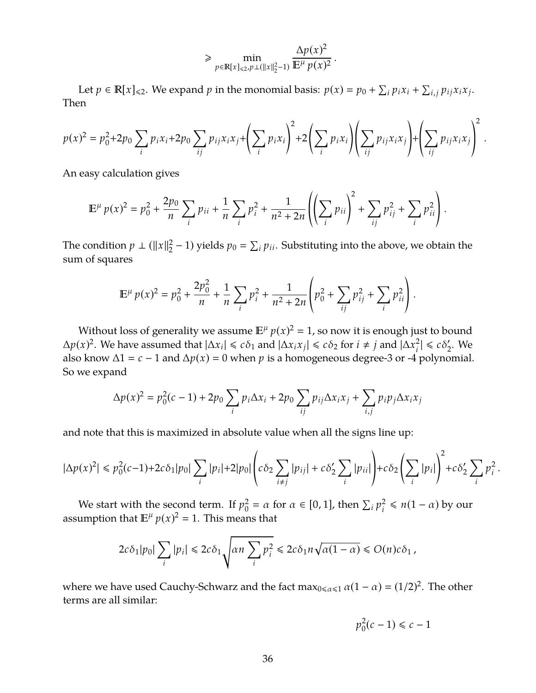$$
\geq \min_{p \in \mathbb{R}[x]_{\leq 2}, p \perp (||x||_2^2 - 1)} \frac{\Delta p(x)^2}{\mathbb{E}^{\mu} p(x)^2}.
$$

Let  $p \in \mathbb{R}[x]_{\le 2}$ . We expand  $p$  in the monomial basis:  $p(x) = p_0 + \sum_i p_i x_i + \sum_{i,j} p_{ij} x_i x_j$ . Then

$$
p(x)^2 = p_0^2 + 2p_0 \sum_i p_i x_i + 2p_0 \sum_{ij} p_{ij} x_i x_j + \left(\sum_i p_i x_i\right)^2 + 2\left(\sum_i p_i x_i\right)\left(\sum_{ij} p_{ij} x_i x_j\right) + \left(\sum_{ij} p_{ij} x_i x_j\right)^2.
$$

An easy calculation gives

$$
\mathbb{E}^{\mu} p(x)^{2} = p_{0}^{2} + \frac{2p_{0}}{n} \sum_{i} p_{ii} + \frac{1}{n} \sum_{i} p_{i}^{2} + \frac{1}{n^{2} + 2n} \left( \left( \sum_{i} p_{ii} \right)^{2} + \sum_{ij} p_{ij}^{2} + \sum_{i} p_{ii}^{2} \right).
$$

The condition  $p \perp (\|x\|_2^2)$  $\frac{2}{2}$  – 1) yields  $p_0 = \sum_i p_{ii}$ . Substituting into the above, we obtain the sum of squares

$$
\mathbb{E}^{\mu} p(x)^{2} = p_{0}^{2} + \frac{2p_{0}^{2}}{n} + \frac{1}{n} \sum_{i} p_{i}^{2} + \frac{1}{n^{2} + 2n} \left( p_{0}^{2} + \sum_{ij} p_{ij}^{2} + \sum_{i} p_{ii}^{2} \right).
$$

Without loss of generality we assume  $E^{\mu} p(x)^2 = 1$ , so now it is enough just to bound  $\Delta p(x)^2$ . We have assumed that  $|\Delta x_i|$  ≤ *c*δ<sub>1</sub> and  $|\Delta x_i x_j|$  ≤ *c*δ<sub>2</sub> for *i* ≠ *j* and  $|\Delta x_i^2|$  $|c_i^2| \le c\delta_2'$  $\frac{1}{2}$ . We also know  $\Delta$ 1 = *c* − 1 and  $\Delta$ *p*(*x*) = 0 when *p* is a homogeneous degree-3 or -4 polynomial. So we expand

$$
\Delta p(x)^2 = p_0^2(c-1) + 2p_0 \sum_i p_i \Delta x_i + 2p_0 \sum_{ij} p_{ij} \Delta x_i x_j + \sum_{i,j} p_i p_j \Delta x_i x_j
$$

and note that this is maximized in absolute value when all the signs line up:

$$
|\Delta p(x)^2| \leq p_0^2(c-1) + 2c\delta_1|p_0|\sum_i |p_i| + 2|p_0|\left(c\delta_2\sum_{i\neq j}|p_{ij}| + c\delta_2'\sum_i |p_{ii}|\right) + c\delta_2\left(\sum_i |p_i|\right)^2 + c\delta_2'\sum_i p_i^2.
$$

We start with the second term. If  $p_0^2$  $\alpha_0^2 = \alpha$  for  $\alpha \in [0, 1]$ , then  $\sum_i p_i^2$  $\frac{2}{i} \leq n(1-\alpha)$  by our assumption that  $\mathbb{E}^{\mu} p(x)^2 = 1$ . This means that

$$
2c\delta_1|p_0|\sum_i|p_i|\leq 2c\delta_1\sqrt{\alpha n\sum_i p_i^2}\leq 2c\delta_1 n\sqrt{\alpha(1-\alpha)}\leq O(n)c\delta_1\,,
$$

where we have used Cauchy-Schwarz and the fact max<sub>0≤α≤1</sub>  $\alpha(1 - \alpha) = (1/2)^2$ . The other terms are all similar:

$$
p_0^2(c-1) \leq c-1
$$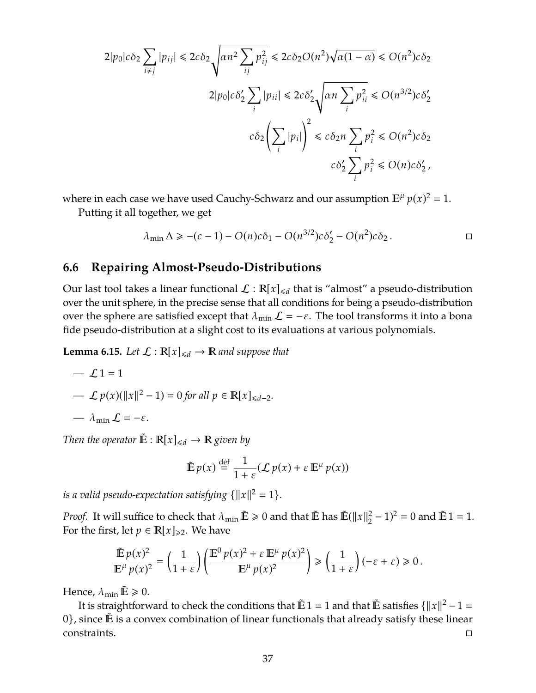$$
2|p_0|c\delta_2 \sum_{i \neq j} |p_{ij}| \le 2c\delta_2 \sqrt{\alpha n^2 \sum_{ij} p_{ij}^2} \le 2c\delta_2 O(n^2) \sqrt{\alpha (1 - \alpha)} \le O(n^2)c\delta_2
$$
  

$$
2|p_0|c\delta_2' \sum_i |p_{ii}| \le 2c\delta_2' \sqrt{\alpha n \sum_i p_{ii}^2} \le O(n^{3/2})c\delta_2'
$$
  

$$
c\delta_2 \left(\sum_i |p_i|\right)^2 \le c\delta_2 n \sum_i p_i^2 \le O(n^2)c\delta_2
$$
  

$$
c\delta_2' \sum_i p_i^2 \le O(n)c\delta_2',
$$

where in each case we have used Cauchy-Schwarz and our assumption  $\mathbb{E}^{\mu} p(x)^2 = 1$ . Putting it all together, we get

$$
\lambda_{\min} \Delta \geqslant -(c-1) - O(n)c\delta_1 - O(n^{3/2})c\delta_2' - O(n^2)c\delta_2.
$$

#### **6.6 Repairing Almost-Pseudo-Distributions**

Our last tool takes a linear functional  $\mathcal{L} : \mathbb{R}[x]_{\le d}$  that is "almost" a pseudo-distribution over the unit sphere, in the precise sense that all conditions for being a pseudo-distribution over the sphere are satisfied except that  $\lambda_{\min} \mathcal{L} = -\varepsilon$ . The tool transforms it into a bona fide pseudo-distribution at a slight cost to its evaluations at various polynomials.

<span id="page-38-0"></span>**Lemma 6.15.** *Let*  $\mathcal{L}: \mathbb{R}[x]_{\leq d} \to \mathbb{R}$  *and suppose that* 

$$
-\mathcal{L}1=1
$$

$$
- \mathcal{L} p(x)(\|x\|^2 - 1) = 0 \text{ for all } p \in \mathbb{R}[x]_{\leq d-2}.
$$

$$
- \lambda_{\min} \mathcal{L} = -\varepsilon.
$$

*Then the operator*  $\tilde{E}: \mathbb{R}[x]_{\le d} \to \mathbb{R}$  *given by* 

$$
\tilde{\mathbb{E}} p(x) \stackrel{\text{def}}{=} \frac{1}{1+\varepsilon} (\mathcal{L} p(x) + \varepsilon \mathbb{E}^{\mu} p(x))
$$

*is a valid pseudo-expectation satisfying*  $\{\Vert x \Vert^2 = 1\}$ *.* 

*Proof.* It will suffice to check that  $\lambda_{\min} \mathbb{E} \geq 0$  and that  $\mathbb{E}$  has  $\mathbb{E}(\|x\|_2^2)$  $^{2}_{2}$  – 1)<sup>2</sup> = 0 and  $\tilde{E}$  1 = 1. For the first, let  $p \in \mathbb{R}[x]_{\geq 2}$ . We have

$$
\frac{\tilde{\mathbb{E}}\,p(x)^2}{\mathbb{E}^{\mu}\,p(x)^2}=\left(\frac{1}{1+\varepsilon}\right)\left(\frac{\mathbb{E}^0\,p(x)^2+\varepsilon\,\mathbb{E}^{\mu}\,p(x)^2}{\mathbb{E}^{\mu}\,p(x)^2}\right)\geq\left(\frac{1}{1+\varepsilon}\right)(-\varepsilon+\varepsilon)\geq0\,.
$$

Hence,  $\lambda_{\min} \tilde{E} \geq 0$ .

It is straightforward to check the conditions that  $\tilde{E} 1 = 1$  and that  $\tilde{E}$  satisfies  $\{\|x\|^2 - 1 =$  $0$ , since  $\tilde{E}$  is a convex combination of linear functionals that already satisfy these linear  $\Box$ constraints.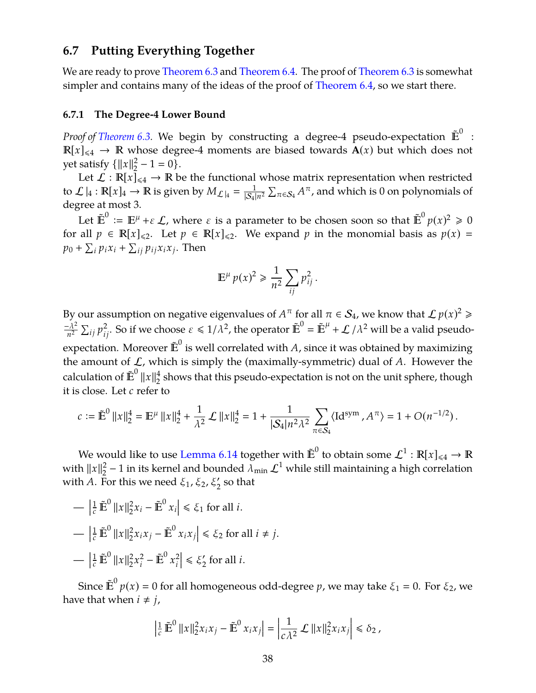## **6.7 Putting Everything Together**

We are ready to prove [Theorem 6.3](#page-29-1) and [Theorem 6.4.](#page-30-0) The proof of Theorem 6.3 is somewhat simpler and contains many of the ideas of the proof of [Theorem 6.4,](#page-30-0) so we start there.

#### **6.7.1 The Degree-4 Lower Bound**

*Proof of [Theorem 6.3.](#page-29-1)* We begin by constructing a degree-4 pseudo-expectation  $\mathbb{\tilde{E}}^{0}$  :  $\mathbb{R}[x]_{\leq 4} \to \mathbb{R}$  whose degree-4 moments are biased towards  $A(x)$  but which does not yet satisfy  $\{\Vert x \Vert^2$  $2^2 - 1 = 0$ .

Let  $\mathcal{L}: \mathbb{R}[x]_{\leq 4} \to \mathbb{R}$  be the functional whose matrix representation when restricted to  $\mathcal{L}|_4 : \mathbb{R}[x]_4 \to \mathbb{R}$  is given by  $M_{\mathcal{L}|_4} = \frac{1}{|S_4|}$  $\frac{1}{|\mathcal{S}_4|n^2}\sum_{\pi\in \mathcal{S}_4} A^\pi$ , and which is  $0$  on polynomials of degree at most 3.

Let  $\tilde{\mathbb{E}}^0 := \mathbb{E}^{\mu} + \varepsilon \mathcal{L}$ , where  $\varepsilon$  is a parameter to be chosen soon so that  $\tilde{\mathbb{E}}^0 p(x)^2 \geq 0$ for all  $p \in \mathbb{R}[x]_{\leq 2}$ . Let  $p \in \mathbb{R}[x]_{\leq 2}$ . We expand p in the monomial basis as  $p(x) =$  $p_0 + \sum_i p_i x_i + \sum_{ij} p_{ij} x_i x_j$ . Then

$$
\mathbb{E}^{\mu} p(x)^2 \geq \frac{1}{n^2} \sum_{ij} p_{ij}^2.
$$

By our assumption on negative eigenvalues of  $A^{\pi}$  for all  $\pi \in \mathcal{S}_4$ , we know that  $\mathcal{L} \, p(x)^2 \geqslant 1$  $-\lambda^2$  $\frac{\lambda^2}{n^2} \sum_{ij} p_{ij}^2$ . So if we choose  $\varepsilon \le 1/\lambda^2$ , the operator  $\tilde{\mathbb{E}}^0 = \tilde{\mathbb{E}}^{\mu} + \mathcal{L}/\lambda^2$  will be a valid pseudoexpectation. Moreover  $\tilde{\bm{E}}^0$  is well correlated with *A*, since it was obtained by maximizing the amount of  $\mathcal{L}$ , which is simply the (maximally-symmetric) dual of  $A$ . However the calculation of  $\tilde{\mathbb{E}}^0$   $\|x\|_2^4$  $\frac{4}{2}$  shows that this pseudo-expectation is not on the unit sphere, though it is close. Let *c* refer to

$$
c := \tilde{\mathbb{E}}^0 \left\|x\right\|_2^4 = \mathbb{E}^{\mu} \left\|x\right\|_2^4 + \frac{1}{\lambda^2} \mathcal{L} \left\|x\right\|_2^4 = 1 + \frac{1}{|\mathcal{S}_4|n^2\lambda^2} \sum_{\pi \in \mathcal{S}_4} \langle \mathrm{Id}^{\mathrm{sym}} , A^{\pi} \rangle = 1 + O(n^{-1/2}).
$$

We would like to use [Lemma 6.14](#page-36-0) together with  $\tilde{\mathbb{E}}^{0}$  to obtain some  $\mathcal{L}^{1}:\mathbb{R}[x]_{\leqslant 4}\to\mathbb{R}$ with  $||x||_2^2$  $\frac{2}{2}$  – 1 in its kernel and bounded  $\lambda_{\min} \mathcal{L}^1$  while still maintaining a high correlation with A. For this we need  $\xi_1$ ,  $\xi_2$ ,  $\xi_2'$  so that

$$
- \left| \frac{1}{c} \tilde{\mathbb{E}}^0 \|x\|_2^2 x_i - \tilde{\mathbb{E}}^0 x_i \right| \le \xi_1 \text{ for all } i.
$$
  

$$
- \left| \frac{1}{c} \tilde{\mathbb{E}}^0 \|x\|_2^2 x_i x_j - \tilde{\mathbb{E}}^0 x_i x_j \right| \le \xi_2 \text{ for all } i \ne j.
$$
  

$$
- \left| \frac{1}{c} \tilde{\mathbb{E}}^0 \|x\|_2^2 x_i^2 - \tilde{\mathbb{E}}^0 x_i^2 \right| \le \xi_2' \text{ for all } i.
$$

Since  $\tilde{\mathbb{E}}^{0}$   $p(x) = 0$  for all homogeneous odd-degree  $p$ , we may take  $\xi_{1} = 0$ . For  $\xi_{2}$ , we have that when  $i \neq j$ ,

$$
\left|\tfrac{1}{c}\tilde{\mathbb{E}}^0\left|\left|x\right|\right|_2^2x_ix_j-\tilde{\mathbb{E}}^0x_ix_j\right|=\left|\tfrac{1}{c\lambda^2}\mathcal{L}\left|\left|x\right|\right|_2^2x_ix_j\right|\leq\delta_2\,,
$$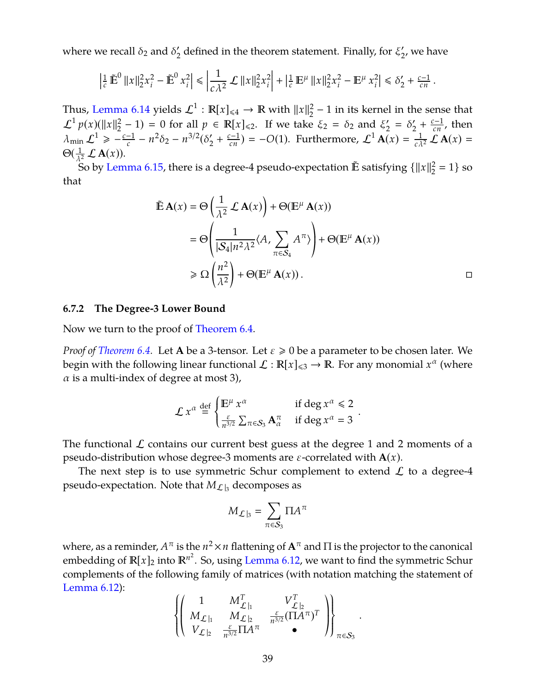where we recall  $\delta_2$  and  $\delta'_2$  $\frac{1}{2}$  defined in the theorem statement. Finally, for  $\bar{\xi}_2^{\prime}$  $'_{2'}$ , we have

$$
\left|\tfrac{1}{c}\tilde{\mathbb{E}}^0\left|\left|x\right|\right|_2^2 x_i^2 - \tilde{\mathbb{E}}^0\left|x_i^2\right|\leq \left|\tfrac{1}{c\lambda^2}\mathcal{L}\left|\left|x\right|\right|_2^2 x_i^2\right| + \left|\tfrac{1}{c}\mathbb{E}^\mu\left|\left|x\right|\right|_2^2 x_i^2 - \mathbb{E}^\mu\left|x_i^2\right|\leq \delta_2' + \tfrac{c-1}{cn}.
$$

Thus, [Lemma 6.14](#page-36-0) yields  $\mathcal{L}^1: \mathbb{R}[x]_{\leq 4} \to \mathbb{R}$  with  $\|x\|_2^2$  $2^2 - 1$  in its kernel in the sense that  $\mathcal{L}^1 p(x) (\|x\|_2^2)$  $\binom{2}{2} - 1$  = 0 for all  $p \in \mathbb{R}[x]_{\le 2}$ . If we take  $\xi_2 = \delta_2$  and  $\xi_2$  $'_{2} = \delta'_{2}$  $\frac{c}{2} + \frac{c-1}{cn}$ , then  $\lambda_{\min} \mathcal{L}^1 \geqslant \frac{c-1}{c}$  $\frac{-1}{c} - n^2 \delta_2 - n^{3/2} (\delta_2^{\prime})$  $\mathcal{L}_2 + \frac{c-1}{cn}$  = −*O*(1). Furthermore,  $\mathcal{L}^1$  **A**(*x*) =  $\frac{1}{c\lambda^2} \mathcal{L}$  **A**(*x*) =  $\Theta(\frac{1}{\lambda^2}\mathcal{L}\mathbf{A}(x)).$ 

So by [Lemma 6.15,](#page-38-0) there is a degree-4 pseudo-expectation  $\tilde{\mathbb{E}}$  satisfying  $\{\|x\|_2^2\}$  $_{2}^{2} = 1$  so that

$$
\tilde{\mathbb{E}} \mathbf{A}(x) = \Theta \left( \frac{1}{\lambda^2} \mathcal{L} \mathbf{A}(x) \right) + \Theta(\mathbb{E}^{\mu} \mathbf{A}(x))
$$
\n
$$
= \Theta \left( \frac{1}{|\mathcal{S}_4| n^2 \lambda^2} \langle A, \sum_{\pi \in \mathcal{S}_4} A^{\pi} \rangle \right) + \Theta(\mathbb{E}^{\mu} \mathbf{A}(x))
$$
\n
$$
\ge \Omega \left( \frac{n^2}{\lambda^2} \right) + \Theta(\mathbb{E}^{\mu} \mathbf{A}(x)).
$$

#### **6.7.2 The Degree-3 Lower Bound**

Now we turn to the proof of [Theorem 6.4.](#page-30-0)

*Proof of [Theorem 6.4.](#page-30-0)* Let **A** be a 3-tensor. Let  $\varepsilon \ge 0$  be a parameter to be chosen later. We begin with the following linear functional  $\mathcal{L} : \mathbb{R}[x]_{\leqslant 3} \to \mathbb{R}$ . For any monomial  $x^{\alpha}$  (where  $\alpha$  is a multi-index of degree at most 3),

$$
\mathcal{L} x^{\alpha} \stackrel{\text{def}}{=} \begin{cases} \mathbb{E}^{\mu} x^{\alpha} & \text{if } \deg x^{\alpha} \leq 2 \\ \frac{\varepsilon}{n^{3/2}} \sum_{\pi \in S_3} \mathbf{A}_{\alpha}^{\pi} & \text{if } \deg x^{\alpha} = 3 \end{cases}.
$$

The functional  $\mathcal L$  contains our current best guess at the degree 1 and 2 moments of a pseudo-distribution whose degree-3 moments are  $\varepsilon$ -correlated with  $A(x)$ .

The next step is to use symmetric Schur complement to extend  $\mathcal L$  to a degree-4 pseudo-expectation. Note that  $M_{\mathcal{L}|_3}$  decomposes as

$$
M_{\mathcal{L}|_3} = \sum_{\pi \in \mathcal{S}_3} \Pi A^{\pi}
$$

where, as a reminder,  $A^\pi$  is the  $n^2 \times n$  flattening of  $\mathbf{A}^\pi$  and  $\Pi$  is the projector to the canonical embedding of  $\mathbb{R}[x]_2$  into  $\mathbb{R}^{n^2}$ . So, using [Lemma 6.12,](#page-35-0) we want to find the symmetric Schur complements of the following family of matrices (with notation matching the statement of [Lemma 6.12\)](#page-35-0):

$$
\left\{\left(\begin{array}{ccc}1 & M_{\mathcal{L}|_1}^T & V_{\mathcal{L}|_2}^T \\ M_{\mathcal{L}|_1} & M_{\mathcal{L}|_2} & \frac{\varepsilon}{n^{3/2}}(\Pi A^\pi)^T \\ V_{\mathcal{L}|_2} & \frac{\varepsilon}{n^{3/2}}\Pi A^\pi & \bullet \end{array}\right)\right\}_{\pi \in \mathcal{S}_3}.
$$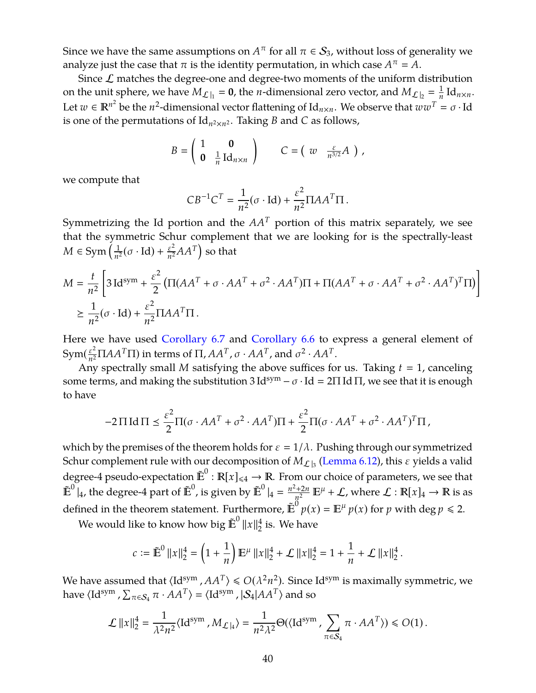Since we have the same assumptions on  $A^\pi$  for all  $\pi \in \mathcal{S}_3$ , without loss of generality we analyze just the case that  $\pi$  is the identity permutation, in which case  $A^{\pi} = A$ .

Since  $\mathcal L$  matches the degree-one and degree-two moments of the uniform distribution on the unit sphere, we have  $M_{\mathcal{L}|_1} = 0$ , the *n*-dimensional zero vector, and  $M_{\mathcal{L}|_2} = \frac{1}{n}$  $\frac{1}{n}$ Id<sub>*n*×*n*</sub>. Let  $w \in \mathbb{R}^{n^2}$  be the  $n^2$ -dimensional vector flattening of Id<sub>n×n</sub>. We observe that  $w w^T = \sigma \cdot Id$ is one of the permutations of  $\mathrm{Id}_{n^2 \times n^2}$ . Taking *B* and *C* as follows,

$$
B = \left(\begin{array}{cc} 1 & \mathbf{0} \\ \mathbf{0} & \frac{1}{n} \operatorname{Id}_{n \times n} \end{array}\right) \qquad C = \left(\begin{array}{cc} w & \frac{\varepsilon}{n^{3/2}} A \end{array}\right) ,
$$

we compute that

$$
CB^{-1}C^{T} = \frac{1}{n^{2}}(\sigma \cdot \text{Id}) + \frac{\varepsilon^{2}}{n^{2}}\Pi AA^{T}\Pi.
$$

Symmetrizing the Id portion and the  $AA<sup>T</sup>$  portion of this matrix separately, we see that the symmetric Schur complement that we are looking for is the spectrally-least *M* ∈ Sym $\left(\frac{1}{n^2}\right)$  $\frac{1}{n^2}(\sigma \cdot \text{Id}) + \frac{\varepsilon^2}{n^2}$  $\frac{\varepsilon^2}{n^2}AA^T\Big)$  so that

$$
M = \frac{t}{n^2} \left[ 3 \operatorname{Id}^{\operatorname{sym}} + \frac{\varepsilon^2}{2} \left( \Pi (AA^T + \sigma \cdot AA^T + \sigma^2 \cdot AA^T) \Pi + \Pi (AA^T + \sigma \cdot AA^T + \sigma^2 \cdot AA^T)^T \Pi \right) \right]
$$
  

$$
\geq \frac{1}{n^2} (\sigma \cdot \operatorname{Id}) + \frac{\varepsilon^2}{n^2} \Pi AA^T \Pi.
$$

Here we have used [Corollary 6.7](#page-32-0) and [Corollary 6.6](#page-31-0) to express a general element of Svm $(\frac{\varepsilon^2}{2})$  $\frac{\varepsilon^2}{n^2} \Pi AA^T \Pi$ ) in terms of  $\Pi$ ,  $AA^T$ , σ ·  $AA^T$ , and σ<sup>2</sup> ·  $AA^T$ .

Any spectrally small *M* satisfying the above suffices for us. Taking  $t = 1$ , canceling some terms, and making the substitution  $3 \text{Id}^{\text{sym}} - \sigma \cdot \text{Id} = 2 \Pi \text{Id} \Pi$ , we see that it is enough to have

$$
-2\Pi \operatorname{Id} \Pi \leq \frac{\varepsilon^2}{2} \Pi (\sigma \cdot AA^T + \sigma^2 \cdot AA^T) \Pi + \frac{\varepsilon^2}{2} \Pi (\sigma \cdot AA^T + \sigma^2 \cdot AA^T)^T \Pi,
$$

which by the premises of the theorem holds for  $\varepsilon = 1/\lambda$ . Pushing through our symmetrized Schur complement rule with our decomposition of  $M_{\mathcal{L}|_3}$  [\(Lemma 6.12\)](#page-35-0), this  $\varepsilon$  yields a valid degree-4 pseudo-expectation  $\mathbb{E}^0 : \mathbb{R}[x]_{\leq 4} \to \mathbb{R}$ . From our choice of parameters, we see that  $\mathbb{E}^0|_4$ , the degree-4 part of  $\mathbb{E}^0$ , is given by  $\mathbb{E}^0|_4 = \frac{n^2 + 2n}{n^2}$  $\frac{d+2n}{n^2} \mathbb{E}^{\mu} + \mathcal{L}$ , where  $\mathcal{L} : \mathbb{R}[x]_4 \to \mathbb{R}$  is as defined in the theorem statement. Furthermore,  $\tilde{E}^{\ddot{0}} p(x) = E^{\mu} p(x)$  for *p* with deg  $p \le 2$ .

We would like to know how big  $\tilde{\mathbb{E}}^{0}\left\Vert x\right\Vert _{2}^{4}$  $\frac{4}{2}$  is. We have

$$
c := \tilde{\mathbb{E}}^0 \|x\|_2^4 = \left(1 + \frac{1}{n}\right) \mathbb{E}^\mu \|x\|_2^4 + \mathcal{L} \|x\|_2^4 = 1 + \frac{1}{n} + \mathcal{L} \|x\|_2^4.
$$

We have assumed that  $\langle \text{Id}^{\text{sym}}$  ,  $AA^T \rangle \leqslant O(\lambda^2 n^2)$ . Since Id<sup>sym</sup> is maximally symmetric, we have  $\langle \text{Id}^{\text{sym}}$  ,  $\sum_{\pi \in \mathcal{S}_4} \pi \cdot AA^T \rangle = \langle \text{Id}^{\text{sym}}$  ,  $|\mathcal{S}_4|AA^T \rangle$  and so

$$
\mathcal{L} \|x\|_2^4 = \frac{1}{\lambda^2 n^2} \langle \mathrm{Id}^{\mathrm{sym}} \, , M_{\mathcal{L}|_4} \rangle = \frac{1}{n^2 \lambda^2} \Theta(\langle \mathrm{Id}^{\mathrm{sym}} \, , \sum_{\pi \in \mathcal{S}_4} \pi \cdot AA^T \rangle) \leqslant O(1) \, .
$$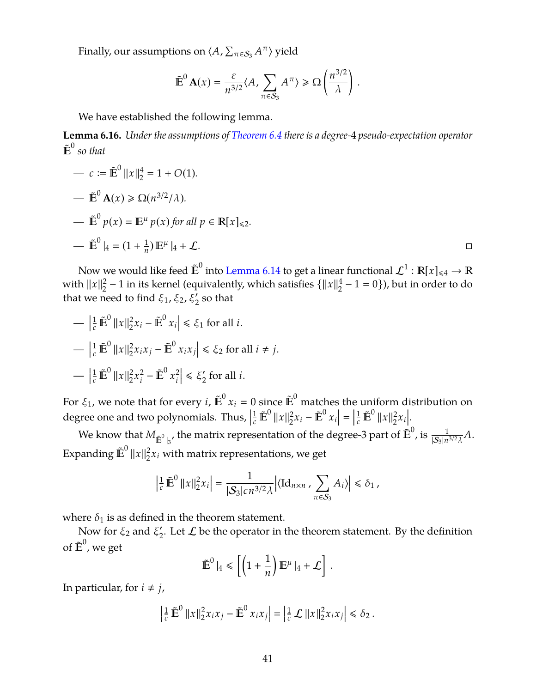Finally, our assumptions on  $\langle A, \sum_{\pi \in \mathcal{S}_3} A^{\pi} \rangle$  yield

$$
\tilde{\mathbb{E}}^0 \mathbf{A}(x) = \frac{\varepsilon}{n^{3/2}} \langle A, \sum_{\pi \in S_3} A^{\pi} \rangle \ge \Omega \left( \frac{n^{3/2}}{\lambda} \right).
$$

We have established the following lemma.

**Lemma 6.16.** *Under the assumptions of [Theorem 6.4](#page-30-0) there is a degree-*4 *pseudo-expectation operator*  $\tilde{\mathbb{E}}^0$  so that

$$
- c := \mathbb{E}^{0} ||x||_{2}^{4} = 1 + O(1).
$$
  
\n
$$
- \mathbb{E}^{0} \mathbf{A}(x) \ge \Omega(n^{3/2}/\lambda).
$$
  
\n
$$
- \mathbb{E}^{0} p(x) = \mathbb{E}^{\mu} p(x) \text{ for all } p \in \mathbb{R}[x]_{\le 2}.
$$
  
\n
$$
- \mathbb{E}^{0} |_{4} = (1 + \frac{1}{n}) \mathbb{E}^{\mu} |_{4} + \mathcal{L}.
$$

Now we would like feed  $\tilde{\bm{\mathbb{E}}}^0$  into [Lemma 6.14](#page-36-0) to get a linear functional  $\mathcal{L}^1: \mathbb{R}[x]_{\leqslant 4} \to \mathbb{R}$ with  $||x||_2^2$  $\frac{2}{2}$  − 1 in its kernel (equivalently, which satisfies { $\|x\|_2^4$  $\frac{4}{2}$  – 1 = 0}), but in order to do that we need to find  $\xi_1$ ,  $\xi_2$ ,  $\xi'_2$  so that

$$
- \left| \frac{1}{c} \tilde{\mathbf{E}}^0 \|x\|_2^2 x_i - \tilde{\mathbf{E}}^0 x_i \right| \le \xi_1 \text{ for all } i.
$$
  

$$
- \left| \frac{1}{c} \tilde{\mathbf{E}}^0 \|x\|_2^2 x_i x_j - \tilde{\mathbf{E}}^0 x_i x_j \right| \le \xi_2 \text{ for all } i \ne j.
$$
  

$$
- \left| \frac{1}{c} \tilde{\mathbf{E}}^0 \|x\|_2^2 x_i^2 - \tilde{\mathbf{E}}^0 x_i^2 \right| \le \xi_2' \text{ for all } i.
$$

For  $\xi_1$ , we note that for every  $i$ ,  $\tilde{\mathbb{E}}^0$   $x_i = 0$  since  $\tilde{\mathbb{E}}^0$  matches the uniform distribution on degree one and two polynomials. Thus,  $\left|\frac{1}{c}\tilde{\mathbf{E}}^0||x|\right|_2^2$  $2x_i - \mathbb{E}^0 x_i$  $=$  $\left| \frac{1}{c} \tilde{\mathbf{E}}^0 \|x\|_2^2 \right|$  $\frac{2}{2}x_i$ ..<br>|<br>|

We know that  $M_{\tilde{E}^0|_3}$ , the matrix representation of the degree-3 part of  $\dot{\tilde{E}}^0$ , is  $\frac{1}{|S_3|n^{3/2}\lambda}A$ . Expanding  $\tilde{\mathbb{E}}^0$   $\|x\|_2^2$  $\frac{2}{2}x_i$  with matrix representations, we get

$$
\left|\tfrac{1}{c}\,\tilde{\mathbb{E}}^0\,\|x\|_2^2x_i\right|=\frac{1}{|\mathcal{S}_3|c\,n^{3/2}\lambda}\Big|\langle \mathrm{Id}_{n\times n}\,,\sum_{\pi\in \mathcal{S}_3}A_i\rangle\Big|\leq \delta_1\,,
$$

where  $\delta_1$  is as defined in the theorem statement.

Now for  $\xi_2$  and  $\xi_2$  $\chi_2'$ . Let  $\mathcal L$  be the operator in the theorem statement. By the definition of  $\tilde{\mathbb{E}}^0$ , we get  $\overline{a}$ 

$$
\tilde{\mathbb{E}}^0 \mid_4 \leq \left[ \left( 1 + \frac{1}{n} \right) \mathbb{E}^{\mu} \mid_4 + \mathcal{L} \right].
$$

In particular, for  $i \neq j$ ,

$$
\left|\tfrac{1}{c}\,\tilde{\mathbb{E}}^0\,\|x\|_2^2x_ix_j-\tilde{\mathbb{E}}^0\,x_ix_j\right|=\left|\tfrac{1}{c}\,\mathcal{L}\,\|x\|_2^2x_ix_j\right|\leq \delta_2\,.
$$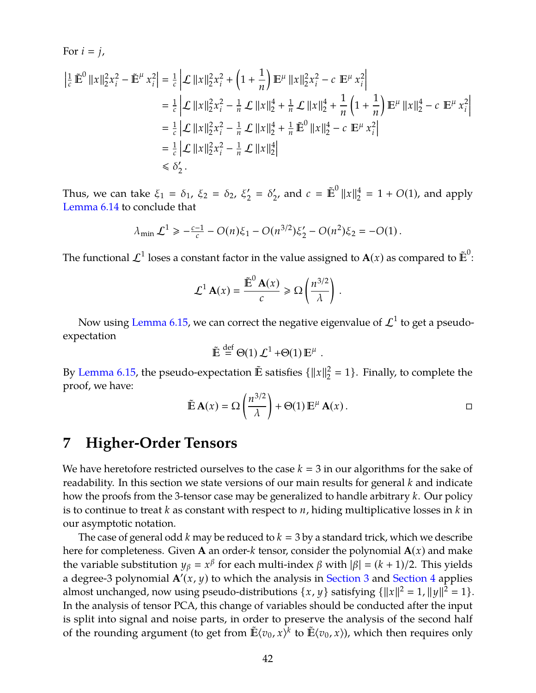For 
$$
i = j
$$
,  
\n
$$
\left| \frac{1}{c} \mathbb{E}^0 \|x\|_2^2 x_i^2 - \mathbb{E}^\mu x_i^2 \right| = \frac{1}{c} \left| \mathcal{L} \|x\|_2^2 x_i^2 + \left(1 + \frac{1}{n}\right) \mathbb{E}^\mu \|x\|_2^2 x_i^2 - c \mathbb{E}^\mu x_i^2 \right|
$$
\n
$$
= \frac{1}{c} \left| \mathcal{L} \|x\|_2^2 x_i^2 - \frac{1}{n} \mathcal{L} \|x\|_2^4 + \frac{1}{n} \mathcal{L} \|x\|_2^4 + \frac{1}{n} \left(1 + \frac{1}{n}\right) \mathbb{E}^\mu \|x\|_2^4 - c \mathbb{E}^\mu x_i^2 \right|
$$
\n
$$
= \frac{1}{c} \left| \mathcal{L} \|x\|_2^2 x_i^2 - \frac{1}{n} \mathcal{L} \|x\|_2^4 + \frac{1}{n} \mathbb{E}^0 \|x\|_2^4 - c \mathbb{E}^\mu x_i^2 \right|
$$
\n
$$
= \frac{1}{c} \left| \mathcal{L} \|x\|_2^2 x_i^2 - \frac{1}{n} \mathcal{L} \|x\|_2^4 \right|
$$
\n
$$
\leq \delta_2'.
$$

Thus, we can take  $\xi_1 = \delta_1$ ,  $\xi_2 = \delta_2$ ,  $\xi_2$  $'_{2} = \delta'_{2}$  $\sum_{2'}$  and  $c = \tilde{\mathbb{E}}^0 ||x||_2^4$  $^{4}_{2}$  = 1 + *O*(1), and apply [Lemma 6.14](#page-36-0) to conclude that

$$
\lambda_{\min} \mathcal{L}^1 \geq -\frac{c-1}{c} - O(n)\xi_1 - O(n^{3/2})\xi_2' - O(n^2)\xi_2 = -O(1).
$$

The functional  $\mathcal{L}^1$  loses a constant factor in the value assigned to  $\mathbf{A}(x)$  as compared to  $\mathbb{\tilde{E}}^0$ :

$$
\mathcal{L}^1 \mathbf{A}(x) = \frac{\mathbb{E}^0 \mathbf{A}(x)}{c} \ge \Omega \left( \frac{n^{3/2}}{\lambda} \right).
$$

Now using [Lemma 6.15,](#page-38-0) we can correct the negative eigenvalue of  $\mathcal{L}^1$  to get a pseudoexpectation

$$
\tilde{\mathbb{E}} \stackrel{\text{def}}{=} \Theta(1) \mathcal{L}^1 + \Theta(1) \mathbb{E}^\mu .
$$

By [Lemma 6.15,](#page-38-0) the pseudo-expectation  $\tilde{E}$  satisfies  $\{\Vert x\Vert^2$  $_2^2 = 1$ . Finally, to complete the proof, we have:

$$
\tilde{\mathbb{E}} \mathbf{A}(x) = \Omega \left( \frac{n^{3/2}}{\lambda} \right) + \Theta(1) \mathbb{E}^{\mu} \mathbf{A}(x) . \square
$$

## <span id="page-43-0"></span>**7 Higher-Order Tensors**

We have heretofore restricted ourselves to the case  $k = 3$  in our algorithms for the sake of readability. In this section we state versions of our main results for general *k* and indicate how the proofs from the 3-tensor case may be generalized to handle arbitrary *k*. Our policy is to continue to treat *k* as constant with respect to *n*, hiding multiplicative losses in *k* in our asymptotic notation.

The case of general odd  $k$  may be reduced to  $k = 3$  by a standard trick, which we describe here for completeness. Given **A** an order-*k* tensor, consider the polynomial **A**(*x*) and make the variable substitution  $y_\beta = x^\beta$  for each multi-index  $\beta$  with  $|\beta| = (k + 1)/2$ . This yields a degree-3 polynomial  $\mathbf{A}'(x, y)$  to which the analysis in [Section 3](#page-10-0) and [Section 4](#page-12-0) applies almost unchanged, now using pseudo-distributions  $\{x, y\}$  satisfying  $\{\|x\|^2 = 1, \|y\|^2 = 1\}$ . In the analysis of tensor PCA, this change of variables should be conducted after the input is split into signal and noise parts, in order to preserve the analysis of the second half of the rounding argument (to get from  $\mathbb{E}\langle v_0, x \rangle^k$  to  $\mathbb{E}\langle v_0, x \rangle$ ), which then requires only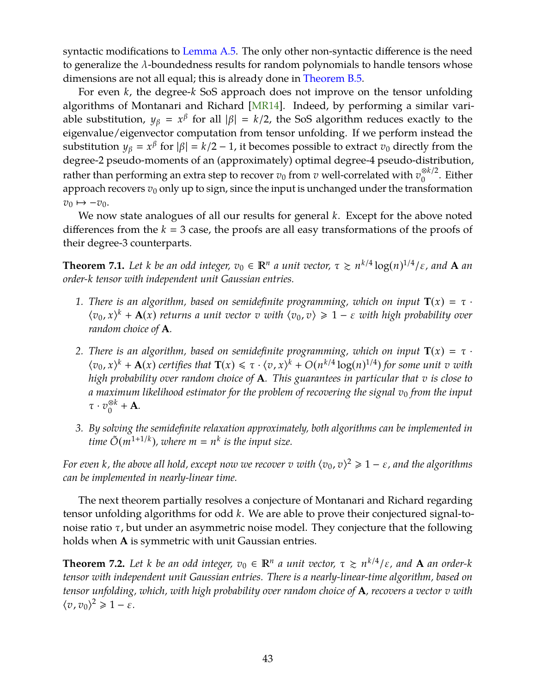<span id="page-44-0"></span>syntactic modifications to [Lemma A.5.](#page-48-0) The only other non-syntactic difference is the need to generalize the λ-boundedness results for random polynomials to handle tensors whose dimensions are not all equal; this is already done in [Theorem B.5.](#page-50-0)

For even *k*, the degree-*k* SoS approach does not improve on the tensor unfolding algorithms of Montanari and Richard [\[MR14\]](#page-47-1). Indeed, by performing a similar variable substitution,  $y_\beta = x^\beta$  for all  $|\beta| = k/2$ , the SoS algorithm reduces exactly to the eigenvalue/eigenvector computation from tensor unfolding. If we perform instead the substitution  $y_{\beta} = x^{\beta}$  for  $|\beta| = k/2 - 1$ , it becomes possible to extract  $v_0$  directly from the degree-2 pseudo-moments of an (approximately) optimal degree-4 pseudo-distribution, rather than performing an extra step to recover  $v_0$  from *v* well-correlated with  $v_0^{\otimes k/2}$  $_0^{\otimes k/2}$ . Either approach recovers  $v_0$  only up to sign, since the input is unchanged under the transformation  $v_0 \mapsto -v_0$ .

We now state analogues of all our results for general *k*. Except for the above noted differences from the  $k = 3$  case, the proofs are all easy transformations of the proofs of their degree-3 counterparts.

**Theorem 7.1.** Let *k* be an odd integer,  $v_0 \in \mathbb{R}^n$  a unit vector,  $\tau \ge n^{k/4} \log(n)^{1/4}/\varepsilon$ , and **A** an *order-k tensor with independent unit Gaussian entries.*

- **1.** There is an algorithm, based on semidefinite programming, which on input  $T(x) = \tau$ .  $\langle v_0, x \rangle^k + A(x)$  *returns a unit vector*  $v$  *with*  $\langle v_0, v \rangle \geq 1 - \varepsilon$  *with high probability over random choice of* **A***.*
- *2. There is an algorithm, based on semidefinite programming, which on input*  $T(x) = \tau$ .  $\langle v_0, x \rangle^k + \mathbf{A}(x)$  certifies that  $\mathbf{T}(x) \leq \tau \cdot \langle v, x \rangle^k + O(n^{k/4} \log(n)^{1/4})$  for some unit *v* with *high probability over random choice of* **A***. This guarantees in particular that v is close to a maximum likelihood estimator for the problem of recovering the signal v*0 *from the input*  $\tau \cdot v_0^{\otimes k} + \mathbf{A}$ .
- *3. By solving the semidefinite relaxation approximately, both algorithms can be implemented in*  $\sum_{k=1}^{\infty}$  *time*  $\widetilde{O}(m^{1+1/k})$ , where  $m = n^k$  is the input size.

*For even k, the above all hold, except now we recover*  $v$  *with*  $\langle v_0, v \rangle^2 \geqslant 1 - \varepsilon$ *, and the algorithms can be implemented in nearly-linear time.*

The next theorem partially resolves a conjecture of Montanari and Richard regarding tensor unfolding algorithms for odd *k*. We are able to prove their conjectured signal-tonoise ratio  $τ$ , but under an asymmetric noise model. They conjecture that the following holds when **A** is symmetric with unit Gaussian entries.

**Theorem 7.2.** Let *k* be an odd integer,  $v_0 \in \mathbb{R}^n$  a unit vector,  $\tau \ge n^{k/4}/\varepsilon$ , and **A** an order-*k tensor with independent unit Gaussian entries. There is a nearly-linear-time algorithm, based on tensor unfolding, which, with high probability over random choice of* **A***, recovers a vector v with*  $\langle v, v_0 \rangle^2 \geq 1 - \varepsilon$ .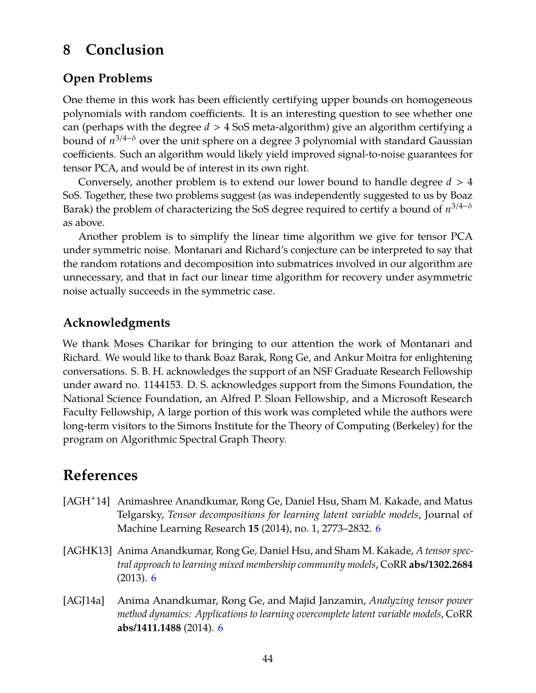## <span id="page-45-0"></span>**8 Conclusion**

## **Open Problems**

One theme in this work has been efficiently certifying upper bounds on homogeneous polynomials with random coefficients. It is an interesting question to see whether one can (perhaps with the degree *d* > 4 SoS meta-algorithm) give an algorithm certifying a bound of *n* <sup>3</sup>/4−<sup>δ</sup> over the unit sphere on a degree 3 polynomial with standard Gaussian coefficients. Such an algorithm would likely yield improved signal-to-noise guarantees for tensor PCA, and would be of interest in its own right.

Conversely, another problem is to extend our lower bound to handle degree *d* > 4 SoS. Together, these two problems suggest (as was independently suggested to us by Boaz Barak) the problem of characterizing the SoS degree required to certify a bound of *n* 3/4−δ as above.

Another problem is to simplify the linear time algorithm we give for tensor PCA under symmetric noise. Montanari and Richard's conjecture can be interpreted to say that the random rotations and decomposition into submatrices involved in our algorithm are unnecessary, and that in fact our linear time algorithm for recovery under asymmetric noise actually succeeds in the symmetric case.

## **Acknowledgments**

We thank Moses Charikar for bringing to our attention the work of Montanari and Richard. We would like to thank Boaz Barak, Rong Ge, and Ankur Moitra for enlightening conversations. S. B. H. acknowledges the support of an NSF Graduate Research Fellowship under award no. 1144153. D. S. acknowledges support from the Simons Foundation, the National Science Foundation, an Alfred P. Sloan Fellowship, and a Microsoft Research Faculty Fellowship, A large portion of this work was completed while the authors were long-term visitors to the Simons Institute for the Theory of Computing (Berkeley) for the program on Algorithmic Spectral Graph Theory.

## <span id="page-45-1"></span>**References**

- <span id="page-45-2"></span>[AGH+14] Animashree Anandkumar, Rong Ge, Daniel Hsu, Sham M. Kakade, and Matus Telgarsky, *Tensor decompositions for learning latent variable models*, Journal of Machine Learning Research **15** (2014), no. 1, 2773–2832. [6](#page-7-0)
- <span id="page-45-3"></span>[AGHK13] Anima Anandkumar, Rong Ge, Daniel Hsu, and Sham M. Kakade, *A tensor spectral approach to learning mixed membership community models*, CoRR **abs/1302.2684** (2013). [6](#page-7-0)
- <span id="page-45-4"></span>[AGJ14a] Anima Anandkumar, Rong Ge, and Majid Janzamin, *Analyzing tensor power method dynamics: Applications to learning overcomplete latent variable models*, CoRR **abs/1411.1488** (2014). [6](#page-7-0)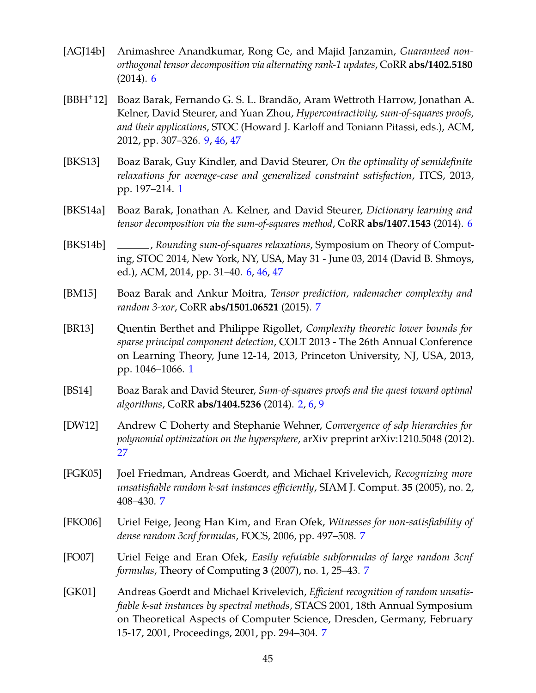- <span id="page-46-3"></span>[AGJ14b] Animashree Anandkumar, Rong Ge, and Majid Janzamin, *Guaranteed nonorthogonal tensor decomposition via alternating rank-1 updates*, CoRR **abs/1402.5180** (2014). [6](#page-7-0)
- <span id="page-46-11"></span>[BBH+12] Boaz Barak, Fernando G. S. L. Brandão, Aram Wettroth Harrow, Jonathan A. Kelner, David Steurer, and Yuan Zhou, *Hypercontractivity, sum-of-squares proofs, and their applications*, STOC (Howard J. Karloff and Toniann Pitassi, eds.), ACM, 2012, pp. 307–326. [9,](#page-10-1) [46,](#page-47-6) [47](#page-48-2)
- <span id="page-46-1"></span>[BKS13] Boaz Barak, Guy Kindler, and David Steurer, *On the optimality of semidefinite relaxations for average-case and generalized constraint satisfaction*, ITCS, 2013, pp. 197–214. [1](#page-0-0)
- <span id="page-46-5"></span>[BKS14a] Boaz Barak, Jonathan A. Kelner, and David Steurer, *Dictionary learning and tensor decomposition via the sum-of-squares method*, CoRR **abs/1407.1543** (2014). [6](#page-7-0)
- <span id="page-46-4"></span>[BKS14b] , *Rounding sum-of-squares relaxations*, Symposium on Theory of Computing, STOC 2014, New York, NY, USA, May 31 - June 03, 2014 (David B. Shmoys, ed.), ACM, 2014, pp. 31–40. [6,](#page-7-0) [46,](#page-47-6) [47](#page-48-2)
- <span id="page-46-6"></span>[BM15] Boaz Barak and Ankur Moitra, *Tensor prediction, rademacher complexity and random 3-xor*, CoRR **abs/1501.06521** (2015). [7](#page-8-0)
- <span id="page-46-0"></span>[BR13] Quentin Berthet and Philippe Rigollet, *Complexity theoretic lower bounds for sparse principal component detection*, COLT 2013 - The 26th Annual Conference on Learning Theory, June 12-14, 2013, Princeton University, NJ, USA, 2013, pp. 1046–1066. [1](#page-0-0)
- <span id="page-46-2"></span>[BS14] Boaz Barak and David Steurer, *Sum-of-squares proofs and the quest toward optimal algorithms*, CoRR **abs/1404.5236** (2014). [2,](#page-1-0) [6,](#page-7-0) [9](#page-10-1)
- <span id="page-46-12"></span>[DW12] Andrew C Doherty and Stephanie Wehner, *Convergence of sdp hierarchies for polynomial optimization on the hypersphere*, arXiv preprint arXiv:1210.5048 (2012). [27](#page-28-1)
- <span id="page-46-8"></span>[FGK05] Joel Friedman, Andreas Goerdt, and Michael Krivelevich, *Recognizing more unsatisfiable random k-sat instances efficiently*, SIAM J. Comput. **35** (2005), no. 2, 408–430. [7](#page-8-0)
- <span id="page-46-10"></span>[FKO06] Uriel Feige, Jeong Han Kim, and Eran Ofek, *Witnesses for non-satisfiability of dense random 3cnf formulas*, FOCS, 2006, pp. 497–508. [7](#page-8-0)
- <span id="page-46-9"></span>[FO07] Uriel Feige and Eran Ofek, *Easily refutable subformulas of large random 3cnf formulas*, Theory of Computing **3** (2007), no. 1, 25–43. [7](#page-8-0)
- <span id="page-46-7"></span>[GK01] Andreas Goerdt and Michael Krivelevich, *Efficient recognition of random unsatisfiable k-sat instances by spectral methods*, STACS 2001, 18th Annual Symposium on Theoretical Aspects of Computer Science, Dresden, Germany, February 15-17, 2001, Proceedings, 2001, pp. 294–304. [7](#page-8-0)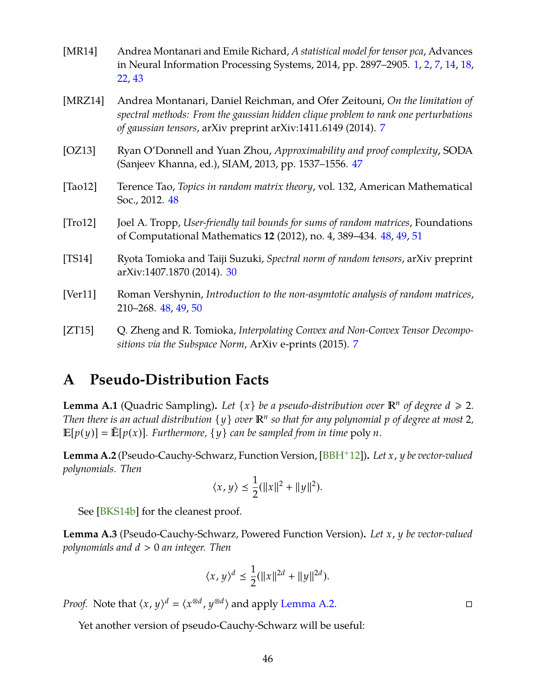- <span id="page-47-6"></span><span id="page-47-1"></span>[MR14] Andrea Montanari and Emile Richard, *A statistical model for tensor pca*, Advances in Neural Information Processing Systems, 2014, pp. 2897–2905. [1,](#page-0-0) [2,](#page-1-0) [7,](#page-8-0) [14,](#page-15-2) [18,](#page-19-0) [22,](#page-23-1) [43](#page-44-0)
- <span id="page-47-3"></span>[MRZ14] Andrea Montanari, Daniel Reichman, and Ofer Zeitouni, *On the limitation of spectral methods: From the gaussian hidden clique problem to rank one perturbations of gaussian tensors*, arXiv preprint arXiv:1411.6149 (2014). [7](#page-8-0)
- <span id="page-47-7"></span>[OZ13] Ryan O'Donnell and Yuan Zhou, *Approximability and proof complexity*, SODA (Sanjeev Khanna, ed.), SIAM, 2013, pp. 1537–1556. [47](#page-48-2)
- <span id="page-47-8"></span>[Tao12] Terence Tao, *Topics in random matrix theory*, vol. 132, American Mathematical Soc., 2012. [48](#page-49-1)
- <span id="page-47-10"></span>[Tro12] Joel A. Tropp, *User-friendly tail bounds for sums of random matrices*, Foundations of Computational Mathematics **12** (2012), no. 4, 389–434. [48,](#page-49-1) [49,](#page-50-2) [51](#page-52-0)
- <span id="page-47-5"></span>[TS14] Ryota Tomioka and Taiji Suzuki, *Spectral norm of random tensors*, arXiv preprint arXiv:1407.1870 (2014). [30](#page-31-1)
- <span id="page-47-9"></span>[Ver11] Roman Vershynin, *Introduction to the non-asymtotic analysis of random matrices*, 210–268. [48,](#page-49-1) [49,](#page-50-2) [50](#page-51-0)
- <span id="page-47-2"></span>[ZT15] Q. Zheng and R. Tomioka, *Interpolating Convex and Non-Convex Tensor Decompositions via the Subspace Norm*, ArXiv e-prints (2015). [7](#page-8-0)

## <span id="page-47-0"></span>**A Pseudo-Distribution Facts**

**Lemma A.1** (Quadric Sampling). Let  $\{x\}$  be a pseudo-distribution over  $\mathbb{R}^n$  of degree  $d \geq 2$ . *Then there is an actual distribution*  $\{y\}$  *over*  $\mathbb{R}^n$  *so that for any polynomial p of degree at most* 2*,*  $\mathbb{E}[p(y)] = \mathbb{E}[p(x)]$ . Furthermore,  $\{y\}$  can be sampled from in time poly *n*.

<span id="page-47-4"></span>**Lemma A.2** (Pseudo-Cauchy-Schwarz, Function Version, [\[BBH](#page-46-11)+12])**.** *Let x*, *y be vector-valued polynomials. Then*

$$
\langle x,y\rangle\leq \frac{1}{2}(\|x\|^2+\|y\|^2).
$$

See [\[BKS14b\]](#page-46-4) for the cleanest proof.

**Lemma A.3** (Pseudo-Cauchy-Schwarz, Powered Function Version)**.** *Let x*, *y be vector-valued polynomials and d* > 0 *an integer. Then*

$$
\langle x, y \rangle^d \le \frac{1}{2} (\|x\|^{2d} + \|y\|^{2d}).
$$

*Proof.* Note that  $\langle x, y \rangle^d = \langle x^{\otimes d}, y^{\otimes d} \rangle$  and apply [Lemma A.2.](#page-47-4)

Yet another version of pseudo-Cauchy-Schwarz will be useful: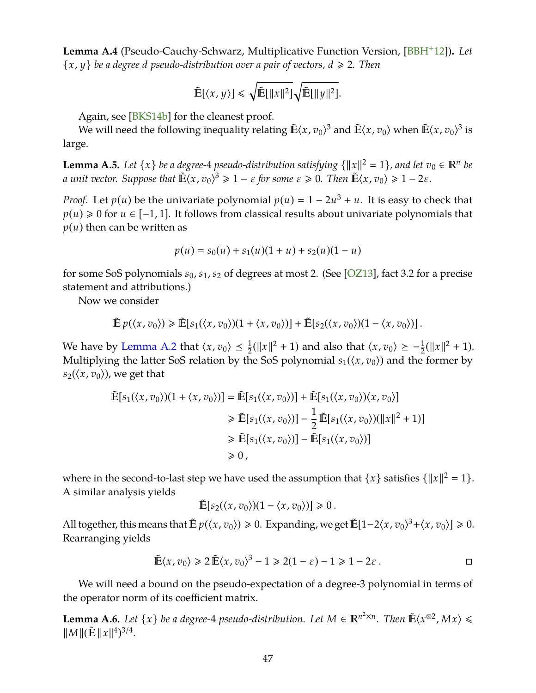<span id="page-48-2"></span>**Lemma A.4** (Pseudo-Cauchy-Schwarz, Multiplicative Function Version, [\[BBH](#page-46-11)+12])**.** *Let*  $\{x, y\}$  *be a degree d pseudo-distribution over a pair of vectors,*  $d \ge 2$ *. Then* 

$$
\tilde{\mathbb{E}}[\langle x,y\rangle] \leq \sqrt{\tilde{\mathbb{E}}[\|x\|^2]} \sqrt{\tilde{\mathbb{E}}[\|y\|^2]}.
$$

Again, see [\[BKS14b\]](#page-46-4) for the cleanest proof.

We will need the following inequality relating  $\mathbb{E}\langle x, v_0\rangle^3$  and  $\mathbb{E}\langle x, v_0\rangle$  when  $\mathbb{E}\langle x, v_0\rangle^3$  is large.

<span id="page-48-0"></span>**Lemma A.5.** Let  $\{x\}$  be a degree-4 pseudo-distribution satisfying  $\{\|x\|^2 = 1\}$ , and let  $v_0 \in \mathbb{R}^n$  be *a unit vector.* Suppose that  $\mathbb{E}(\mathbf{x}, v_0)^3 \geq 1 - \varepsilon$  for some  $\varepsilon \geq 0$ . Then  $\mathbb{E}(\mathbf{x}, v_0) \geq 1 - 2\varepsilon$ .

*Proof.* Let  $p(u)$  be the univariate polynomial  $p(u) = 1 - 2u^3 + u$ . It is easy to check that  $p(u) \ge 0$  for  $u \in [-1, 1]$ . It follows from classical results about univariate polynomials that  $p(u)$  then can be written as

$$
p(u) = s_0(u) + s_1(u)(1+u) + s_2(u)(1-u)
$$

for some SoS polynomials *s*0, *s*1, *s*<sup>2</sup> of degrees at most 2. (See [\[OZ13\]](#page-47-7), fact 3.2 for a precise statement and attributions.)

Now we consider

$$
\tilde{\mathbb{E}} p(\langle x, v_0 \rangle) \geq \tilde{\mathbb{E}}[s_1(\langle x, v_0 \rangle)(1 + \langle x, v_0 \rangle)] + \tilde{\mathbb{E}}[s_2(\langle x, v_0 \rangle)(1 - \langle x, v_0 \rangle)].
$$

We have by [Lemma A.2](#page-47-4) that  $\langle x, v_0 \rangle \leq \frac{1}{2}$  $\frac{1}{2}(\|x\|^2 + 1)$  and also that  $\langle x, v_0 \rangle \ge -\frac{1}{2}(\|x\|^2 + 1)$ . Multiplying the latter SoS relation by the SoS polynomial  $s_1(\langle x, v_0 \rangle)$  and the former by  $s_2(\langle x, v_0 \rangle)$ , we get that

$$
\tilde{\mathbb{E}}[s_1(\langle x, v_0 \rangle)(1 + \langle x, v_0 \rangle)] = \tilde{\mathbb{E}}[s_1(\langle x, v_0 \rangle)] + \tilde{\mathbb{E}}[s_1(\langle x, v_0 \rangle)\langle x, v_0 \rangle]
$$
\n
$$
\geq \tilde{\mathbb{E}}[s_1(\langle x, v_0 \rangle)] - \frac{1}{2}\tilde{\mathbb{E}}[s_1(\langle x, v_0 \rangle)(\|x\|^2 + 1)]
$$
\n
$$
\geq \tilde{\mathbb{E}}[s_1(\langle x, v_0 \rangle)] - \tilde{\mathbb{E}}[s_1(\langle x, v_0 \rangle)]
$$
\n
$$
\geq 0,
$$

where in the second-to-last step we have used the assumption that  $\{x\}$  satisfies  $\{\|x\|^2 = 1\}$ . A similar analysis yields

$$
\mathbb{E}[s_2(\langle x,v_0\rangle)(1-\langle x,v_0\rangle)]\geq 0.
$$

All together, this means that  $\tilde{\mathbb{E}} p(\langle x, v_0 \rangle) \ge 0$ . Expanding, we get  $\tilde{\mathbb{E}}[1-2\langle x, v_0 \rangle^3 + \langle x, v_0 \rangle] \ge 0$ . Rearranging yields

$$
\tilde{\mathbb{E}}\langle x, v_0 \rangle \ge 2 \tilde{\mathbb{E}}\langle x, v_0 \rangle^3 - 1 \ge 2(1 - \varepsilon) - 1 \ge 1 - 2\varepsilon.
$$

We will need a bound on the pseudo-expectation of a degree-3 polynomial in terms of the operator norm of its coefficient matrix.

<span id="page-48-1"></span>**Lemma A.6.** *Let*  $\{x\}$  *be a degree-4 pseudo-distribution. Let*  $M \in \mathbb{R}^{n^2 \times n}$ *. Then*  $\tilde{E}\langle x^{\otimes 2}, Mx \rangle \le$  $\|M\| (\tilde{\mathbf{E}} \|x\|^4)^{3/4}.$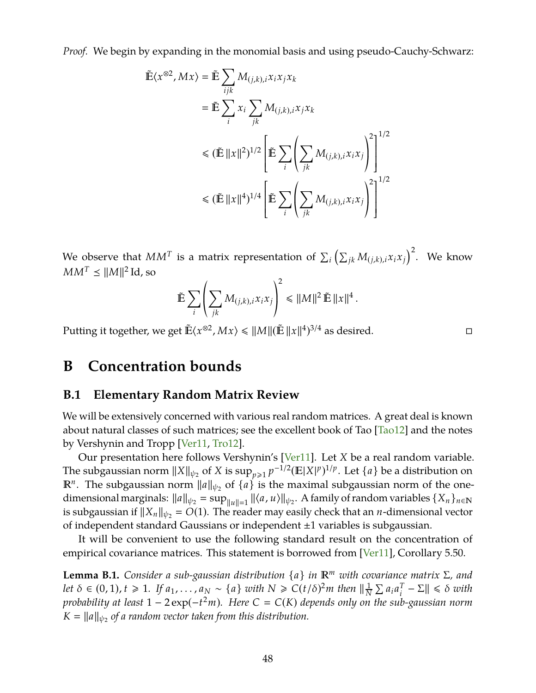<span id="page-49-1"></span>*Proof.* We begin by expanding in the monomial basis and using pseudo-Cauchy-Schwarz:

$$
\tilde{\mathbb{E}}\langle x^{\otimes 2}, Mx \rangle = \tilde{\mathbb{E}} \sum_{ijk} M_{(j,k),i} x_i x_j x_k
$$
\n
$$
= \tilde{\mathbb{E}} \sum_{i} x_i \sum_{jk} M_{(j,k),i} x_j x_k
$$
\n
$$
\leq (\tilde{\mathbb{E}} ||x||^2)^{1/2} \left[ \tilde{\mathbb{E}} \sum_{i} \left( \sum_{jk} M_{(j,k),i} x_i x_j \right)^2 \right]^{1/2}
$$
\n
$$
\leq (\tilde{\mathbb{E}} ||x||^4)^{1/4} \left[ \tilde{\mathbb{E}} \sum_{i} \left( \sum_{jk} M_{(j,k),i} x_i x_j \right)^2 \right]^{1/2}
$$

We observe that  $MM^T$  is a matrix representation of  $\sum_i \left( \sum_{jk} M_{(j,k),i} x_i x_j \right)^2$ . We know  $MM^T \leq ||M||^2 \operatorname{Id}$ , so

$$
\tilde{\mathbb{E}} \sum_{i} \left( \sum_{jk} M_{(j,k),i} x_i x_j \right)^2 \leq ||M||^2 \tilde{\mathbb{E}} ||x||^4.
$$

Putting it together, we get  $\tilde{\mathbb{E}}\langle x^{\otimes 2}, Mx \rangle \leq \|M\| (\tilde{\mathbb{E}} \, \|x\|^{4})^{3/4}$  as desired.

## <span id="page-49-0"></span>**B Concentration bounds**

### **B.1 Elementary Random Matrix Review**

We will be extensively concerned with various real random matrices. A great deal is known about natural classes of such matrices; see the excellent book of Tao [\[Tao12\]](#page-47-8) and the notes by Vershynin and Tropp [\[Ver11,](#page-47-9) [Tro12\]](#page-47-10).

Our presentation here follows Vershynin's [\[Ver11\]](#page-47-9). Let *X* be a real random variable. The subgaussian norm  $||X||_{\psi_2}$  of *X* is  $\sup_{p\geqslant 1} p^{-1/2} (\mathbb{E}|X|^p)^{1/p}$ . Let  $\{a\}$  be a distribution on *R*<sup>*n*</sup>. The subgaussian norm  $||a||_{\psi_2}$  of  $\{a\}$  is the maximal subgaussian norm of the onedimensional marginals:  $||a||_{\psi_2} = \sup_{||u||=1} ||\langle a, u \rangle||_{\psi_2}$ . A family of random variables  $\{X_n\}_{n\in\mathbb{N}}$ is subgaussian if  $||X_n||_{\psi_2} = O(1)$ . The reader may easily check that an *n*-dimensional vector of independent standard Gaussians or independent ±1 variables is subgaussian.

It will be convenient to use the following standard result on the concentration of empirical covariance matrices. This statement is borrowed from [\[Ver11\]](#page-47-9), Corollary 5.50.

<span id="page-49-2"></span>**Lemma B.1.** *Consider a sub-gaussian distribution* {*a*} *in <sup>m</sup> with covariance matrix* Σ*, and let*  $\delta \in (0,1)$ ,  $t \geq 1$ . If  $a_1, \ldots, a_N \sim \{a\}$  with  $N \geq C(t/\delta)^2 m$  then  $\|\frac{1}{N}\|$  $\frac{1}{N}$   $\sum a_i a_i^T$  $\left|\frac{T}{i} - \Sigma\right| \leq \delta$  *with probability at least* 1 − 2 exp(−*t* <sup>2</sup>*m*)*. Here C C*(*K*) *depends only on the sub-gaussian norm*  $K = \|a\|_{\psi_2}$  of a random vector taken from this distribution.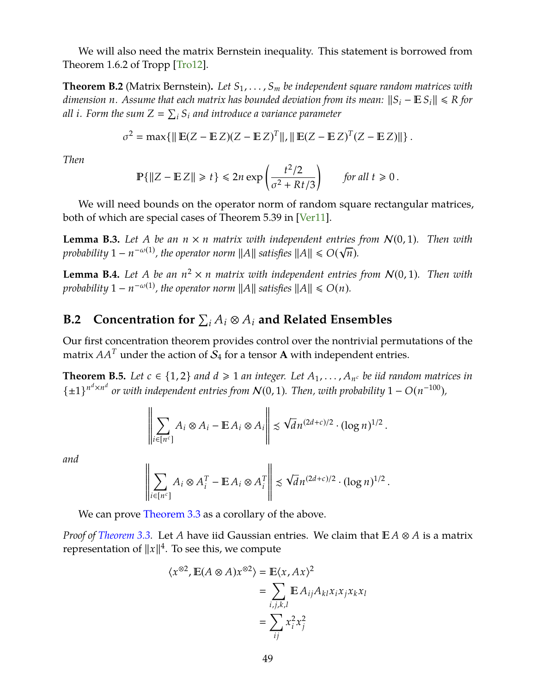<span id="page-50-2"></span>We will also need the matrix Bernstein inequality. This statement is borrowed from Theorem 1.6.2 of Tropp [\[Tro12\]](#page-47-10).

**Theorem B.2** (Matrix Bernstein)**.** *Let S*1, . . . , *S<sup>m</sup> be independent square random matrices with dimension n.* Assume that each matrix has bounded deviation from its mean:  $||S_i - \mathbb{E} S_i|| \le R$  *for* all i. Form the sum  $Z = \sum_i S_i$  and introduce a variance parameter

$$
\sigma^2 = \max\{\|\mathbb{E}(Z - \mathbb{E}Z)(Z - \mathbb{E}Z)^T\|, \|\mathbb{E}(Z - \mathbb{E}Z)^T(Z - \mathbb{E}Z)\|\}.
$$

*Then*

$$
\mathbb{P}\{\|Z - \mathbb{E} Z\| \ge t\} \le 2n \exp\left(\frac{t^2/2}{\sigma^2 + Rt/3}\right) \qquad \text{for all } t \ge 0.
$$

We will need bounds on the operator norm of random square rectangular matrices, both of which are special cases of Theorem 5.39 in [\[Ver11\]](#page-47-9).

<span id="page-50-3"></span>**Lemma B.3.** Let A be an  $n \times n$  matrix with independent entries from  $\mathcal{N}(0, 1)$ . Then with *probability*  $1 - n^{-\omega(1)}$ , the operator norm  $||A||$  satisfies  $||A|| \le O(\sqrt{n})$ .

<span id="page-50-1"></span>**Lemma B.4.** Let A be an  $n^2 \times n$  matrix with independent entries from  $\mathcal{N}(0, 1)$ . Then with *probability*  $1 - n^{-\omega(1)}$ , the operator norm  $||A||$  satisfies  $||A|| \le O(n)$ .

# **B.2** Concentration for  $\sum_i A_i \otimes A_i$  and Related Ensembles

Our first concentration theorem provides control over the nontrivial permutations of the matrix  $AA<sup>T</sup>$  under the action of  $S<sub>4</sub>$  for a tensor **A** with independent entries.

<span id="page-50-0"></span>**Theorem B.5.** Let  $c \in \{1, 2\}$  and  $d \ge 1$  an integer. Let  $A_1, \ldots, A_{n^c}$  be iid random matrices in  $\{\pm 1\}^{n^d \times n^d}$  or with independent entries from  $\mathcal{N}(0, 1)$ . Then, with probability  $1 - O(n^{-100})$ ,

$$
\left\|\sum_{i\in[n^c]}A_i\otimes A_i-\mathbb{E}\,A_i\otimes A_i\right\|\preccurlyeq \sqrt{d}n^{(2d+c)/2}\cdot (\log n)^{1/2}\,.
$$

*and*

$$
\left\|\sum_{i\in[n^c]}A_i\otimes A_i^T - \mathbb{E} A_i\otimes A_i^T\right\| \lesssim \sqrt{d}n^{(2d+c)/2}\cdot (\log n)^{1/2}.
$$

We can prove [Theorem 3.3](#page-11-0) as a corollary of the above.

*Proof of [Theorem 3.3.](#page-11-0)* Let *A* have iid Gaussian entries. We claim that  $E A \otimes A$  is a matrix representation of  $||x||^4$ . To see this, we compute

$$
\langle x^{\otimes 2}, \mathbb{E}(A \otimes A)x^{\otimes 2} \rangle = \mathbb{E}\langle x, Ax \rangle^2
$$
  
= 
$$
\sum_{i,j,k,l} \mathbb{E} A_{ij} A_{kl} x_i x_j x_k x_l
$$
  
= 
$$
\sum_{ij} x_i^2 x_j^2
$$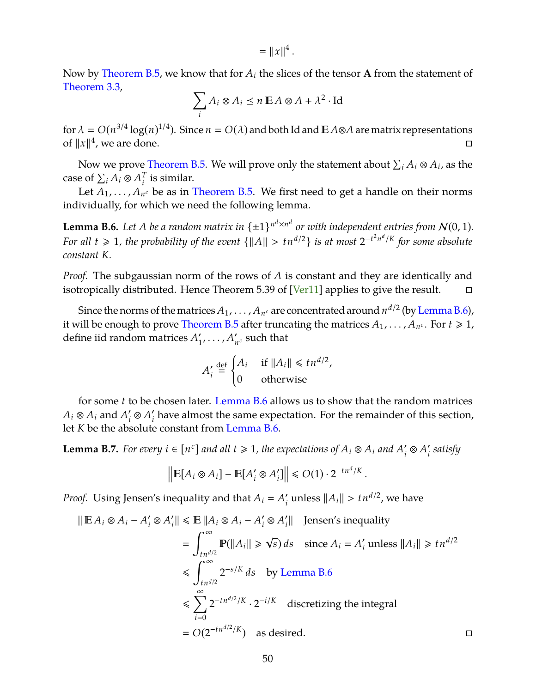$= ||x||^4$ .

<span id="page-51-0"></span>Now by [Theorem B.5,](#page-50-0) we know that for  $A_i$  the slices of the tensor **A** from the statement of [Theorem 3.3,](#page-11-0)

$$
\sum_i A_i \otimes A_i \le n \mathbb{E} A \otimes A + \lambda^2 \cdot \text{Id}
$$

for  $\lambda = O(n^{3/4} \log(n)^{1/4})$ . Since  $n = O(\lambda)$  and both Id and  $\mathbb{E} A \otimes A$  are matrix representations of  $||x||^4$ , we are done.

Now we prove [Theorem B.5.](#page-50-0) We will prove only the statement about  $\sum_i A_i \otimes A_i$ , as the case of  $\sum_i A_i \otimes A_i^T$  $i$ <sup>T</sup> is similar.

Let  $A_1, \ldots, A_{n^c}$  be as in [Theorem B.5.](#page-50-0) We first need to get a handle on their norms individually, for which we need the following lemma.

<span id="page-51-1"></span>**Lemma B.6.** Let A be a random matrix in  $\{\pm 1\}^{n^d \times n^d}$  or with independent entries from  $\mathcal{N}(0, 1)$ . *For all*  $t \ge 1$ , the probability of the event  $\{||A|| > tn^{d/2}\}$  is at most  $2^{-t^2n^d/K}$  for some absolute *constant K.*

*Proof.* The subgaussian norm of the rows of *A* is constant and they are identically and isotropically distributed. Hence Theorem 5.39 of [\[Ver11\]](#page-47-9) applies to give the result.  $\square$ 

Since the norms of the matrices  $A_1, \ldots, A_{n^c}$  are concentrated around  $n^{d/2}$  (by [Lemma B.6\)](#page-51-1), it will be enough to prove [Theorem B.5](#page-50-0) after truncating the matrices  $A_1,\ldots,A_{n^c}.$  For  $t\geqslant 1,$ define iid random matrices  $A_1$ <sup>2</sup>  $'_{1}, \ldots, A'_{n}$  $n_c$  such that

$$
A'_{i} \stackrel{\text{def}}{=} \begin{cases} A_{i} & \text{if } ||A_{i}|| \leq t n^{d/2}, \\ 0 & \text{otherwise} \end{cases}
$$

for some *t* to be chosen later. [Lemma B.6](#page-51-1) allows us to show that the random matrices  $A_i \otimes A_i$  and  $A_i'$  $\iota_i' \otimes A_i'$  $\mathbf{f}_i'$  have almost the same expectation. For the remainder of this section, let *K* be the absolute constant from [Lemma B.6.](#page-51-1)

<span id="page-51-2"></span>**Lemma B.7.** For every  $i \in [n^c]$  and all  $t \ge 1$ , the expectations of  $A_i \otimes A_i$  and  $A_i'$  $\iota_i' \otimes A_i'$ *i satisfy*

$$
\left\| \mathbb{E}[A_i \otimes A_i] - \mathbb{E}[A'_i \otimes A'_i] \right\| \le O(1) \cdot 2^{-tn^d/K}
$$

.

*Proof.* Using Jensen's inequality and that  $A_i = A_i'$  $\mathcal{U}_i$  unless  $||A_i|| > t n^{d/2}$ , we have

$$
\|\mathbf{E} A_i \otimes A_i - A'_i \otimes A'_i\| \le \mathbf{E} \|A_i \otimes A_i - A'_i \otimes A'_i\| \quad \text{Jensen's inequality}
$$
\n
$$
= \int_{tn^{d/2}}^{\infty} \mathbf{P}(\|A_i\| \ge \sqrt{s}) \, ds \quad \text{since } A_i = A'_i \text{ unless } \|A_i\| \ge tn^{d/2}
$$
\n
$$
\le \int_{tn^{d/2}}^{\infty} 2^{-s/K} \, ds \quad \text{by Lemma B.6}
$$
\n
$$
\le \sum_{i=0}^{\infty} 2^{-tn^{d/2}/K} \cdot 2^{-i/K} \quad \text{discretizing the integral}
$$
\n
$$
= O(2^{-tn^{d/2}/K}) \quad \text{as desired.} \qquad \Box
$$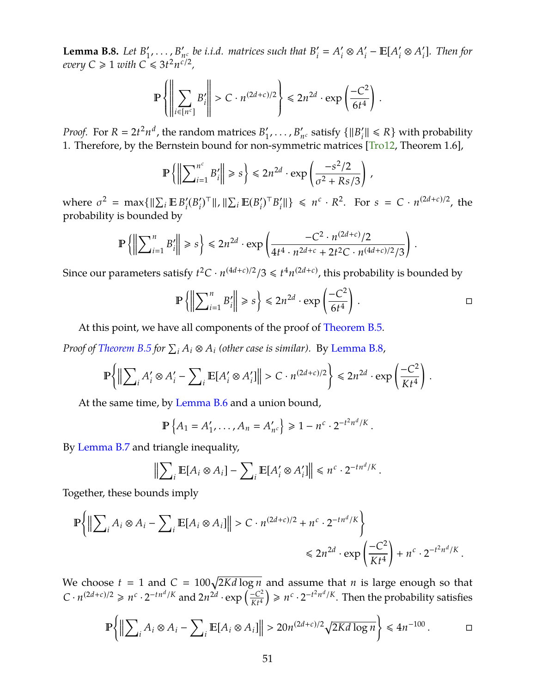<span id="page-52-1"></span><span id="page-52-0"></span>**Lemma B.8.** *Let*  $B_1'$  $'_{1}, \ldots, B'_{n}$  $n_c$  *be i.i.d.* matrices such that  $B_i'$  $'_{i} = A'_{i}$  $\iota_i' \otimes A_i'$  $\sum_{i}$ <sup>*–*</sup>**E**[ $A_i'$  $\alpha_i' \otimes A_i'$ *i* ]*. Then for every*  $C \geqslant 1$  *with*  $C \leqslant 3t^2 n^{\frac{c}{c}/2}$ ,

$$
\mathbb{P}\left\{\left\|\sum_{i\in[n^c]}B'_i\right\|>C\cdot n^{(2d+c)/2}\right\}\le 2n^{2d}\cdot\exp\left(\frac{-C^2}{6t^4}\right).
$$

*Proof.* For  $R = 2t^2n^d$ , the random matrices  $B_1$  $'_{1}, \ldots, B'_{n}$  $n_c$  satisfy  $\{||B_i||\}$  $X'_i$ <sup> $\parallel$ </sup>  $\leq R$ <sup>}</sup> with probability 1. Therefore, by the Bernstein bound for non-symmetric matrices [\[Tro12,](#page-47-10) Theorem 1.6],

$$
\mathbb{P}\left\{\left\|\sum\nolimits_{i=1}^{n^c}B_i'\right\| \geq s\right\} \leq 2n^{2d}\cdot \exp\left(\frac{-s^2/2}{\sigma^2+Rs/3}\right)\,,
$$

where  $\sigma^2 = \max\{||\sum_i E B_i'\|$  $i^{\prime}(B_i)$  $\sum_i$ <sup>T</sup>||, || $\sum_i$ **E**( $B'_i$  $'_{i}$ <sup>T</sup> $B'_{i}$  $\{f_i\} \leq n^c \cdot R^2$ . For  $s = C \cdot n^{(2d+c)/2}$ , the probability is bounded by

$$
\mathbb{P}\left\{\left\|\sum\nolimits_{i=1}^nB'_i\right\|\geq s\right\}\leq 2n^{2d}\cdot\exp\left(\frac{-C^2\cdot n^{(2d+c)}/2}{4t^4\cdot n^{2d+c}+2t^2C\cdot n^{(4d+c)/2}/3}\right)\,.
$$

Since our parameters satisfy  $t^2C \cdot n^{(4d+c)/2}/3 \leq t^4 n^{(2d+c)}$ , this probability is bounded by

$$
\mathbb{P}\left\{\left\|\sum_{i=1}^n B'_i\right\| \geqslant s\right\} \leqslant 2n^{2d} \cdot \exp\left(\frac{-C^2}{6t^4}\right).
$$

.

.

At this point, we have all components of the proof of [Theorem B.5.](#page-50-0)

*Proof of [Theorem B.5](#page-50-0) for*  $\sum_i A_i \otimes A_i$  (other case is similar). By [Lemma B.8,](#page-52-1)

$$
\mathbb{P}\bigg\{\big\|\sum\nolimits_i A_i' \otimes A_i' - \sum\nolimits_i \mathbb{E}[A_i' \otimes A_i']\big\| > C \cdot n^{(2d+c)/2}\bigg\} \le 2n^{2d} \cdot \exp\left(\frac{-C^2}{Kt^4}\right).
$$

At the same time, by [Lemma B.6](#page-51-1) and a union bound,

$$
\mathbb{P}\left\{A_1 = A'_1, \dots, A_n = A'_{n^c}\right\} \geq 1 - n^c \cdot 2^{-t^2 n^d/K}
$$

By [Lemma B.7](#page-51-2) and triangle inequality,

$$
\Big\| \sum_{i} \mathbb{E}[A_i \otimes A_i] - \sum_{i} \mathbb{E}[A'_i \otimes A'_i] \Big\| \le n^c \cdot 2^{-tn^d/K}
$$

Together, these bounds imply

$$
\mathbb{P}\left\{\left\|\sum_{i} A_{i} \otimes A_{i} - \sum_{i} \mathbb{E}[A_{i} \otimes A_{i}]\right\| > C \cdot n^{(2d+c)/2} + n^{c} \cdot 2^{-tn^{d}/K}\right\}
$$
  
\$\leq 2n^{2d} \cdot \exp\left(\frac{-C^{2}}{Kt^{4}}\right) + n^{c} \cdot 2^{-t^{2}n^{d}/K}.

We choose  $t = 1$  and  $C = 100\sqrt{2Kd \log n}$  and assume that *n* is large enough so that  $C \cdot n^{(2d+c)/2} \ge n^c \cdot 2^{-tn^d/K}$  and  $2n^{2d} \cdot \exp\left(\frac{-C^2}{K+4}\right)$  $\left(\frac{-C^2}{Kt^4}\right) \geq n^c \cdot 2^{-t^2 n^d/K}$ . Then the probability satisfies

$$
\mathbb{P}\bigg\{\Big\|\sum_{i}A_{i}\otimes A_{i}-\sum_{i}\mathbb{E}[A_{i}\otimes A_{i}]\Big\|>20n^{(2d+c)/2}\sqrt{2Kd\log n}\bigg\}\leq 4n^{-100}.\qquad\qquad\Box
$$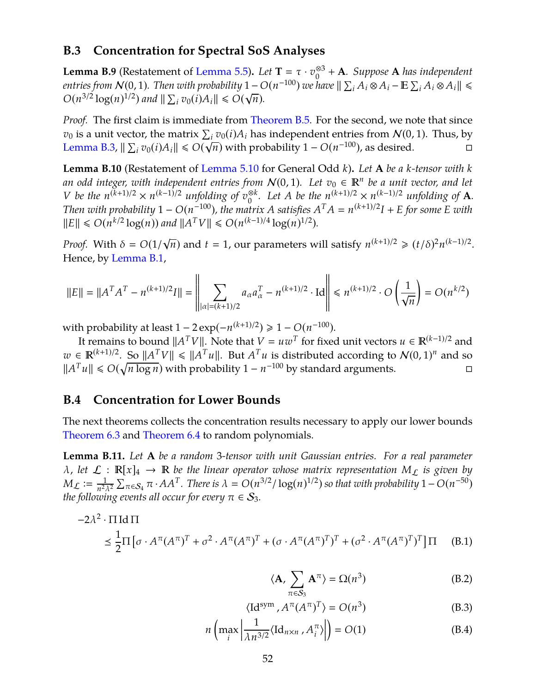## **B.3 Concentration for Spectral SoS Analyses**

**Lemma B.9** (Restatement of [Lemma 5.5\)](#page-18-4). *Let*  $T = \tau \cdot v_0^{\otimes 3}$ 0 + **A***. Suppose* **A** *has independent entries from*  $\mathcal{N}(0, 1)$ *. Then with probability*  $1 - O(n^{-100})$  *we have*  $\|\sum_i A_i \otimes A_i - \mathbb{E} \sum_i A_i \otimes A_i\| \leq$  $O(n^{3/2} \log(n)^{1/2})$  and  $\|\sum_i v_0(i) A_i\| \le O(\sqrt{n}).$ 

*Proof.* The first claim is immediate from [Theorem B.5.](#page-50-0) For the second, we note that since  $v_0$  is a unit vector, the matrix  $\sum_i v_0(i) A_i$  has independent entries from  $\mathcal{N}(0, 1)$ . Thus, by *[Lemma B.3,](#page-50-3)*  $||\sum_i v_0(i)A_i|| \le O(\sqrt{n})$  with probability 1 − *O*(*n*<sup>-100</sup>), as desired.  $\Box$ 

<span id="page-53-0"></span>**Lemma B.10** (Restatement of [Lemma 5.10](#page-21-1) for General Odd *k*)**.** *Let* **A** *be a k-tensor with k* an odd integer, with independent entries from  $\mathcal{N}(0, 1)$ . Let  $v_0 \in \mathbb{R}^n$  be a unit vector, and let V be the  $n^{(k+1)/2} \times n^{(k-1)/2}$  unfolding of  $v_0^{\otimes k}$ . Let A be the  $n^{(k+1)/2} \times n^{(k-1)/2}$  unfolding of **A**. *Then with probability*  $1 - O(n^{-100})$ , the matrix *A* satisfies  $A<sup>T</sup>A = n^{(k+1)/2}I + E$  for some *E* with  $||E|| \le O(n^{k/2} \log(n))$  and  $||A^T V|| \le O(n^{(k-1)/4} \log(n)^{1/2})$ *.* 

*Proof.* With  $\delta = O(1/$ √  $\overline{n}$ ) and  $t = 1$ , our parameters will satisfy  $n^{(k+1)/2} \geq (t/\delta)^2 n^{(k-1)/2}$ . Hence, by [Lemma B.1,](#page-49-2)

$$
||E|| = ||A^T A^T - n^{(k+1)/2}I|| = \left\| \sum_{|\alpha| = (k+1)/2} a_{\alpha} a_{\alpha}^T - n^{(k+1)/2} \cdot \text{Id} \right\| \le n^{(k+1)/2} \cdot O\left(\frac{1}{\sqrt{n}}\right) = O(n^{k/2})
$$

with probability at least  $1 - 2 \exp(-n^{(k+1)/2}) \ge 1 - O(n^{-100}).$ 

It remains to bound  $||A^TV||$ . Note that  $V = uw^T$  for fixed unit vectors  $u \in \mathbb{R}^{(k-1)/2}$  and  $w \in \mathbb{R}^{(k+1)/2}$ . So  $||A^T V|| \le ||A^T u||$ . But  $A^T u$  is distributed according to  $\mathcal{N}(0, 1)^n$  and so  $||A^T u|| \le O(\sqrt{n \log n})$  with probability 1 − *n*<sup>-100</sup> by standard arguments.

### **B.4 Concentration for Lower Bounds**

The next theorems collects the concentration results necessary to apply our lower bounds [Theorem 6.3](#page-29-1) and [Theorem 6.4](#page-30-0) to random polynomials.

<span id="page-53-1"></span>**Lemma B.11.** *Let* **A** *be a random* 3*-tensor with unit Gaussian entries. For a real parameter*  $\lambda$ , let  $\mathcal{L}: \mathbb{R}[x]_4 \to \mathbb{R}$  be the linear operator whose matrix representation  $M_{\mathcal{L}}$  is given by  $M_{\mathcal{L}} \coloneqq \frac{1}{n^2}$  $\frac{1}{n^2\lambda^2}\sum_{\pi\in\mathcal{S}_4}\pi\cdot AA^T$ . There is  $\lambda = O(n^{3/2}/\log(n)^{1/2})$  so that with probability  $1-O(n^{-50})$ *the following events all occur for every*  $\pi \in S_3$ *.* 

$$
-2\lambda^2 \cdot \Pi \operatorname{Id} \Pi
$$
  
\n
$$
\leq \frac{1}{2} \Pi \left[ \sigma \cdot A^{\pi} (A^{\pi})^T + \sigma^2 \cdot A^{\pi} (A^{\pi})^T + (\sigma \cdot A^{\pi} (A^{\pi})^T)^T + (\sigma^2 \cdot A^{\pi} (A^{\pi})^T)^T \right] \Pi
$$
 (B.1)

<span id="page-53-5"></span><span id="page-53-4"></span><span id="page-53-3"></span><span id="page-53-2"></span>
$$
\langle \mathbf{A}, \sum_{\pi \in S_3} \mathbf{A}^{\pi} \rangle = \Omega(n^3) \tag{B.2}
$$

$$
\langle \mathrm{Id}^{\mathrm{sym}} , A^{\pi} (A^{\pi})^T \rangle = O(n^3)
$$
 (B.3)

$$
n\left(\max_{i}\left|\frac{1}{\lambda n^{3/2}}\langle \mathrm{Id}_{n\times n}, A_{i}^{\pi}\rangle\right|\right) = O(1)
$$
 (B.4)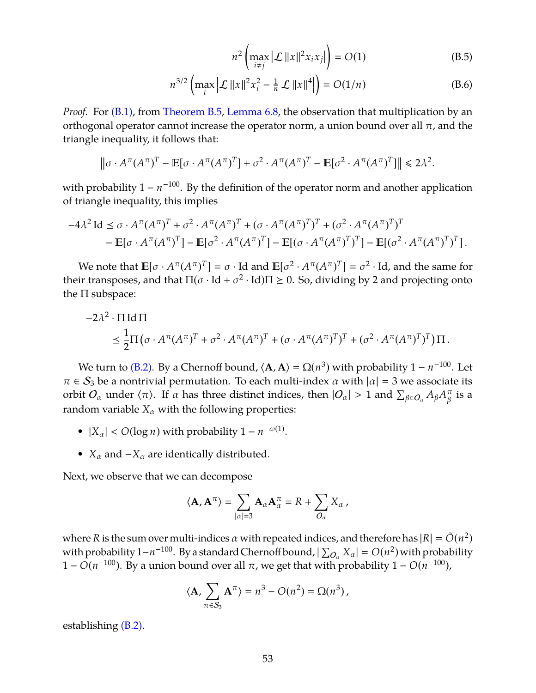<span id="page-54-1"></span><span id="page-54-0"></span>
$$
n^2 \left( \max_{i \neq j} |\mathcal{L}| ||x||^2 x_i x_j| \right) = O(1) \tag{B.5}
$$

$$
n^{3/2} \left( \max_{i} \left| \mathcal{L} \left| \|x\|^2 x_i^2 - \frac{1}{n} \mathcal{L} \left| \|x\|^4 \right| \right) \right) = O(1/n) \tag{B.6}
$$

*Proof.* For [\(B.1\),](#page-53-2) from [Theorem B.5,](#page-50-0) [Lemma 6.8,](#page-32-1) the observation that multiplication by an orthogonal operator cannot increase the operator norm, a union bound over all  $\pi$ , and the triangle inequality, it follows that:

$$
\left\|\sigma \cdot A^{\pi} (A^{\pi})^T - \mathbb{E}[\sigma \cdot A^{\pi} (A^{\pi})^T] + \sigma^2 \cdot A^{\pi} (A^{\pi})^T - \mathbb{E}[\sigma^2 \cdot A^{\pi} (A^{\pi})^T] \right\| \leq 2\lambda^2.
$$

with probability  $1 - n^{-100}$ . By the definition of the operator norm and another application of triangle inequality, this implies

$$
-4\lambda^2 \operatorname{Id} \leq \sigma \cdot A^{\pi} (A^{\pi})^T + \sigma^2 \cdot A^{\pi} (A^{\pi})^T + (\sigma \cdot A^{\pi} (A^{\pi})^T)^T + (\sigma^2 \cdot A^{\pi} (A^{\pi})^T)^T
$$
  
- 
$$
\mathbb{E}[\sigma \cdot A^{\pi} (A^{\pi})^T] - \mathbb{E}[\sigma^2 \cdot A^{\pi} (A^{\pi})^T] - \mathbb{E}[(\sigma \cdot A^{\pi} (A^{\pi})^T)^T] - \mathbb{E}[(\sigma^2 \cdot A^{\pi} (A^{\pi})^T)^T].
$$

We note that  $\mathbb{E}[\sigma \cdot A^{\pi} (A^{\pi})^T] = \sigma \cdot \text{Id}$  and  $\mathbb{E}[\sigma^2 \cdot A^{\pi} (A^{\pi})^T] = \sigma^2 \cdot \text{Id}$ , and the same for their transposes, and that  $\Pi(\sigma \cdot \text{Id} + \sigma^2 \cdot \text{Id})\Pi \geq 0$ . So, dividing by 2 and projecting onto the  $\Pi$  subspace:

$$
-2\lambda^2 \cdot \Pi \operatorname{Id} \Pi
$$
  
\$\leq \frac{1}{2}\Pi \big( \sigma \cdot A^{\pi} (A^{\pi})^T + \sigma^2 \cdot A^{\pi} (A^{\pi})^T + (\sigma \cdot A^{\pi} (A^{\pi})^T)^T + (\sigma^2 \cdot A^{\pi} (A^{\pi})^T)^T \big) \Pi\$.

We turn to [\(B.2\).](#page-53-3) By a Chernoff bound,  $\langle \mathbf{A}, \mathbf{A} \rangle = \Omega(n^3)$  with probability  $1 - n^{-100}$ . Let  $\pi \in S_3$  be a nontrivial permutation. To each multi-index  $\alpha$  with  $|\alpha| = 3$  we associate its orbit  $O_\alpha$  under  $\langle \pi \rangle$ . If  $\alpha$  has three distinct indices, then  $|O_\alpha| > 1$  and  $\sum_{\beta \in O_\alpha} A_\beta A_\beta^\pi$  $\frac{\pi}{\beta}$  is a random variable  $X_\alpha$  with the following properties:

- $|X_\alpha| < O(\log n)$  with probability  $1 n^{-\omega(1)}$ .
- $X_\alpha$  and  $-X_\alpha$  are identically distributed.

Next, we observe that we can decompose

$$
\langle \mathbf{A}, \mathbf{A}^{\pi} \rangle = \sum_{|\alpha|=3} \mathbf{A}_{\alpha} \mathbf{A}_{\alpha}^{\pi} = R + \sum_{O_{\alpha}} X_{\alpha},
$$

where *R* is the sum over multi-indices  $\alpha$  with repeated indices, and therefore has  $|R| = \tilde{O}(n^2)$ with probability  $1-n^{-100}$ . By a standard Chernoff bound,  $|\sum_{O_\alpha}X_\alpha|=O(n^2)$  with probability 1 − *O*(*n*<sup>-100</sup>). By a union bound over all π, we get that with probability 1 − *O*(*n*<sup>-100</sup>),

$$
\langle \mathbf{A}, \sum_{\pi \in \mathcal{S}_3} \mathbf{A}^{\pi} \rangle = n^3 - O(n^2) = \Omega(n^3),
$$

establishing [\(B.2\).](#page-53-3)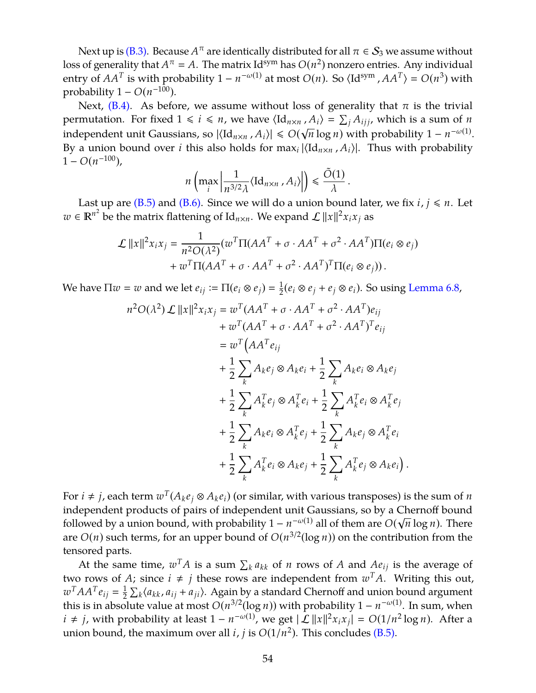Next up is [\(B.3\).](#page-53-4) Because  $A^\pi$  are identically distributed for all  $\pi \in \mathcal{S}_3$  we assume without loss of generality that  $A^{\pi} = A$ . The matrix Id<sup>sym</sup> has  $O(n^2)$  nonzero entries. Any individual entry of  $AA^T$  is with probability  $1 - n^{-\omega(1)}$  at most  $O(n)$ . So  $\langle \text{Id}^{\text{sym}}$  ,  $AA^T \rangle = O(n^3)$  with probability  $1 - O(n^{-100})$ .

Next, [\(B.4\).](#page-53-5) As before, we assume without loss of generality that  $\pi$  is the trivial permutation. For fixed  $1 \le i \le n$ , we have  $\langle \mathrm{Id}_{n \times n}, A_i \rangle = \sum_j A_{ijj}$ , which is a sum of *n* independent unit Gaussians, so  $|\langle \mathrm{Id}_{n \times n}$  ,  $A_i \rangle| \le O(\sqrt{n} \log n)$  with probability  $1 - n^{-\omega(1)}$ . By a union bound over *i* this also holds for  $\max_i |\langle \mathrm{Id}_{n \times n}, A_i \rangle|$ . Thus with probability  $1 - O(n^{-100}),$ 

$$
n\left(\max_{i}\left|\frac{1}{n^{3/2}\lambda}\langle \mathrm{Id}_{n\times n}, A_{i}\rangle\right|\right) \leq \frac{\tilde{O}(1)}{\lambda}.
$$

Last up are [\(B.5\)](#page-54-0) and [\(B.6\).](#page-54-1) Since we will do a union bound later, we fix  $i, j \le n$ . Let  $w \in \mathbb{R}^{n^2}$  be the matrix flattening of  $\mathrm{Id}_{n \times n}$ . We expand  $\mathcal{L} ||x||^2 x_i x_j$  as

$$
\mathcal{L} ||x||^2 x_i x_j = \frac{1}{n^2 O(\lambda^2)} (w^T \Pi (AA^T + \sigma \cdot AA^T + \sigma^2 \cdot AA^T) \Pi (e_i \otimes e_j) + w^T \Pi (AA^T + \sigma \cdot AA^T + \sigma^2 \cdot AA^T)^T \Pi (e_i \otimes e_j)).
$$

We have  $\Pi w = w$  and we let  $e_{ij} := \Pi(e_i \otimes e_j) = \frac{1}{2}$  $\frac{1}{2}$ (*e<sub>i</sub>* ⊗ *e<sub>j</sub>* + *e<sub>j</sub>* ⊗ *e<sub>i</sub>*). So using [Lemma 6.8,](#page-32-1)

$$
n^2 O(\lambda^2) \mathcal{L} ||x||^2 x_i x_j = w^T (A A^T + \sigma \cdot A A^T + \sigma^2 \cdot A A^T) e_{ij}
$$
  
+ 
$$
w^T (A A^T + \sigma \cdot A A^T + \sigma^2 \cdot A A^T)^T e_{ij}
$$
  
= 
$$
w^T (A A^T e_{ij})
$$
  
+ 
$$
\frac{1}{2} \sum_k A_k e_j \otimes A_k e_i + \frac{1}{2} \sum_k A_k e_i \otimes A_k e_j
$$
  
+ 
$$
\frac{1}{2} \sum_k A_k^T e_j \otimes A_k^T e_i + \frac{1}{2} \sum_k A_k^T e_i \otimes A_k^T e_j
$$
  
+ 
$$
\frac{1}{2} \sum_k A_k e_i \otimes A_k^T e_j + \frac{1}{2} \sum_k A_k e_j \otimes A_k^T e_i
$$
  
+ 
$$
\frac{1}{2} \sum_k A_k^T e_i \otimes A_k e_j + \frac{1}{2} \sum_k A_k^T e_j \otimes A_k e_i
$$

For  $i \neq j$ , each term  $w^T(A_ke_j \otimes A_ke_i)$  (or similar, with various transposes) is the sum of  $n$ independent products of pairs of independent unit Gaussians, so by a Chernoff bound followed by a union bound, with probability  $1 - n^{-\omega(1)}$  all of them are  $O(\sqrt{n} \log n)$ . There are  $O(n)$  such terms, for an upper bound of  $O(n^{3/2}(\log n))$  on the contribution from the tensored parts.

.

At the same time,  $w^T A$  is a sum  $\sum_k a_{kk}$  of *n* rows of *A* and  $Ae_{ij}$  is the average of two rows of *A*; since  $i \neq j$  these rows are independent from  $w^{T}A$ . Writing this out,  $w^T A A^T e_{ij} = \frac{1}{2}$  $\frac{1}{2} \sum_{k} \langle a_{kk}, a_{ij} + a_{ji} \rangle$ . Again by a standard Chernoff and union bound argument this is in absolute value at most  $O(n^{3/2}(\log n))$  with probability  $1 - n^{-\omega(1)}$ . In sum, when *i* ≠ *j*, with probability at least  $1 - n^{-\omega(1)}$ , we get  $|\mathcal{L}| |x||^2 x_i x_j| = O(1/n^2 \log n)$ . After a union bound, the maximum over all *i*, *j* is  $O(1/n^2)$ . This concludes [\(B.5\).](#page-54-0)